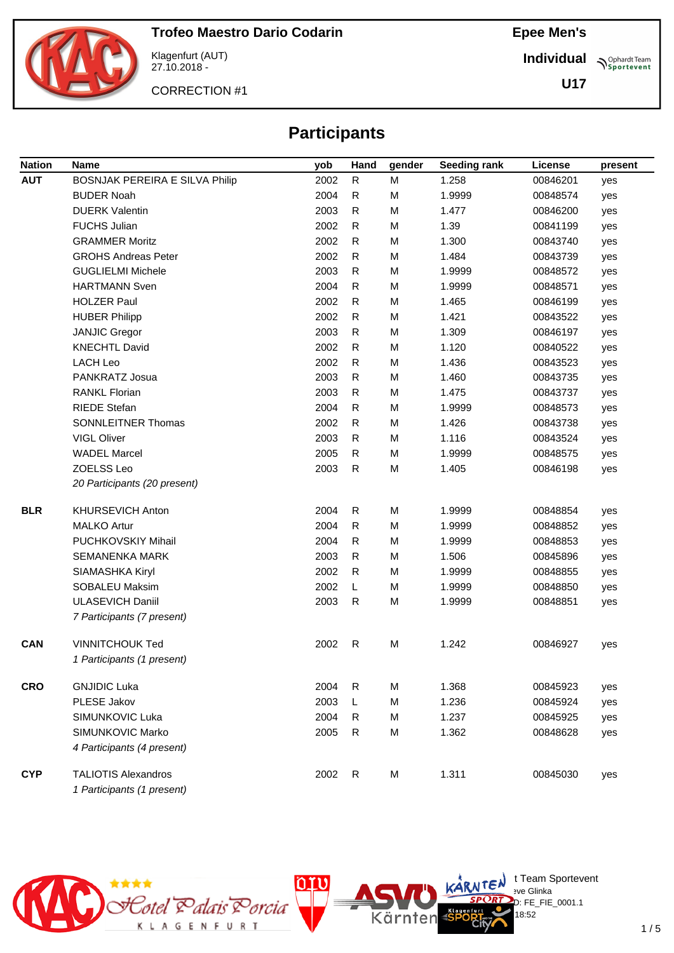

Klagenfurt (AUT) 27.10.2018 -

CORRECTION #1

**Individual Sportevent** 

**U17**

## **Participants**

| <b>Nation</b> | <b>Name</b>                           | yob  | Hand         | gender    | Seeding rank | License  | present |
|---------------|---------------------------------------|------|--------------|-----------|--------------|----------|---------|
| <b>AUT</b>    | <b>BOSNJAK PEREIRA E SILVA Philip</b> | 2002 | $\mathsf{R}$ | ${\sf M}$ | 1.258        | 00846201 | yes     |
|               | <b>BUDER Noah</b>                     | 2004 | R            | M         | 1.9999       | 00848574 | yes     |
|               | <b>DUERK Valentin</b>                 | 2003 | R            | M         | 1.477        | 00846200 | yes     |
|               | <b>FUCHS Julian</b>                   | 2002 | R            | M         | 1.39         | 00841199 | yes     |
|               | <b>GRAMMER Moritz</b>                 | 2002 | R            | M         | 1.300        | 00843740 | yes     |
|               | <b>GROHS Andreas Peter</b>            | 2002 | R            | M         | 1.484        | 00843739 | yes     |
|               | <b>GUGLIELMI Michele</b>              | 2003 | R            | M         | 1.9999       | 00848572 | yes     |
|               | <b>HARTMANN Sven</b>                  | 2004 | $\mathsf{R}$ | M         | 1.9999       | 00848571 | yes     |
|               | <b>HOLZER Paul</b>                    | 2002 | R            | M         | 1.465        | 00846199 | yes     |
|               | <b>HUBER Philipp</b>                  | 2002 | R            | M         | 1.421        | 00843522 | yes     |
|               | <b>JANJIC Gregor</b>                  | 2003 | R            | M         | 1.309        | 00846197 | yes     |
|               | <b>KNECHTL David</b>                  | 2002 | R            | M         | 1.120        | 00840522 | yes     |
|               | <b>LACH Leo</b>                       | 2002 | R            | M         | 1.436        | 00843523 | yes     |
|               | PANKRATZ Josua                        | 2003 | R            | M         | 1.460        | 00843735 | yes     |
|               | <b>RANKL Florian</b>                  | 2003 | R            | M         | 1.475        | 00843737 | yes     |
|               | <b>RIEDE Stefan</b>                   | 2004 | R            | M         | 1.9999       | 00848573 | yes     |
|               | SONNLEITNER Thomas                    | 2002 | R            | M         | 1.426        | 00843738 | yes     |
|               | VIGL Oliver                           | 2003 | R            | M         | 1.116        | 00843524 | yes     |
|               | <b>WADEL Marcel</b>                   | 2005 | R            | M         | 1.9999       | 00848575 | yes     |
|               | ZOELSS Leo                            | 2003 | $\mathsf{R}$ | M         | 1.405        | 00846198 | yes     |
|               | 20 Participants (20 present)          |      |              |           |              |          |         |
| <b>BLR</b>    | <b>KHURSEVICH Anton</b>               | 2004 | $\mathsf{R}$ | M         | 1.9999       | 00848854 | yes     |
|               | <b>MALKO Artur</b>                    | 2004 | R            | M         | 1.9999       | 00848852 | yes     |
|               | PUCHKOVSKIY Mihail                    | 2004 | R            | M         | 1.9999       | 00848853 | yes     |
|               | <b>SEMANENKA MARK</b>                 | 2003 | R            | M         | 1.506        | 00845896 | yes     |
|               | SIAMASHKA Kiryl                       | 2002 | ${\sf R}$    | M         | 1.9999       | 00848855 | yes     |
|               | SOBALEU Maksim                        | 2002 | L            | M         | 1.9999       | 00848850 | yes     |
|               | <b>ULASEVICH Daniil</b>               | 2003 | $\mathsf{R}$ | M         | 1.9999       | 00848851 | yes     |
|               | 7 Participants (7 present)            |      |              |           |              |          |         |
| <b>CAN</b>    | <b>VINNITCHOUK Ted</b>                | 2002 | R            | M         | 1.242        | 00846927 | yes     |
|               | 1 Participants (1 present)            |      |              |           |              |          |         |
| <b>CRO</b>    | <b>GNJIDIC Luka</b>                   | 2004 | $\mathsf{R}$ | M         | 1.368        | 00845923 | yes     |
|               | <b>PLESE Jakov</b>                    | 2003 | L            | M         | 1.236        | 00845924 | yes     |
|               | SIMUNKOVIC Luka                       | 2004 | R            | M         | 1.237        | 00845925 | yes     |
|               | SIMUNKOVIC Marko                      | 2005 | $\mathsf{R}$ | M         | 1.362        | 00848628 | yes     |
|               | 4 Participants (4 present)            |      |              |           |              |          |         |
| <b>CYP</b>    | <b>TALIOTIS Alexandros</b>            | 2002 | $\mathsf{R}$ | M         | 1.311        | 00845030 | yes     |
|               | 1 Participants (1 present)            |      |              |           |              |          |         |



 $\bigcup_{v \in \mathcal{F}} \mathbb{I}$  Team Sportevent

18:52

.<br>D: FE\_FIE\_0001.1

**N'Y'Letter** sve Glinka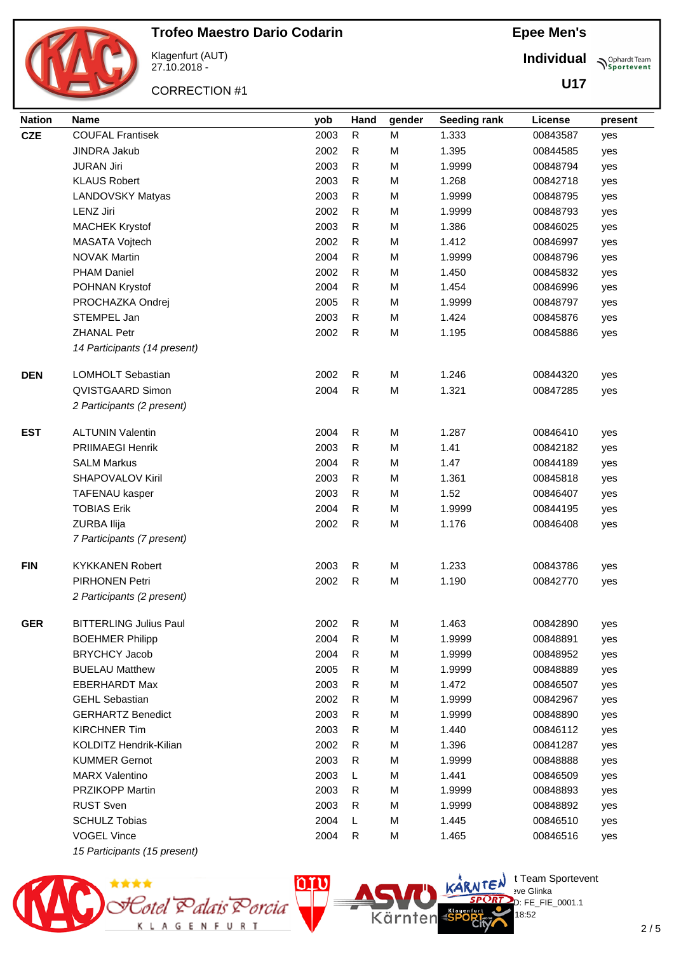

Klagenfurt (AUT) 27.10.2018 -

CORRECTION #1

**Epee Men's**

**Individual Supplemant** Team

**U17**

| <b>Nation</b> | <b>Name</b>                   | yob  | Hand         | gender | Seeding rank | License  | present |
|---------------|-------------------------------|------|--------------|--------|--------------|----------|---------|
| <b>CZE</b>    | <b>COUFAL Frantisek</b>       | 2003 | ${\sf R}$    | M      | 1.333        | 00843587 | yes     |
|               | <b>JINDRA Jakub</b>           | 2002 | $\mathsf{R}$ | M      | 1.395        | 00844585 | yes     |
|               | <b>JURAN Jiri</b>             | 2003 | R            | M      | 1.9999       | 00848794 | yes     |
|               | <b>KLAUS Robert</b>           | 2003 | $\mathsf{R}$ | M      | 1.268        | 00842718 | yes     |
|               | <b>LANDOVSKY Matyas</b>       | 2003 | $\mathsf{R}$ | M      | 1.9999       | 00848795 | yes     |
|               | <b>LENZ Jiri</b>              | 2002 | $\mathsf{R}$ | M      | 1.9999       | 00848793 | yes     |
|               | <b>MACHEK Krystof</b>         | 2003 | R            | M      | 1.386        | 00846025 | yes     |
|               | MASATA Vojtech                | 2002 | R            | M      | 1.412        | 00846997 | yes     |
|               | <b>NOVAK Martin</b>           | 2004 | $\mathsf{R}$ | M      | 1.9999       | 00848796 | yes     |
|               | <b>PHAM Daniel</b>            | 2002 | $\mathsf{R}$ | M      | 1.450        | 00845832 | yes     |
|               | POHNAN Krystof                | 2004 | R            | M      | 1.454        | 00846996 | yes     |
|               | PROCHAZKA Ondrej              | 2005 | R            | M      | 1.9999       | 00848797 | yes     |
|               | STEMPEL Jan                   | 2003 | $\mathsf{R}$ | M      | 1.424        | 00845876 | yes     |
|               | <b>ZHANAL Petr</b>            | 2002 | $\mathsf{R}$ | M      | 1.195        | 00845886 | yes     |
|               | 14 Participants (14 present)  |      |              |        |              |          |         |
| <b>DEN</b>    | LOMHOLT Sebastian             | 2002 | R            | M      | 1.246        | 00844320 | yes     |
|               | <b>QVISTGAARD Simon</b>       | 2004 | $\mathsf{R}$ | M      | 1.321        | 00847285 | yes     |
|               | 2 Participants (2 present)    |      |              |        |              |          |         |
| <b>EST</b>    | <b>ALTUNIN Valentin</b>       | 2004 | $\mathsf{R}$ | M      | 1.287        | 00846410 | yes     |
|               | <b>PRIIMAEGI Henrik</b>       | 2003 | $\mathsf{R}$ | M      | 1.41         | 00842182 | yes     |
|               | <b>SALM Markus</b>            | 2004 | $\mathsf{R}$ | M      | 1.47         | 00844189 | yes     |
|               | SHAPOVALOV Kiril              | 2003 | R            | M      | 1.361        | 00845818 | yes     |
|               | <b>TAFENAU kasper</b>         | 2003 | R            | М      | 1.52         | 00846407 | yes     |
|               | <b>TOBIAS Erik</b>            | 2004 | R            | M      | 1.9999       | 00844195 | yes     |
|               | ZURBA Ilija                   | 2002 | $\mathsf{R}$ | M      | 1.176        | 00846408 | yes     |
|               | 7 Participants (7 present)    |      |              |        |              |          |         |
| <b>FIN</b>    | <b>KYKKANEN Robert</b>        | 2003 | $\mathsf{R}$ | M      | 1.233        | 00843786 | yes     |
|               | <b>PIRHONEN Petri</b>         | 2002 | $\mathsf{R}$ | M      | 1.190        | 00842770 | yes     |
|               | 2 Participants (2 present)    |      |              |        |              |          |         |
| <b>GER</b>    | <b>BITTERLING Julius Paul</b> | 2002 | $\mathsf{R}$ | M      | 1.463        | 00842890 | yes     |
|               | <b>BOEHMER Philipp</b>        | 2004 | R            | M      | 1.9999       | 00848891 | yes     |
|               | <b>BRYCHCY Jacob</b>          | 2004 | R            | M      | 1.9999       | 00848952 | yes     |
|               | <b>BUELAU Matthew</b>         | 2005 | R            | M      | 1.9999       | 00848889 | yes     |
|               | <b>EBERHARDT Max</b>          | 2003 | $\mathsf{R}$ | M      | 1.472        | 00846507 | yes     |
|               | <b>GEHL Sebastian</b>         | 2002 | R            | M      | 1.9999       | 00842967 | yes     |
|               | <b>GERHARTZ Benedict</b>      | 2003 | R            | M      | 1.9999       | 00848890 | yes     |
|               | <b>KIRCHNER Tim</b>           | 2003 | R            | M      | 1.440        | 00846112 | yes     |
|               | KOLDITZ Hendrik-Kilian        | 2002 | R            | M      | 1.396        | 00841287 | yes     |
|               | <b>KUMMER Gernot</b>          | 2003 | R            | M      | 1.9999       | 00848888 | yes     |
|               | <b>MARX Valentino</b>         | 2003 | L            | M      | 1.441        | 00846509 | yes     |
|               | <b>PRZIKOPP Martin</b>        | 2003 | R            | M      | 1.9999       | 00848893 | yes     |
|               | <b>RUST Sven</b>              | 2003 | R            | M      | 1.9999       | 00848892 | yes     |
|               | <b>SCHULZ Tobias</b>          | 2004 | L            | M      | 1.445        | 00846510 | yes     |
|               | <b>VOGEL Vince</b>            | 2004 | R            | M      | 1.465        | 00846516 | yes     |
|               | 15 Participants (15 present)  |      |              |        |              |          |         |



 $\bigcup_{v \in \mathcal{F}} \mathbb{I}$  Team Sportevent

18:52

D: FE\_FIE\_0001.1

**N'Y'Letter** sve Glinka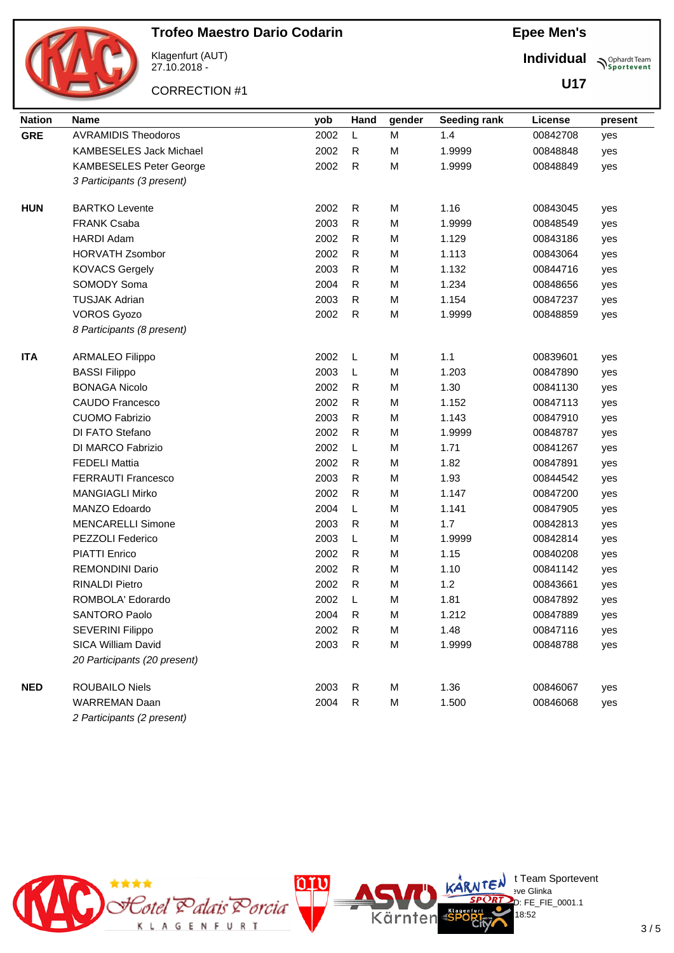

Klagenfurt (AUT) 27.10.2018 -

CORRECTION #1

**Epee Men's**

**Individual Supplemant** Team

**U17**

| <b>Nation</b> | <b>Name</b>                    | yob  | Hand         | gender | Seeding rank | License  | present |
|---------------|--------------------------------|------|--------------|--------|--------------|----------|---------|
| <b>GRE</b>    | <b>AVRAMIDIS Theodoros</b>     | 2002 | L            | M      | 1.4          | 00842708 | yes     |
|               | <b>KAMBESELES Jack Michael</b> | 2002 | R            | M      | 1.9999       | 00848848 | yes     |
|               | <b>KAMBESELES Peter George</b> | 2002 | $\mathsf{R}$ | M      | 1.9999       | 00848849 | yes     |
|               | 3 Participants (3 present)     |      |              |        |              |          |         |
| <b>HUN</b>    | <b>BARTKO Levente</b>          | 2002 | R            | M      | 1.16         | 00843045 | yes     |
|               | <b>FRANK Csaba</b>             | 2003 | $\mathsf{R}$ | M      | 1.9999       | 00848549 | yes     |
|               | <b>HARDI Adam</b>              | 2002 | $\mathsf R$  | M      | 1.129        | 00843186 | yes     |
|               | <b>HORVATH Zsombor</b>         | 2002 | $\mathsf{R}$ | M      | 1.113        | 00843064 | yes     |
|               | <b>KOVACS Gergely</b>          | 2003 | $\mathsf R$  | M      | 1.132        | 00844716 | yes     |
|               | SOMODY Soma                    | 2004 | $\mathsf{R}$ | M      | 1.234        | 00848656 | yes     |
|               | <b>TUSJAK Adrian</b>           | 2003 | $\mathsf{R}$ | M      | 1.154        | 00847237 | yes     |
|               | <b>VOROS Gyozo</b>             | 2002 | $\mathsf{R}$ | M      | 1.9999       | 00848859 | yes     |
|               | 8 Participants (8 present)     |      |              |        |              |          |         |
| <b>ITA</b>    | <b>ARMALEO Filippo</b>         | 2002 | L            | M      | 1.1          | 00839601 | yes     |
|               | <b>BASSI Filippo</b>           | 2003 | L            | M      | 1.203        | 00847890 | yes     |
|               | <b>BONAGA Nicolo</b>           | 2002 | R            | M      | 1.30         | 00841130 | yes     |
|               | <b>CAUDO Francesco</b>         | 2002 | $\mathsf R$  | M      | 1.152        | 00847113 | yes     |
|               | <b>CUOMO Fabrizio</b>          | 2003 | $\mathsf R$  | M      | 1.143        | 00847910 | yes     |
|               | DI FATO Stefano                | 2002 | ${\sf R}$    | M      | 1.9999       | 00848787 | yes     |
|               | DI MARCO Fabrizio              | 2002 | L            | M      | 1.71         | 00841267 | yes     |
|               | <b>FEDELI Mattia</b>           | 2002 | R            | M      | 1.82         | 00847891 | yes     |
|               | <b>FERRAUTI Francesco</b>      | 2003 | $\mathsf R$  | M      | 1.93         | 00844542 | yes     |
|               | <b>MANGIAGLI Mirko</b>         | 2002 | $\mathsf R$  | M      | 1.147        | 00847200 | yes     |
|               | MANZO Edoardo                  | 2004 | L            | M      | 1.141        | 00847905 | yes     |
|               | <b>MENCARELLI Simone</b>       | 2003 | R            | M      | 1.7          | 00842813 | yes     |
|               | PEZZOLI Federico               | 2003 | L            | M      | 1.9999       | 00842814 | yes     |
|               | <b>PIATTI Enrico</b>           | 2002 | $\mathsf R$  | M      | 1.15         | 00840208 | yes     |
|               | <b>REMONDINI Dario</b>         | 2002 | $\mathsf{R}$ | M      | 1.10         | 00841142 | yes     |
|               | <b>RINALDI Pietro</b>          | 2002 | $\mathsf{R}$ | M      | 1.2          | 00843661 | yes     |
|               | ROMBOLA' Edorardo              | 2002 | L            | M      | 1.81         | 00847892 | yes     |
|               | <b>SANTORO Paolo</b>           | 2004 | R            | M      | 1.212        | 00847889 | yes     |
|               | <b>SEVERINI Filippo</b>        | 2002 | $\mathsf{R}$ | M      | 1.48         | 00847116 | yes     |
|               | SICA William David             | 2003 | $\mathsf{R}$ | M      | 1.9999       | 00848788 | yes     |
|               | 20 Participants (20 present)   |      |              |        |              |          |         |
| <b>NED</b>    | ROUBAILO Niels                 | 2003 | $\mathsf{R}$ | M      | 1.36         | 00846067 | yes     |
|               | <b>WARREMAN Daan</b>           | 2004 | $\mathsf R$  | M      | 1.500        | 00846068 | yes     |
|               | 2 Participants (2 present)     |      |              |        |              |          |         |



 $\bigcup_{v \in \mathcal{F}} \mathbb{I}$  Team Sportevent

18:52

D: FE\_FIE\_0001.1

**N'Y'Letter** sve Glinka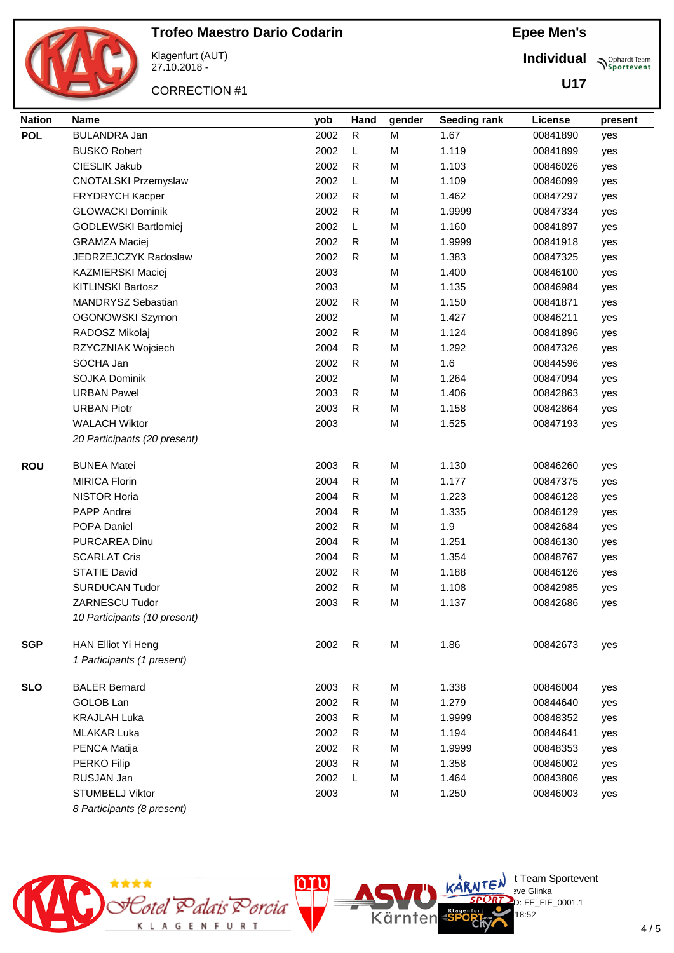

Klagenfurt (AUT) 27.10.2018 -

CORRECTION #1

**Epee Men's**

**Individual Supplemant** Team

**U17**

| <b>Nation</b> | <b>Name</b>                  | yob  | Hand         | gender | Seeding rank | License  | present |
|---------------|------------------------------|------|--------------|--------|--------------|----------|---------|
| <b>POL</b>    | <b>BULANDRA Jan</b>          | 2002 | ${\sf R}$    | M      | 1.67         | 00841890 | yes     |
|               | <b>BUSKO Robert</b>          | 2002 | L            | M      | 1.119        | 00841899 | yes     |
|               | CIESLIK Jakub                | 2002 | R            | M      | 1.103        | 00846026 | yes     |
|               | <b>CNOTALSKI Przemyslaw</b>  | 2002 | L            | M      | 1.109        | 00846099 | yes     |
|               | FRYDRYCH Kacper              | 2002 | $\mathsf R$  | M      | 1.462        | 00847297 | yes     |
|               | <b>GLOWACKI Dominik</b>      | 2002 | R            | M      | 1.9999       | 00847334 | yes     |
|               | GODLEWSKI Bartlomiej         | 2002 | L            | M      | 1.160        | 00841897 | yes     |
|               | <b>GRAMZA Maciej</b>         | 2002 | $\mathsf{R}$ | M      | 1.9999       | 00841918 | yes     |
|               | JEDRZEJCZYK Radoslaw         | 2002 | ${\sf R}$    | M      | 1.383        | 00847325 | yes     |
|               | <b>KAZMIERSKI Maciej</b>     | 2003 |              | M      | 1.400        | 00846100 | yes     |
|               | <b>KITLINSKI Bartosz</b>     | 2003 |              | M      | 1.135        | 00846984 | yes     |
|               | MANDRYSZ Sebastian           | 2002 | $\mathsf R$  | M      | 1.150        | 00841871 | yes     |
|               | OGONOWSKI Szymon             | 2002 |              | M      | 1.427        | 00846211 | yes     |
|               | RADOSZ Mikolaj               | 2002 | $\mathsf R$  | M      | 1.124        | 00841896 | yes     |
|               | RZYCZNIAK Wojciech           | 2004 | $\mathsf{R}$ | M      | 1.292        | 00847326 | yes     |
|               | SOCHA Jan                    | 2002 | $\mathsf R$  | M      | 1.6          | 00844596 | yes     |
|               | <b>SOJKA Dominik</b>         | 2002 |              | M      | 1.264        | 00847094 | yes     |
|               | <b>URBAN Pawel</b>           | 2003 | $\mathsf R$  | M      | 1.406        | 00842863 | yes     |
|               | <b>URBAN Piotr</b>           | 2003 | R            | M      | 1.158        | 00842864 | yes     |
|               | <b>WALACH Wiktor</b>         | 2003 |              | M      | 1.525        | 00847193 | yes     |
|               | 20 Participants (20 present) |      |              |        |              |          |         |
| <b>ROU</b>    | <b>BUNEA Matei</b>           | 2003 | $\mathsf R$  | M      | 1.130        | 00846260 | yes     |
|               | <b>MIRICA Florin</b>         | 2004 | ${\sf R}$    | M      | 1.177        | 00847375 | yes     |
|               | <b>NISTOR Horia</b>          | 2004 | $\mathsf{R}$ | M      | 1.223        | 00846128 | yes     |
|               | PAPP Andrei                  | 2004 | $\mathsf R$  | M      | 1.335        | 00846129 | yes     |
|               | POPA Daniel                  | 2002 | $\mathsf R$  | M      | 1.9          | 00842684 | yes     |
|               | PURCAREA Dinu                | 2004 | ${\sf R}$    | M      | 1.251        | 00846130 | yes     |
|               | <b>SCARLAT Cris</b>          | 2004 | $\mathsf R$  | M      | 1.354        | 00848767 | yes     |
|               | <b>STATIE David</b>          | 2002 | $\mathsf R$  | M      | 1.188        | 00846126 | yes     |
|               | <b>SURDUCAN Tudor</b>        | 2002 | $\mathsf R$  | M      | 1.108        | 00842985 | yes     |
|               | ZARNESCU Tudor               | 2003 | $\mathsf R$  | M      | 1.137        | 00842686 | yes     |
|               | 10 Participants (10 present) |      |              |        |              |          |         |
| <b>SGP</b>    | HAN Elliot Yi Heng           | 2002 | R            | M      | 1.86         | 00842673 | yes     |
|               | 1 Participants (1 present)   |      |              |        |              |          |         |
| <b>SLO</b>    | <b>BALER Bernard</b>         | 2003 | $\mathsf R$  | M      | 1.338        | 00846004 | yes     |
|               | <b>GOLOB Lan</b>             | 2002 | R            | M      | 1.279        | 00844640 | yes     |
|               | <b>KRAJLAH Luka</b>          | 2003 | R            | M      | 1.9999       | 00848352 | yes     |
|               | <b>MLAKAR Luka</b>           | 2002 | R            | M      | 1.194        | 00844641 | yes     |
|               | PENCA Matija                 | 2002 | R            | M      | 1.9999       | 00848353 | yes     |
|               | PERKO Filip                  | 2003 | R            | M      | 1.358        | 00846002 | yes     |
|               | RUSJAN Jan                   | 2002 | L            | M      | 1.464        | 00843806 | yes     |
|               | <b>STUMBELJ Viktor</b>       | 2003 |              | M      | 1.250        | 00846003 | yes     |
|               | 8 Participants (8 present)   |      |              |        |              |          |         |
|               |                              |      |              |        |              |          |         |



 $\bigcup_{v \in \mathcal{F}} \mathbb{I}$  Team Sportevent

18:52

.<br>D: FE\_FIE\_0001.1

**N'Y'Letter** sve Glinka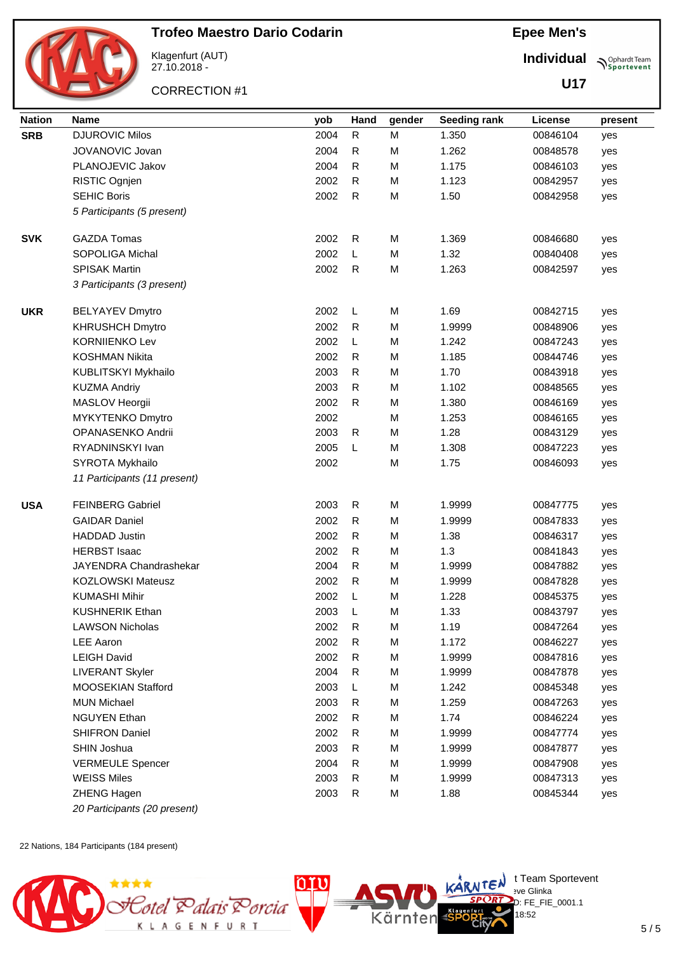

Klagenfurt (AUT) 27.10.2018 -

CORRECTION #1

**Epee Men's**

**Individual Sportevent** 

**U17**

| <b>Nation</b> | <b>Name</b>                  | yob  | Hand        | gender | <b>Seeding rank</b> | License  | present |
|---------------|------------------------------|------|-------------|--------|---------------------|----------|---------|
| <b>SRB</b>    | <b>DJUROVIC Milos</b>        | 2004 | ${\sf R}$   | M      | 1.350               | 00846104 | yes     |
|               | JOVANOVIC Jovan              | 2004 | R           | M      | 1.262               | 00848578 | yes     |
|               | PLANOJEVIC Jakov             | 2004 | R           | M      | 1.175               | 00846103 | yes     |
|               | RISTIC Ognjen                | 2002 | R           | M      | 1.123               | 00842957 | yes     |
|               | <b>SEHIC Boris</b>           | 2002 | R           | M      | 1.50                | 00842958 | yes     |
|               | 5 Participants (5 present)   |      |             |        |                     |          |         |
|               |                              |      |             |        |                     |          |         |
| <b>SVK</b>    | <b>GAZDA Tomas</b>           | 2002 | R           | M      | 1.369               | 00846680 | yes     |
|               | SOPOLIGA Michal              | 2002 | L           | M      | 1.32                | 00840408 | yes     |
|               | <b>SPISAK Martin</b>         | 2002 | R           | M      | 1.263               | 00842597 | yes     |
|               | 3 Participants (3 present)   |      |             |        |                     |          |         |
| <b>UKR</b>    | <b>BELYAYEV Dmytro</b>       | 2002 | L           | M      | 1.69                | 00842715 | yes     |
|               | <b>KHRUSHCH Dmytro</b>       | 2002 | R           | M      | 1.9999              | 00848906 | yes     |
|               | <b>KORNIIENKO Lev</b>        | 2002 | L           | M      | 1.242               | 00847243 | yes     |
|               | <b>KOSHMAN Nikita</b>        | 2002 | R           | M      | 1.185               | 00844746 | yes     |
|               | KUBLITSKYI Mykhailo          | 2003 | $\mathsf R$ | M      | 1.70                | 00843918 | yes     |
|               | <b>KUZMA Andriy</b>          | 2003 | $\mathsf R$ | M      | 1.102               | 00848565 | yes     |
|               | MASLOV Heorgii               | 2002 | ${\sf R}$   | M      | 1.380               | 00846169 | yes     |
|               | MYKYTENKO Dmytro             | 2002 |             | M      | 1.253               | 00846165 | yes     |
|               | OPANASENKO Andrii            | 2003 | $\mathsf R$ | M      | 1.28                | 00843129 | yes     |
|               | RYADNINSKYI Ivan             | 2005 | L           | M      | 1.308               | 00847223 | yes     |
|               | SYROTA Mykhailo              | 2002 |             | M      | 1.75                | 00846093 | yes     |
|               | 11 Participants (11 present) |      |             |        |                     |          |         |
| <b>USA</b>    | <b>FEINBERG Gabriel</b>      | 2003 | R           | M      | 1.9999              | 00847775 | yes     |
|               | <b>GAIDAR Daniel</b>         | 2002 | R           | M      | 1.9999              | 00847833 | yes     |
|               | <b>HADDAD Justin</b>         | 2002 | R           | M      | 1.38                | 00846317 | yes     |
|               | <b>HERBST Isaac</b>          | 2002 | $\mathsf R$ | M      | 1.3                 | 00841843 | yes     |
|               | JAYENDRA Chandrashekar       | 2004 | ${\sf R}$   | M      | 1.9999              | 00847882 | yes     |
|               | <b>KOZLOWSKI Mateusz</b>     | 2002 | R           | M      | 1.9999              | 00847828 | yes     |
|               | <b>KUMASHI Mihir</b>         | 2002 | L           | M      | 1.228               | 00845375 | yes     |
|               | <b>KUSHNERIK Ethan</b>       | 2003 | L           | M      | 1.33                | 00843797 | yes     |
|               | <b>LAWSON Nicholas</b>       | 2002 | R           | M      | 1.19                | 00847264 | yes     |
|               | LEE Aaron                    | 2002 | $\mathsf R$ | M      | 1.172               | 00846227 | yes     |
|               | <b>LEIGH David</b>           | 2002 | $\mathsf R$ | M      | 1.9999              | 00847816 | yes     |
|               | <b>LIVERANT Skyler</b>       | 2004 | $\mathsf R$ | M      | 1.9999              | 00847878 | yes     |
|               | MOOSEKIAN Stafford           | 2003 | L           | M      | 1.242               | 00845348 | yes     |
|               | <b>MUN Michael</b>           | 2003 | $\mathsf R$ | M      | 1.259               | 00847263 | yes     |
|               | <b>NGUYEN Ethan</b>          | 2002 | R           | M      | 1.74                | 00846224 | yes     |
|               | <b>SHIFRON Daniel</b>        | 2002 | $\mathsf R$ | M      | 1.9999              | 00847774 | yes     |
|               | SHIN Joshua                  | 2003 | $\mathsf R$ | M      | 1.9999              | 00847877 | yes     |
|               | <b>VERMEULE Spencer</b>      | 2004 | ${\sf R}$   | M      | 1.9999              | 00847908 | yes     |
|               | <b>WEISS Miles</b>           | 2003 | R           | M      | 1.9999              | 00847313 | yes     |
|               | ZHENG Hagen                  | 2003 | ${\sf R}$   | M      | 1.88                | 00845344 | yes     |
|               | 20 Participants (20 present) |      |             |        |                     |          |         |

22 Nations, 184 Participants (184 present)

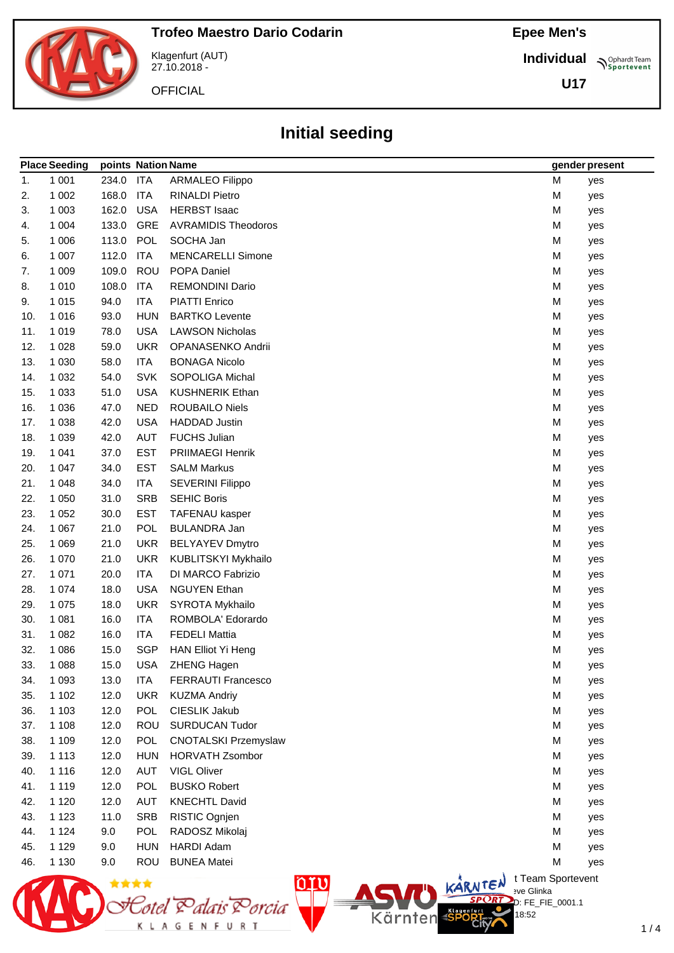**Individual Sportevent** 

**U17**



Klagenfurt (AUT) 27.10.2018 -

Cotel Palais Porcia<br>килостини

 $\circ$ 

**OFFICIAL** 

## **Initial seeding**

|     | <b>Place Seeding</b> |       | points Nation Name |                             |                   |   | gender present |
|-----|----------------------|-------|--------------------|-----------------------------|-------------------|---|----------------|
| 1.  | 1 0 0 1              | 234.0 | <b>ITA</b>         | <b>ARMALEO Filippo</b>      |                   | M | yes            |
| 2.  | 1 0 0 2              | 168.0 | ITA                | <b>RINALDI Pietro</b>       |                   | M | yes            |
| 3.  | 1 0 0 3              | 162.0 | <b>USA</b>         | <b>HERBST Isaac</b>         |                   | M | yes            |
| 4.  | 1 0 0 4              | 133.0 | GRE                | <b>AVRAMIDIS Theodoros</b>  |                   | M | yes            |
| 5.  | 1 0 0 6              | 113.0 | <b>POL</b>         | SOCHA Jan                   |                   | M | yes            |
| 6.  | 1 0 0 7              | 112.0 | ITA                | <b>MENCARELLI Simone</b>    |                   | M | yes            |
| 7.  | 1 0 0 9              | 109.0 | <b>ROU</b>         | POPA Daniel                 |                   | M | yes            |
| 8.  | 1 0 1 0              | 108.0 | <b>ITA</b>         | <b>REMONDINI Dario</b>      |                   | M | yes            |
| 9.  | 1015                 | 94.0  | <b>ITA</b>         | <b>PIATTI Enrico</b>        |                   | M | yes            |
| 10. | 1016                 | 93.0  | <b>HUN</b>         | <b>BARTKO Levente</b>       |                   | M | yes            |
| 11. | 1 0 1 9              | 78.0  | <b>USA</b>         | <b>LAWSON Nicholas</b>      |                   | M | yes            |
| 12. | 1 0 2 8              | 59.0  | <b>UKR</b>         | OPANASENKO Andrii           |                   | M | yes            |
| 13. | 1 0 3 0              | 58.0  | <b>ITA</b>         | <b>BONAGA Nicolo</b>        |                   | M | yes            |
| 14. | 1 0 3 2              | 54.0  | <b>SVK</b>         | <b>SOPOLIGA Michal</b>      |                   | M | yes            |
| 15. | 1 0 3 3              | 51.0  | <b>USA</b>         | <b>KUSHNERIK Ethan</b>      |                   | M | yes            |
| 16. | 1 0 3 6              | 47.0  | <b>NED</b>         | <b>ROUBAILO Niels</b>       |                   | M | yes            |
| 17. | 1 0 38               | 42.0  | <b>USA</b>         | <b>HADDAD Justin</b>        |                   | M | yes            |
| 18. | 1 0 3 9              | 42.0  | AUT                | <b>FUCHS Julian</b>         |                   | M | yes            |
| 19. | 1 0 4 1              | 37.0  | <b>EST</b>         | PRIIMAEGI Henrik            |                   | M | yes            |
| 20. | 1 0 4 7              | 34.0  | <b>EST</b>         | <b>SALM Markus</b>          |                   | M | yes            |
| 21. | 1 0 4 8              | 34.0  | <b>ITA</b>         | <b>SEVERINI Filippo</b>     |                   | M | yes            |
| 22. | 1 0 5 0              | 31.0  | <b>SRB</b>         | <b>SEHIC Boris</b>          |                   | M | yes            |
| 23. | 1 0 5 2              | 30.0  | <b>EST</b>         | TAFENAU kasper              |                   | M | yes            |
| 24. | 1 0 6 7              | 21.0  | POL                | <b>BULANDRA Jan</b>         |                   | M | yes            |
| 25. | 1 0 6 9              | 21.0  | <b>UKR</b>         | <b>BELYAYEV Dmytro</b>      |                   | M | yes            |
| 26. | 1 0 7 0              | 21.0  | <b>UKR</b>         | KUBLITSKYI Mykhailo         |                   | M | yes            |
| 27. | 1 0 7 1              | 20.0  | <b>ITA</b>         | DI MARCO Fabrizio           |                   | M | yes            |
| 28. | 1 0 7 4              | 18.0  | <b>USA</b>         | <b>NGUYEN Ethan</b>         |                   | M | yes            |
| 29. | 1 0 7 5              | 18.0  | <b>UKR</b>         | SYROTA Mykhailo             |                   | M | yes            |
| 30. | 1 0 8 1              | 16.0  | <b>ITA</b>         | ROMBOLA' Edorardo           |                   | M | yes            |
| 31. | 1 0 8 2              | 16.0  | <b>ITA</b>         | <b>FEDELI Mattia</b>        |                   | M | yes            |
| 32. | 1 0 8 6              | 15.0  | <b>SGP</b>         | HAN Elliot Yi Heng          |                   | M | yes            |
| 33. | 1 0 8 8              | 15.0  | <b>USA</b>         | ZHENG Hagen                 |                   | М | yes            |
| 34. | 1 0 9 3              | 13.0  | ITA                | FERRAUTI Francesco          |                   | M | yes            |
| 35. | 1 1 0 2              | 12.0  | <b>UKR</b>         | <b>KUZMA Andriy</b>         |                   | M | yes            |
| 36. | 1 1 0 3              | 12.0  | <b>POL</b>         | CIESLIK Jakub               |                   | М | yes            |
| 37. | 1 1 0 8              | 12.0  | <b>ROU</b>         | <b>SURDUCAN Tudor</b>       |                   | M | yes            |
| 38. | 1 1 0 9              | 12.0  | <b>POL</b>         | <b>CNOTALSKI Przemyslaw</b> |                   | M | yes            |
| 39. | 1 1 1 3              | 12.0  | <b>HUN</b>         | <b>HORVATH Zsombor</b>      |                   | M | yes            |
| 40. | 1 1 1 6              | 12.0  | <b>AUT</b>         | <b>VIGL Oliver</b>          |                   | M | yes            |
| 41. | 1 1 1 9              | 12.0  | <b>POL</b>         | <b>BUSKO Robert</b>         |                   | M | yes            |
| 42. | 1 1 2 0              | 12.0  | <b>AUT</b>         | <b>KNECHTL David</b>        |                   | M | yes            |
| 43. | 1 1 2 3              | 11.0  | <b>SRB</b>         | RISTIC Ognjen               |                   | M | yes            |
| 44. | 1 1 2 4              | 9.0   | <b>POL</b>         | RADOSZ Mikolaj              |                   | M | yes            |
| 45. | 1 1 2 9              | 9.0   | <b>HUN</b>         | <b>HARDI Adam</b>           |                   | M | yes            |
| 46. | 1 1 3 0              | 9.0   | <b>ROU</b>         | <b>BUNEA Matei</b>          |                   | M | yes            |
|     |                      |       |                    | nm                          | t Team Sportevent |   |                |

**N'Y'Letter** sve Glinka

Kärnten

18:52

 $D: FE_FIE_0001.1$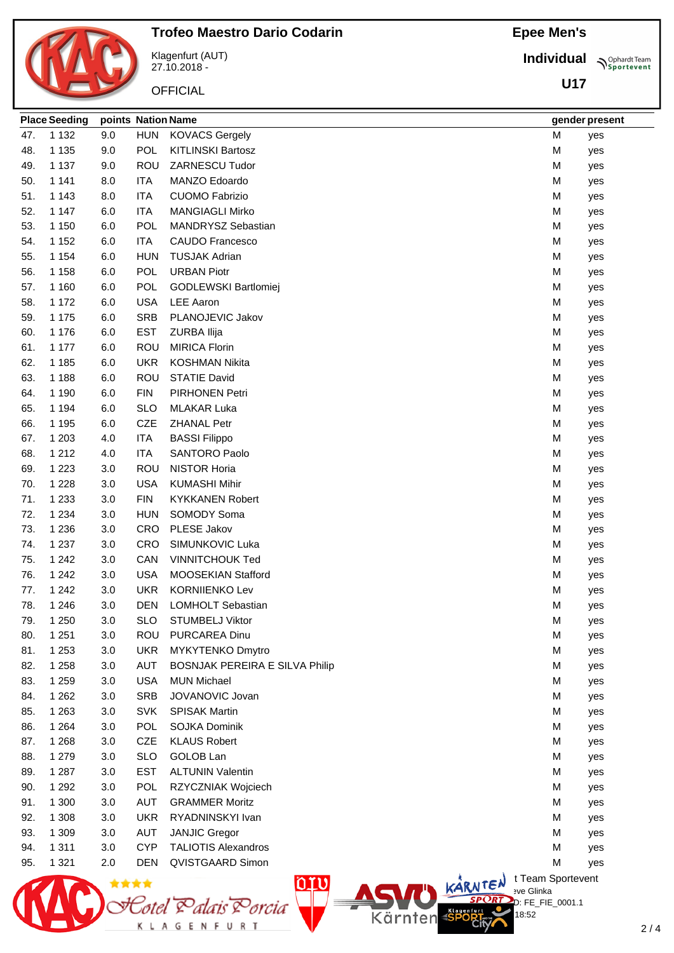## **Epee Men's**

**Individual**

**U17**

**Sportevent** 



Klagenfurt (AUT) 27.10.2018 -

<u>Sotel Balais Borcia</u>

K L A G E N F U R T

 $\circlearrowleft$ 

**OFFICIAL** 

| 47. | 1 1 3 2 | 9.0  | HUN        | <b>KOVACS Gergely</b>          |                          | M | yes |
|-----|---------|------|------------|--------------------------------|--------------------------|---|-----|
| 48. | 1 1 3 5 | 9.0  | <b>POL</b> | <b>KITLINSKI Bartosz</b>       |                          | M | yes |
| 49. | 1 1 3 7 | 9.0  | <b>ROU</b> | ZARNESCU Tudor                 |                          | M | yes |
| 50. | 1 1 4 1 | 8.0  | <b>ITA</b> | MANZO Edoardo                  |                          | M | yes |
| 51. | 1 1 4 3 | 8.0  | <b>ITA</b> | <b>CUOMO Fabrizio</b>          |                          | M | yes |
| 52. | 1 1 4 7 | 6.0  | <b>ITA</b> | <b>MANGIAGLI Mirko</b>         |                          | M | yes |
| 53. | 1 1 5 0 | 6.0  | <b>POL</b> | <b>MANDRYSZ Sebastian</b>      |                          | M | yes |
| 54. | 1 1 5 2 | 6.0  | <b>ITA</b> | <b>CAUDO Francesco</b>         |                          | M | yes |
| 55. | 1 1 5 4 | 6.0  | <b>HUN</b> | <b>TUSJAK Adrian</b>           |                          | M | yes |
| 56. | 1 1 5 8 | 6.0  | <b>POL</b> | <b>URBAN Piotr</b>             |                          | M | yes |
| 57. | 1 1 6 0 | 6.0  | <b>POL</b> | GODLEWSKI Bartlomiej           |                          | M | yes |
| 58. | 1 1 7 2 | 6.0  | <b>USA</b> | <b>LEE Aaron</b>               |                          | M | yes |
| 59. | 1 1 7 5 | 6.0  | <b>SRB</b> | PLANOJEVIC Jakov               |                          | M | yes |
| 60. | 1 1 7 6 | 6.0  | <b>EST</b> | ZURBA Ilija                    |                          | M | yes |
| 61. | 1 1 7 7 | 6.0  | <b>ROU</b> | <b>MIRICA Florin</b>           |                          | M | yes |
| 62. | 1 1 8 5 | 6.0  | <b>UKR</b> | <b>KOSHMAN Nikita</b>          |                          | M | yes |
| 63. | 1 1 8 8 | 6.0  | <b>ROU</b> | <b>STATIE David</b>            |                          | М | yes |
| 64. | 1 1 9 0 | 6.0  | <b>FIN</b> | PIRHONEN Petri                 |                          | M | yes |
| 65. | 1 1 9 4 | 6.0  | <b>SLO</b> | <b>MLAKAR Luka</b>             |                          | M | yes |
| 66. | 1 1 9 5 | 6.0  | <b>CZE</b> | <b>ZHANAL Petr</b>             |                          | M | yes |
| 67. | 1 203   | 4.0  | <b>ITA</b> | <b>BASSI Filippo</b>           |                          | M | yes |
| 68. | 1 2 1 2 | 4.0  | <b>ITA</b> | <b>SANTORO Paolo</b>           |                          | M | yes |
| 69. | 1 2 2 3 | 3.0  | ROU        | <b>NISTOR Horia</b>            |                          | M | yes |
| 70. | 1 2 2 8 | 3.0  | <b>USA</b> | <b>KUMASHI Mihir</b>           |                          | M | yes |
| 71. | 1 2 3 3 | 3.0  | <b>FIN</b> | <b>KYKKANEN Robert</b>         |                          | M | yes |
| 72. | 1 2 3 4 | 3.0  | <b>HUN</b> | SOMODY Soma                    |                          | M | yes |
| 73. | 1 2 3 6 | 3.0  | <b>CRO</b> | PLESE Jakov                    |                          | M | yes |
| 74. | 1 2 3 7 | 3.0  | <b>CRO</b> | SIMUNKOVIC Luka                |                          | M | yes |
| 75. | 1 2 4 2 | 3.0  | CAN        | <b>VINNITCHOUK Ted</b>         |                          | M | yes |
| 76. | 1 2 4 2 | 3.0  | <b>USA</b> | MOOSEKIAN Stafford             |                          | M | yes |
| 77. | 1 2 4 2 | 3.0  | <b>UKR</b> | <b>KORNIIENKO Lev</b>          |                          | M | yes |
| 78. | 1 2 4 6 | 3.0  | DEN        | LOMHOLT Sebastian              |                          | M | yes |
| 79. | 1 2 5 0 | 3.0  | <b>SLO</b> | <b>STUMBELJ Viktor</b>         |                          | M | yes |
| 80. | 1 2 5 1 | 3.0  | ROU        | PURCAREA Dinu                  |                          | М | yes |
| 81. | 1 2 5 3 | 3.0  | <b>UKR</b> | MYKYTENKO Dmytro               |                          | M | yes |
| 82. | 1 2 5 8 | 3.0  | <b>AUT</b> | BOSNJAK PEREIRA E SILVA Philip |                          | M | yes |
| 83. | 1 2 5 9 | 3.0  | <b>USA</b> | <b>MUN Michael</b>             |                          | м | yes |
| 84. | 1 2 6 2 | 3.0  | <b>SRB</b> | JOVANOVIC Jovan                |                          | M | yes |
| 85. | 1 2 6 3 | 3.0  | <b>SVK</b> | <b>SPISAK Martin</b>           |                          | M | yes |
| 86. | 1 2 6 4 | 3.0  | <b>POL</b> | <b>SOJKA Dominik</b>           |                          | м | yes |
| 87. | 1 2 6 8 | 3.0  | <b>CZE</b> | <b>KLAUS Robert</b>            |                          | м | yes |
| 88. | 1 2 7 9 | 3.0  | <b>SLO</b> | <b>GOLOB Lan</b>               |                          | M | yes |
| 89. | 1 2 8 7 | 3.0  | <b>EST</b> | <b>ALTUNIN Valentin</b>        |                          | M | yes |
| 90. | 1 2 9 2 | 3.0  | <b>POL</b> | RZYCZNIAK Wojciech             |                          | M | yes |
| 91. | 1 300   | 3.0  | <b>AUT</b> | <b>GRAMMER Moritz</b>          |                          | M | yes |
| 92. | 1 3 0 8 | 3.0  | <b>UKR</b> | RYADNINSKYI Ivan               |                          | M | yes |
| 93. | 1 309   | 3.0  | <b>AUT</b> | <b>JANJIC Gregor</b>           |                          | M | yes |
| 94. | 1 3 1 1 | 3.0  | <b>CYP</b> | <b>TALIOTIS Alexandros</b>     |                          | M | yes |
| 95. | 1 3 2 1 | 2.0  | <b>DEN</b> | QVISTGAARD Simon               |                          | M | yes |
|     |         | **** |            | <u>orv</u>                     | KARNTEN ITeam Sportevent |   |     |

### 2 / 4

eve Glinka D: FE\_FIE\_0001.1

18:52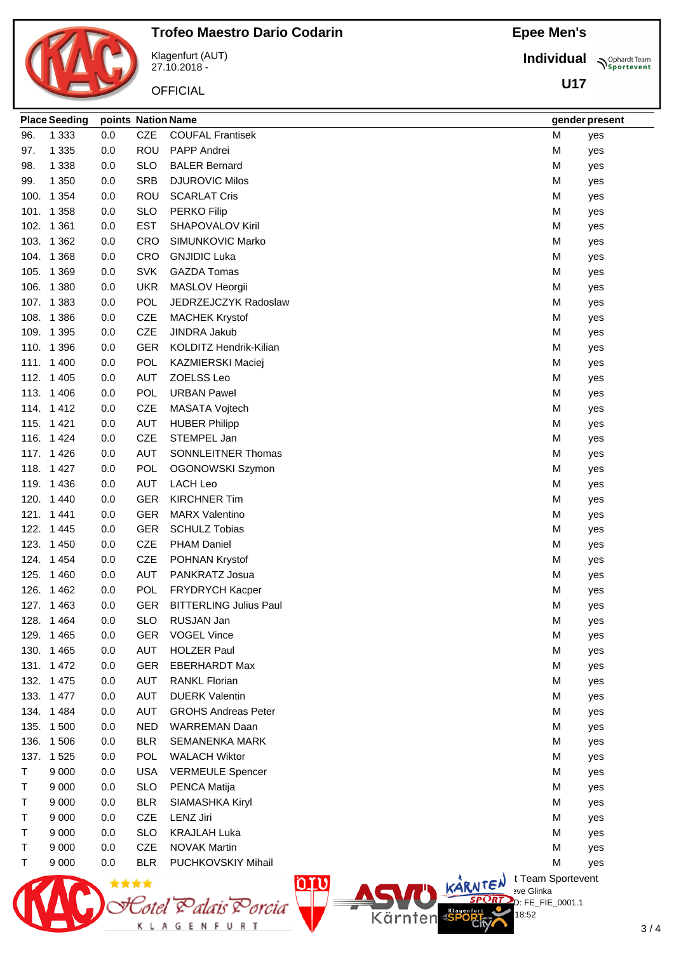## **Epee Men's**

**N**Sportevent

**Place Seeding points Nation Name gender present**

|      |                      |     |            | Klagenfurt (AUT)<br>27.10.2018 - | <b>Individual</b> |
|------|----------------------|-----|------------|----------------------------------|-------------------|
|      |                      |     |            | <b>OFFICIAL</b>                  | <b>U17</b>        |
|      | <b>Place Seeding</b> |     |            | points Nation Name               | gender pres       |
| 96.  | 1 3 3 3              | 0.0 | <b>CZE</b> | <b>COUFAL Frantisek</b>          | M<br>yes          |
| 97.  | 1 3 3 5              | 0.0 | <b>ROU</b> | PAPP Andrei                      | м<br>yes          |
| 98.  | 1 3 3 8              | 0.0 | <b>SLO</b> | <b>BALER Bernard</b>             | M<br>yes          |
| 99.  | 1 3 5 0              | 0.0 | <b>SRB</b> | <b>DJUROVIC Milos</b>            | м<br>yes          |
| 100. | 1 3 5 4              | 0.0 | <b>ROU</b> | <b>SCARLAT Cris</b>              | M<br>yes          |
|      | 101. 1 358           | 0.0 | <b>SLO</b> | <b>PERKO Filip</b>               | м<br>yes          |
|      | 102. 1 361           | 0.0 | <b>EST</b> | <b>SHAPOVALOV Kiril</b>          | M<br>yes          |
|      | 103. 1 362           | 0.0 | <b>CRO</b> | SIMUNKOVIC Marko                 | M<br>yes          |
|      | 104. 1 368           | 0.0 | <b>CRO</b> | <b>GNJIDIC Luka</b>              | M<br>yes          |
| 105. | 1 3 6 9              | 0.0 | <b>SVK</b> | <b>GAZDA Tomas</b>               | M<br>yes          |
|      | 106. 1 380           | 0.0 | <b>UKR</b> | MASLOV Heorgii                   | M<br>yes          |
|      | 107. 1383            | 0.0 | <b>POL</b> | JEDRZEJCZYK Radoslaw             | M<br>yes          |
|      | 108. 1386            | 0.0 | <b>CZE</b> | <b>MACHEK Krystof</b>            | M<br>yes          |
|      | 109. 1395            | 0.0 | <b>CZE</b> | <b>JINDRA Jakub</b>              | M<br>yes          |
|      | 110. 1396            | 0.0 | <b>GER</b> | KOLDITZ Hendrik-Kilian           | M<br>yes          |
|      | 111. 1 400           | 0.0 | POL        | KAZMIERSKI Maciej                | M<br>yes          |
|      | 112. 1 405           | 0.0 | <b>AUT</b> | ZOELSS Leo                       | м<br>yes          |
|      | 113. 1406            | 0.0 | POL        | <b>URBAN Pawel</b>               | м<br>yes          |
|      | 114. 1412            | 0.0 | <b>CZE</b> | MASATA Vojtech                   | м<br>yes          |
|      | 115. 1421            | 0.0 | <b>AUT</b> | <b>HUBER Philipp</b>             | M<br>yes          |
|      | 116. 1424            | 0.0 | <b>CZE</b> | STEMPEL Jan                      | м<br>yes          |
|      | 117. 1426            | 0.0 | <b>AUT</b> | SONNLEITNER Thomas               | M<br>yes          |
|      | 118. 1427            | 0.0 | POL        | OGONOWSKI Szymon                 | M<br>yes          |
|      | 119. 1436            | 0.0 | <b>AUT</b> | <b>LACH Leo</b>                  | M<br>yes          |
|      | 120. 1440            | 0.0 | <b>GER</b> | <b>KIRCHNER Tim</b>              | M<br>yes          |
|      | 121. 1441            | 0.0 | <b>GER</b> | <b>MARX Valentino</b>            | M<br>yes          |
| 122. | 1445                 | 0.0 | <b>GER</b> | <b>SCHULZ Tobias</b>             | M<br>yes          |
|      | 123. 1450            | 0.0 | <b>CZE</b> | <b>PHAM Daniel</b>               | М<br>yes          |
|      | 124. 1454            | 0.0 | CZE        | POHNAN Krystof                   | M<br>yes          |
|      | 125. 1460            | 0.0 | AUT        | PANKRATZ Josua                   | M<br>yes          |
|      | 126. 1462            | 0.0 | <b>POL</b> | FRYDRYCH Kacper                  | M<br>yes          |
|      | 127. 1463            | 0.0 | <b>GER</b> | <b>BITTERLING Julius Paul</b>    | M<br>yes          |
|      | 128. 1464            | 0.0 | <b>SLO</b> | RUSJAN Jan                       | м<br>yes          |
|      | 129. 1465            | 0.0 | <b>GER</b> | <b>VOGEL Vince</b>               | M<br>yes          |
|      | 130. 1465            | 0.0 | AUT        | <b>HOLZER Paul</b>               | м<br>yes          |
|      | 131. 1472            | 0.0 | <b>GER</b> | <b>EBERHARDT Max</b>             | M<br>yes          |
|      | 132. 1475            | 0.0 | AUT        | <b>RANKL Florian</b>             | M<br>yes          |
|      | 133. 1477            | 0.0 | AUT        | <b>DUERK Valentin</b>            | M<br>yes          |
|      | 134. 1484            | 0.0 | AUT        | <b>GROHS Andreas Peter</b>       | M<br>yes          |
|      | 135. 1500            | 0.0 | <b>NED</b> | <b>WARREMAN Daan</b>             | M<br>yes          |
|      | 136. 1506            | 0.0 | <b>BLR</b> | <b>SEMANENKA MARK</b>            | M<br>yes          |
|      | 137. 1525            | 0.0 | POL        | <b>WALACH Wiktor</b>             | M<br>yes          |

T 9 000 0.0 USA VERMEULE Spencer M yes T 9 000 0.0 SLO PENCA Matija merupakan ke banyak berada yang diterbitkan mereka di mereka kalendar di mereka di mer

nru

Kärnten

Totel & alais & orcia

K L A G E N F U R T

T 9 000 0.0 BLR SIAMASHKA Kiryl CHANGER CHANGER CHANGER M yes T 9 000 0.0 CZE LENZ Jiri M yes T 9 000 0.0 SLO KRAJLAH Luka M yes T 9 000 0.0 CZE NOVAK Martin **M** yes T 9 000 0.0 BLR PUCHKOVSKIY Mihail M CONTEXT CONTEXT M yes

> $\bigcup_{v \in \mathcal{F}} \mathbb{I}$  Team Sportevent **N'Y'Letter** sve Glinka D: FE\_FIE\_0001.1

> > 18:52

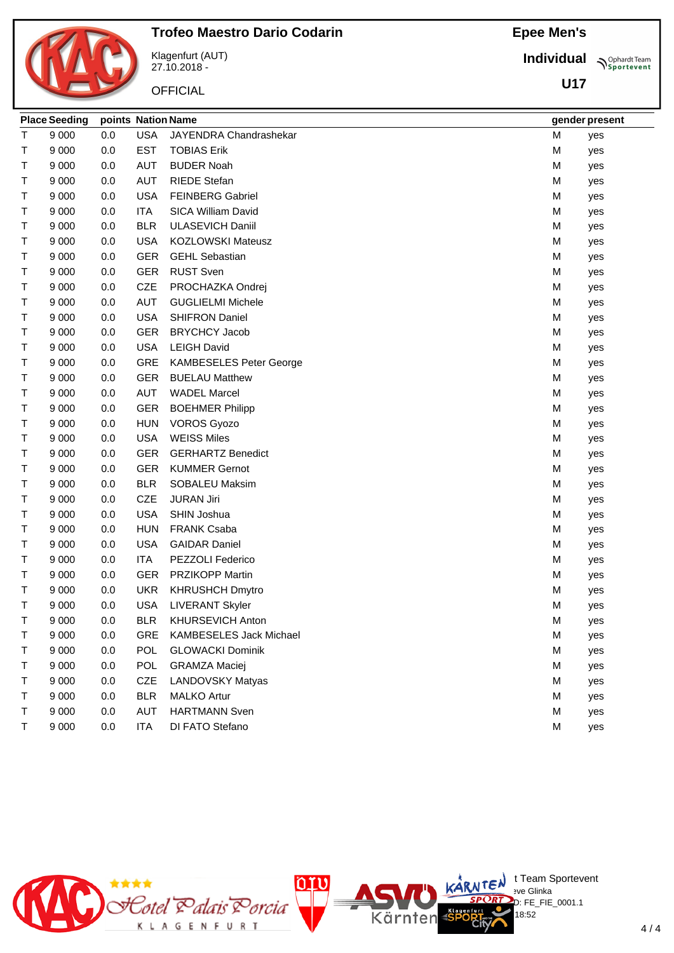

**Individual**

**U17**

**Sportevent** 

Klagenfurt (AUT) 27.10.2018 - **OFFICIAL** 

|   | <b>Place Seeding</b> | points Nation Name |            |                                |   | gender present |
|---|----------------------|--------------------|------------|--------------------------------|---|----------------|
| т | 9 0 0 0              | 0.0                | <b>USA</b> | JAYENDRA Chandrashekar         | M | yes            |
| т | 9 0 0 0              | 0.0                | <b>EST</b> | <b>TOBIAS Erik</b>             | M | yes            |
| т | 9 0 0 0              | 0.0                | AUT        | <b>BUDER Noah</b>              | M | yes            |
| Т | 9 0 0 0              | 0.0                | <b>AUT</b> | <b>RIEDE Stefan</b>            | M | yes            |
| Т | 9 0 0 0              | 0.0                | <b>USA</b> | <b>FEINBERG Gabriel</b>        | M | yes            |
| т | 9 0 0 0              | 0.0                | <b>ITA</b> | SICA William David             | M | yes            |
| т | 9 0 0 0              | 0.0                | <b>BLR</b> | <b>ULASEVICH Daniil</b>        | M | yes            |
| т | 9 0 0 0              | 0.0                | <b>USA</b> | <b>KOZLOWSKI Mateusz</b>       | M | yes            |
| т | 9 0 0 0              | 0.0                | <b>GER</b> | <b>GEHL Sebastian</b>          | M | yes            |
| т | 9 0 0 0              | 0.0                | <b>GER</b> | <b>RUST Sven</b>               | M | yes            |
| т | 9 0 0 0              | 0.0                | <b>CZE</b> | PROCHAZKA Ondrej               | M | yes            |
| Т | 9 0 0 0              | 0.0                | <b>AUT</b> | <b>GUGLIELMI Michele</b>       | M | yes            |
| т | 9 0 0 0              | 0.0                | <b>USA</b> | <b>SHIFRON Daniel</b>          | M | yes            |
| т | 9 0 0 0              | 0.0                | <b>GER</b> | <b>BRYCHCY Jacob</b>           | M | yes            |
| т | 9 0 0 0              | 0.0                | <b>USA</b> | <b>LEIGH David</b>             | M | yes            |
| т | 9 0 0 0              | 0.0                | <b>GRE</b> | <b>KAMBESELES Peter George</b> | M | yes            |
| Т | 9 0 0 0              | 0.0                | <b>GER</b> | <b>BUELAU Matthew</b>          | M | yes            |
| т | 9 0 0 0              | 0.0                | <b>AUT</b> | <b>WADEL Marcel</b>            | M | yes            |
| т | 9 0 0 0              | 0.0                | <b>GER</b> | <b>BOEHMER Philipp</b>         | M | yes            |
| т | 9 0 0 0              | 0.0                | <b>HUN</b> | <b>VOROS Gyozo</b>             | M | yes            |
| т | 9 0 0 0              | 0.0                | <b>USA</b> | <b>WEISS Miles</b>             | M | yes            |
| Т | 9 0 0 0              | 0.0                | <b>GER</b> | <b>GERHARTZ Benedict</b>       | M | yes            |
| т | 9 0 0 0              | 0.0                | <b>GER</b> | <b>KUMMER Gernot</b>           | M | yes            |
| Т | 9 0 0 0              | 0.0                | <b>BLR</b> | <b>SOBALEU Maksim</b>          | M | yes            |
| Т | 9 0 0 0              | 0.0                | <b>CZE</b> | <b>JURAN Jiri</b>              | M | yes            |
| т | 9 0 0 0              | 0.0                | <b>USA</b> | SHIN Joshua                    | M | yes            |
| т | 9 0 0 0              | 0.0                | <b>HUN</b> | <b>FRANK Csaba</b>             | M | yes            |
| т | 9 0 0 0              | 0.0                | <b>USA</b> | <b>GAIDAR Daniel</b>           | M | yes            |
| т | 9 0 0 0              | 0.0                | <b>ITA</b> | PEZZOLI Federico               | M | yes            |
| Т | 9 0 0 0              | 0.0                | <b>GER</b> | <b>PRZIKOPP Martin</b>         | M | yes            |
| Т | 9 0 0 0              | 0.0                | <b>UKR</b> | <b>KHRUSHCH Dmytro</b>         | M | yes            |
| т | 9 0 0 0              | 0.0                | <b>USA</b> | <b>LIVERANT Skyler</b>         | M | yes            |
| Τ | 9 0 0 0              | 0.0                | <b>BLR</b> | <b>KHURSEVICH Anton</b>        | М | yes            |
| т | 9 0 0 0              | 0.0                | <b>GRE</b> | <b>KAMBESELES Jack Michael</b> | M | yes            |
| т | 9 0 0 0              | 0.0                | <b>POL</b> | <b>GLOWACKI Dominik</b>        | M | yes            |
| т | 9 0 0 0              | 0.0                | <b>POL</b> | <b>GRAMZA Maciej</b>           | M | yes            |
| Т | 9 0 0 0              | 0.0                | <b>CZE</b> | <b>LANDOVSKY Matyas</b>        | M | yes            |
| т | 9 0 0 0              | 0.0                | <b>BLR</b> | <b>MALKO Artur</b>             | M | yes            |
| Т | 9 0 0 0              | 0.0                | <b>AUT</b> | <b>HARTMANN Sven</b>           | M | yes            |
| т | 9 0 0 0              | 0.0                | <b>ITA</b> | DI FATO Stefano                | M | yes            |

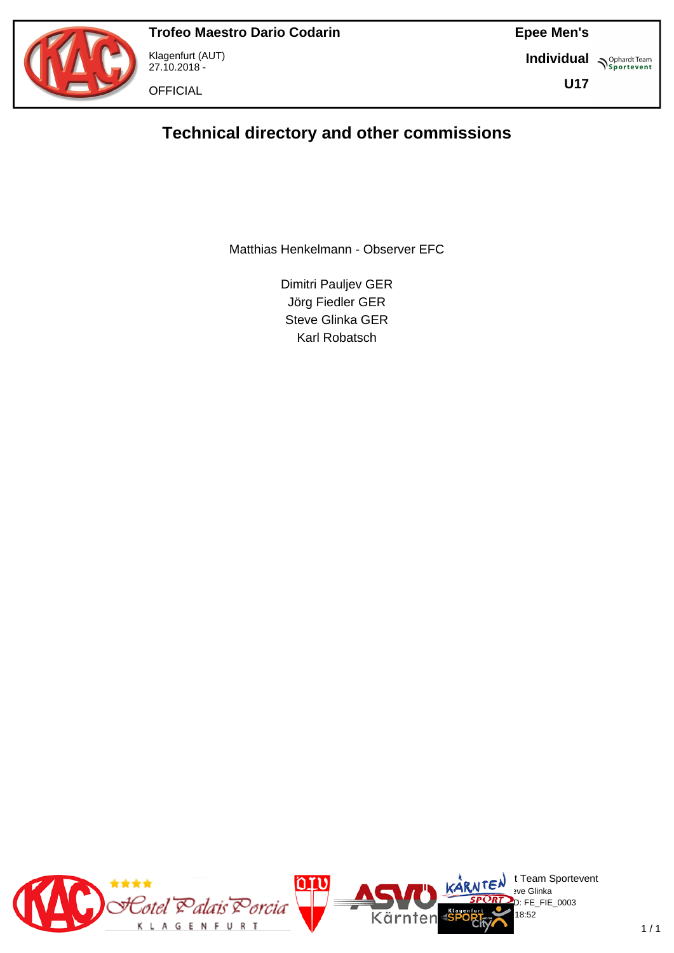

Klagenfurt (AUT) 27.10.2018 -

**OFFICIAL** 

**Epee Men's**

**Individual Supplemant** Team

**U17**

## **Technical directory and other commissions**

Matthias Henkelmann - Observer EFC

Dimitri Pauljev GER Jörg Fiedler GER Steve Glinka GER Karl Robatsch

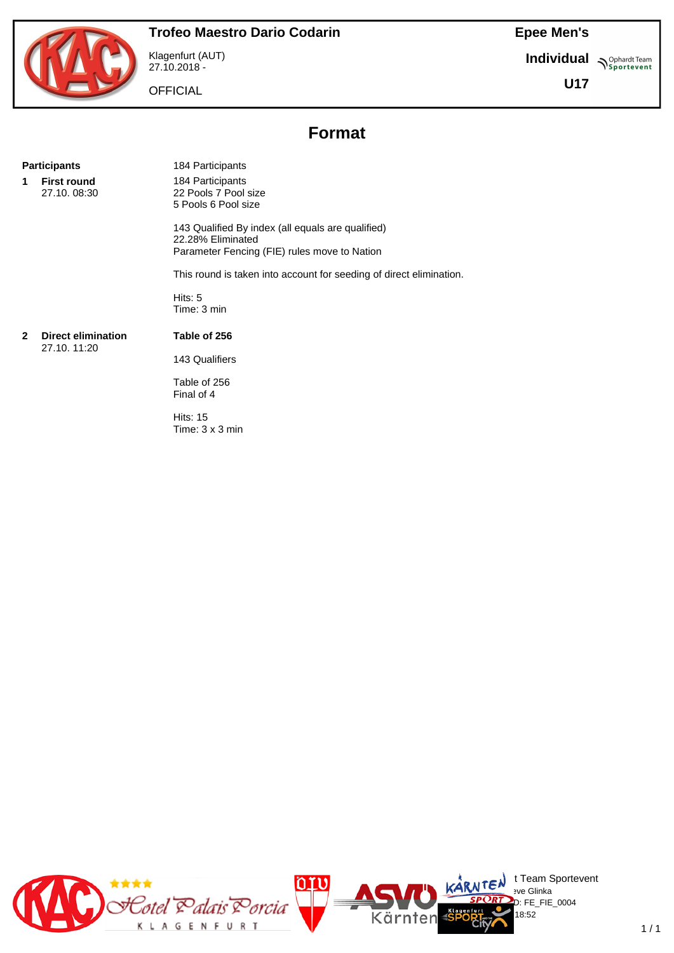**Individual Supplemant** Team

**U17**

Klagenfurt (AUT) 27.10.2018 - **OFFICIAL** 

## **Format**

#### Participants 184 Participants

**1 First round** 27.10. 08:30 184 Participants 22 Pools 7 Pool size 5 Pools 6 Pool size

143 Qualified By index (all equals are qualified) 22.28% Eliminated Parameter Fencing (FIE) rules move to Nation

This round is taken into account for seeding of direct elimination.

Hits: 5 Time: 3 min

#### **2 Direct elimination** 27.10. 11:20

**Table of 256** 143 Qualifiers

Table of 256 Final of 4

Hits: 15 Time: 3 x 3 min

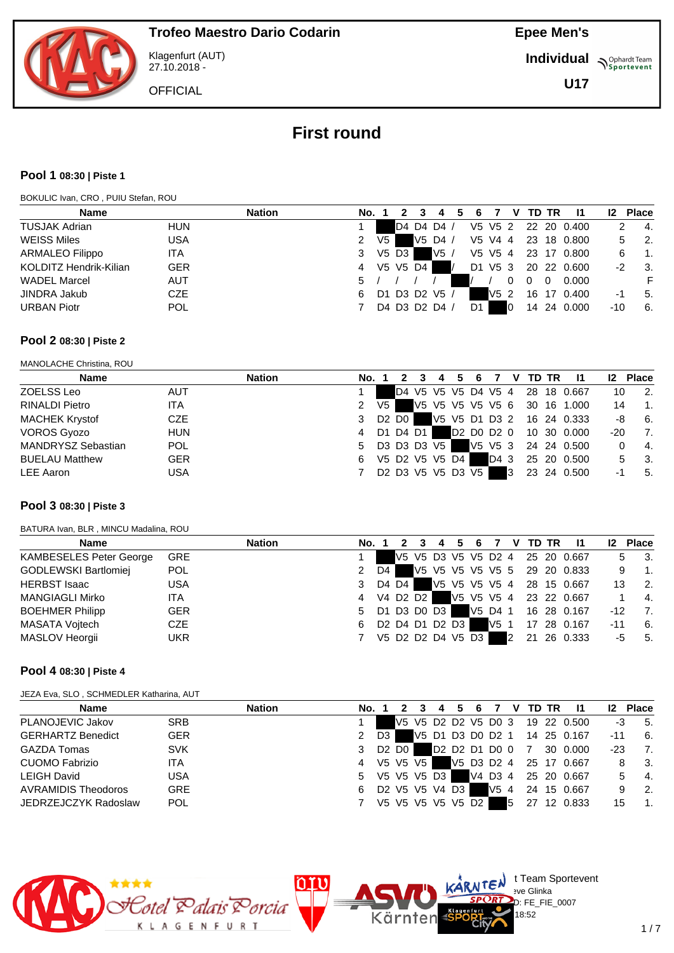

Klagenfurt (AUT) 27.10.2018 -

**Epee Men's**

**Individual Supplemant** Team

**U17**

**OFFICIAL** 

## **First round**

#### **Pool 1 08:30 | Piste 1**

BOKULIC Ivan, CRO , PUIU Stefan, ROU

| <b>Name</b>                          | <b>Nation</b><br>No. |    |          |                                   |         |                 | v |    | TD TR    | -11         | 12  | <b>Place</b> |
|--------------------------------------|----------------------|----|----------|-----------------------------------|---------|-----------------|---|----|----------|-------------|-----|--------------|
| <b>TUSJAK Adrian</b><br><b>HUN</b>   |                      |    |          | D4 D4 D4 /                        | V5 V5 2 |                 |   |    |          | 22 20 0.400 |     | - 4.         |
| <b>WEISS Miles</b><br><b>USA</b>     | 2                    | V5 |          | V <sub>5</sub> D <sub>4</sub> $/$ | V5 V4 4 |                 |   | 23 |          | 18  0.800   | 5   | - 2.         |
| <b>ARMALEO Filippo</b><br>ITA.       | 3                    |    | V5 D3    | V5                                | V5 V5 4 |                 |   | 23 |          | 17 0.800    |     | -1.          |
| KOLDITZ Hendrik-Kilian<br><b>GER</b> | 4                    |    | V5 V5 D4 |                                   | D1 V5 3 |                 |   |    |          | 20 22 0.600 | -2  | - 3.         |
| <b>WADEL Marcel</b><br><b>AUT</b>    | 5.                   |    |          |                                   |         |                 | 0 |    | $\Omega$ | 0.000       |     |              |
| <b>CZE</b><br><b>JINDRA Jakub</b>    | 6                    |    |          | D1 D3 D2 V5 /                     |         | V5 <sub>2</sub> |   | 16 | 17       | 0.400       | -1  | -5.          |
| <b>URBAN Piotr</b><br><b>POL</b>     |                      |    |          | D4 D3 D2 D4 /                     | D1      |                 |   | 14 |          | 24 0.000    | -10 | 6.           |

#### **Pool 2 08:30 | Piste 2**

MANOLACHE Christina, ROU

| <b>Name</b>               |            | <b>Nation</b> | No. 1 |      |                               | 4 | 6                 |      |   | V TD TR | -11                             | 12 <sup>2</sup> | <b>Place</b>   |
|---------------------------|------------|---------------|-------|------|-------------------------------|---|-------------------|------|---|---------|---------------------------------|-----------------|----------------|
| ZOELSS Leo                | <b>AUT</b> |               |       |      |                               |   |                   |      |   |         | D4 V5 V5 V5 D4 V5 4 28 18 0.667 | 10              | $\overline{2}$ |
| <b>RINALDI Pietro</b>     | <b>ITA</b> |               |       | V5 I |                               |   |                   |      |   |         | V5 V5 V5 V5 V5 6 30 16 1.000    | 14              | $\overline{1}$ |
| <b>MACHEK Krystof</b>     | CZE        |               | 3     |      | D <sub>2</sub> D <sub>0</sub> |   |                   |      |   |         | V5 V5 D1 D3 2 16 24 0.333       | -8              | 6.             |
| <b>VOROS Gyozo</b>        | <b>HUN</b> |               | 4     |      | D1 D4 D1                      |   | D2 D0 D2 0        |      |   |         | 10 30 0.000                     | -20             | - 7.           |
| <b>MANDRYSZ Sebastian</b> | <b>POL</b> |               | 5     |      | D3 D3 D3 V5                   |   |                   |      |   |         | V5 V5 3 24 24 0.500             |                 | 4.             |
| <b>BUELAU Matthew</b>     | <b>GER</b> |               | 6     |      | V5 D2 V5 V5 D4                |   |                   | D4 3 |   |         | 25 20 0.500                     | 5.              | - 3.           |
| LEE Aaron                 | <b>USA</b> |               |       |      |                               |   | D2 D3 V5 V5 D3 V5 |      | 3 |         | 23 24 0.500                     | -1              | -5.            |

#### **Pool 3 08:30 | Piste 3**

BATURA Ivan, BLR , MINCU Madalina, ROU

| <b>Name</b>                    |            | <b>Nation</b> | No. 1         |      |       |            | 4                 | -6      |      |   | V TD TR | - 11                            | 12 <sup>2</sup> | <b>Place</b>              |
|--------------------------------|------------|---------------|---------------|------|-------|------------|-------------------|---------|------|---|---------|---------------------------------|-----------------|---------------------------|
| <b>KAMBESELES Peter George</b> | <b>GRE</b> |               |               |      |       |            |                   |         |      |   |         | V5 V5 D3 V5 V5 D2 4 25 20 0.667 |                 | $\overline{\mathbf{3}}$ . |
| GODLEWSKI Bartlomiej           | <b>POL</b> |               |               | D4 I |       |            |                   |         |      |   |         | V5 V5 V5 V5 V5 5 29 20 0.833    | 9               | $\overline{1}$ .          |
| <b>HERBST Isaac</b>            | <b>USA</b> |               | 3             |      | D4 D4 |            |                   |         |      |   |         | V5 V5 V5 V5 4 28 15 0.667       | 13              | $\overline{2}$ .          |
| <b>MANGIAGLI Mirko</b>         | ITA.       |               | 4             |      |       | V4 D2 D2 I |                   |         |      |   |         | V5 V5 V5 4 23 22 0.667          |                 | 4.                        |
| <b>BOEHMER Philipp</b>         | <b>GER</b> |               | 5 D1 D3 D0 D3 |      |       |            |                   | V5 D4 1 |      |   |         | 16 28 0.167                     | $-12$           | 7.                        |
| MASATA Vojtech                 | <b>CZE</b> |               | 6             |      |       |            | D2 D4 D1 D2 D3    |         | V5 1 |   |         | 17 28 0.167                     | $-11$           | -6.                       |
| MASLOV Heorgii                 | <b>UKR</b> |               |               |      |       |            | V5 D2 D2 D4 V5 D3 |         |      | 2 | 21      | 26 0.333                        | -5              | 5.                        |

#### **Pool 4 08:30 | Piste 4**

JEZA Eva, SLO , SCHMEDLER Katharina, AUT

| <b>Name</b>              | <b>Nation</b> | No. 1 |                |       |            | 4                 | 5. | 6 | $\overline{7}$ |   | V TD TR | $\mathbf{I}$                    | 12 <sup>2</sup> | <b>Place</b>     |
|--------------------------|---------------|-------|----------------|-------|------------|-------------------|----|---|----------------|---|---------|---------------------------------|-----------------|------------------|
| PLANOJEVIC Jakov         | <b>SRB</b>    |       |                |       |            |                   |    |   |                |   |         | V5 V5 D2 D2 V5 D0 3 19 22 0.500 | -3              | 5.               |
| <b>GERHARTZ Benedict</b> | <b>GER</b>    | 2     | D <sub>3</sub> |       |            |                   |    |   |                |   |         | V5 D1 D3 D0 D2 1 14 25 0.167    | -11             | 6.               |
| <b>GAZDA Tomas</b>       | <b>SVK</b>    | 3     |                | D2 D0 |            |                   |    |   |                |   |         | D2 D2 D1 D0 0 7 30 0.000        | $-23$           | 7.               |
| <b>CUOMO Fabrizio</b>    | <b>ITA</b>    | 4     |                |       | V5 V5 V5 I |                   |    |   |                |   |         | V5 D3 D2 4 25 17 0.667          | 8               | - 3.             |
| <b>LEIGH David</b>       | <b>USA</b>    | 5     |                |       |            | V5 V5 V5 D3       |    |   |                |   |         | V4 D3 4 25 20 0.667             | 5.              | $-4.$            |
| AVRAMIDIS Theodoros      | <b>GRE</b>    | 6     |                |       |            | D2 V5 V5 V4 D3    |    |   | V5 4           |   |         | 24 15 0.667                     | 9               | $\overline{2}$ . |
| JEDRZEJCZYK Radoslaw     | <b>POL</b>    | 7     |                |       |            | V5 V5 V5 V5 V5 D2 |    |   |                | 5 |         | 27 12 0.833                     | 15              | $\overline{1}$ . |

Kärnten



 $\bigcup_{v \in \mathcal{F}} \mathbb{I}$  Team Sportevent

8:52

D: FE\_FIE\_0007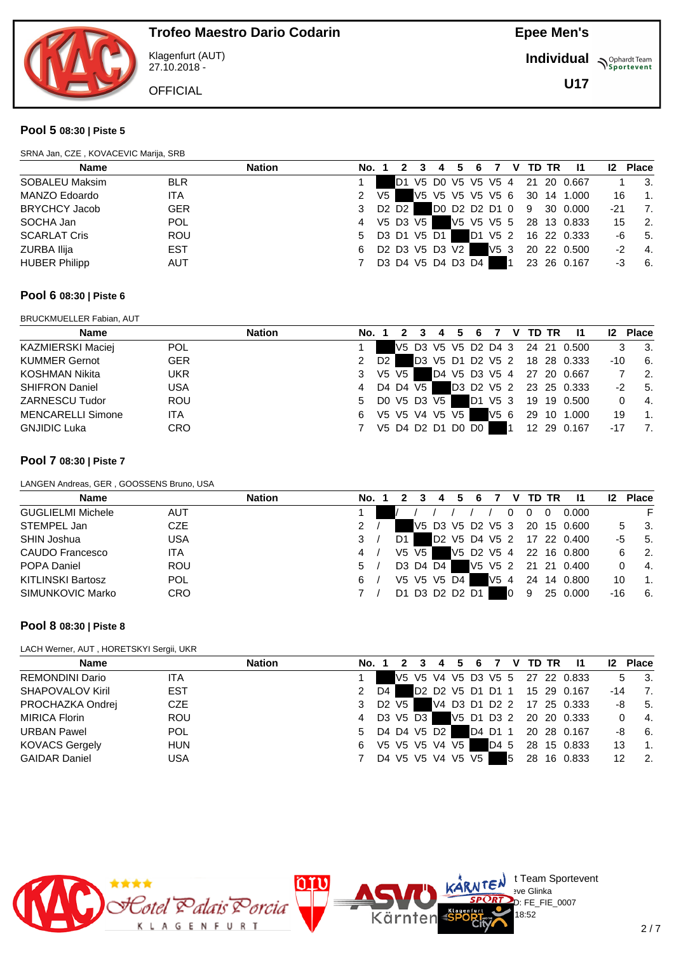

Klagenfurt (AUT) 27.10.2018 -

**OFFICIAL** 

**Epee Men's**

**Individual Supplemant** Team

**U17**

#### **Pool 5 08:30 | Piste 5**

| SRNA Jan, CZE, KOVACEVIC Marija, SRB |            |               |       |                                 |    |                                                                            |                 |   |         |   |    |              |             |       |                  |
|--------------------------------------|------------|---------------|-------|---------------------------------|----|----------------------------------------------------------------------------|-----------------|---|---------|---|----|--------------|-------------|-------|------------------|
| <b>Name</b>                          |            | <b>Nation</b> | No. 1 |                                 |    | 4                                                                          |                 | 6 |         | v |    | <b>TD TR</b> | - 11        |       | 12 Place         |
| SOBALEU Maksim                       | <b>BLR</b> |               |       |                                 | D1 | V5 D0 V5 V5 V5 4                                                           |                 |   |         |   | 21 |              | 20 0.667    |       | -3.              |
| MANZO Edoardo                        | <b>ITA</b> |               | 2     | V5.                             |    | V5 V5 V5 V5 V5 6                                                           |                 |   |         |   |    |              | 30 14 1.000 | 16    | $\mathbf{1}$ .   |
| <b>BRYCHCY Jacob</b>                 | <b>GER</b> |               | 3     | D <sub>2</sub> D <sub>2</sub> I |    |                                                                            | DO D2 D2 D1 0 9 |   |         |   |    | 30           | 0.000       | $-21$ | 7.               |
| SOCHA Jan                            | <b>POL</b> |               | 4     | V5 D3 V5                        |    |                                                                            | V5 V5 V5 5      |   |         |   |    |              | 28 13 0.833 | 15    | $\overline{2}$ . |
| <b>SCARLAT Cris</b>                  | <b>ROU</b> |               | 5     |                                 |    | D3 D1 V5 D1                                                                |                 |   | D1 V5 2 |   |    |              | 16 22 0.333 | -6    | - 5.             |
| <b>ZURBA Ilija</b>                   | <b>EST</b> |               | 6     |                                 |    | D <sub>2</sub> D <sub>3</sub> V <sub>5</sub> D <sub>3</sub> V <sub>2</sub> |                 |   | V5 3    |   |    |              | 20 22 0.500 | $-2$  | -4.              |
| <b>HUBER Philipp</b>                 | <b>AUT</b> |               |       |                                 |    | D3 D4 V5 D4 D3 D4                                                          |                 |   |         |   |    |              | 23 26 0.167 | -3    | - 6.             |

#### **Pool 6 08:30 | Piste 6**

BRUCKMUELLER Fabian, AUT

| <b>Name</b>              |            | <b>Nation</b> | No. 1         |                |         |                | 4 | -5 | 6                 |      | V TD TR | -11                             | 12 <sup>2</sup> | <b>Place</b> |
|--------------------------|------------|---------------|---------------|----------------|---------|----------------|---|----|-------------------|------|---------|---------------------------------|-----------------|--------------|
| KAZMIERSKI Maciej        | <b>POL</b> |               |               |                |         |                |   |    |                   |      |         | V5 D3 V5 V5 D2 D4 3 24 21 0.500 |                 | - 3.         |
| <b>KUMMER Gernot</b>     | <b>GER</b> |               | $\mathcal{P}$ | D <sub>2</sub> |         |                |   |    |                   |      |         | D3 V5 D1 D2 V5 2 18 28 0.333    | -10             | -6.          |
| KOSHMAN Nikita           | UKR        |               | 3             |                | V5 V5 I |                |   |    |                   |      |         | D4 V5 D3 V5 4 27 20 0.667       |                 | -2.          |
| <b>SHIFRON Daniel</b>    | <b>USA</b> |               | 4             |                |         | D4 D4 V5       |   |    |                   |      |         | D3 D2 V5 2 23 25 0.333          | -2              | 5.           |
| <b>ZARNESCU Tudor</b>    | <b>ROU</b> |               | 5             |                |         | DO V5 D3 V5    |   |    | D1 V5 3           |      |         |                                 |                 | -4.          |
| <b>MENCARELLI Simone</b> | <b>ITA</b> |               | 6             |                |         | V5 V5 V4 V5 V5 |   |    |                   | V5 6 |         | 29 10 1.000                     | 19              | 1.           |
| <b>GNJIDIC Luka</b>      | <b>CRO</b> |               |               |                |         |                |   |    | V5 D4 D2 D1 D0 D0 |      |         | 12 29 0.167                     | $-17$           |              |

#### **Pool 7 08:30 | Piste 7**

LANGEN Andreas, GER , GOOSSENS Bruno, USA

| <b>Name</b>              | <b>Nation</b> | No. |                   |  | 6 |      | v |   | TD TR | -11                          |     | <b>Place</b>   |
|--------------------------|---------------|-----|-------------------|--|---|------|---|---|-------|------------------------------|-----|----------------|
| <b>GUGLIELMI Michele</b> | <b>AUT</b>    |     |                   |  |   |      |   | 0 | 0     | 0.000                        |     |                |
| STEMPEL Jan              | <b>CZE</b>    | 2   |                   |  |   |      |   |   |       | V5 D3 V5 D2 V5 3 20 15 0.600 |     | - 3.           |
| SHIN Joshua              | <b>USA</b>    | 3   | D1.               |  |   |      |   |   |       | D2 V5 D4 V5 2 17 22 0.400    | -5  | 5.             |
| CAUDO Francesco          | ITA           | 4   | $V5$ $V5$ $\vert$ |  |   |      |   |   |       | V5 D2 V5 4 22 16 0.800       | 6   | -2.            |
| POPA Daniel              | <b>ROU</b>    | 5   | D3 D4 D4          |  |   |      |   |   |       | V5 V5 2 21 21 0.400          |     | -4.            |
| <b>KITLINSKI Bartosz</b> | <b>POL</b>    | 6   | V5 V5 V5 D4       |  |   | V5 4 |   |   |       | 24 14 0.800                  | 10  | $\mathbf{1}$ . |
| SIMUNKOVIC Marko         | <b>CRO</b>    |     | D1 D3 D2 D2 D1    |  |   |      |   | 9 |       | 25 0.000                     | -16 | 6.             |

#### **Pool 8 08:30 | Piste 8**

LACH Werner, AUT , HORETSKYI Sergii, UKR

| <b>Name</b>           |            | <b>Nation</b> | No. 1                           |      | $\overline{2}$ |                   | 3 4 |  |         |   | 5  6  7  V  TD  TR | - 11                            | 12 <sup>2</sup> | <b>Place</b>                     |
|-----------------------|------------|---------------|---------------------------------|------|----------------|-------------------|-----|--|---------|---|--------------------|---------------------------------|-----------------|----------------------------------|
| REMONDINI Dario       | ITA        |               |                                 |      |                |                   |     |  |         |   |                    | V5 V5 V4 V5 D3 V5 5 27 22 0.833 |                 | $\overline{\phantom{a}}$ 3.<br>5 |
| SHAPOVALOV Kiril      | <b>EST</b> |               | 2                               | D4 I |                |                   |     |  |         |   |                    | D2 D2 V5 D1 D1 1 15 29 0.167    | -14             | $\overline{7}$                   |
| PROCHAZKA Ondrej      | <b>CZE</b> |               | 3 D <sub>2</sub> V <sub>5</sub> |      |                |                   |     |  |         |   |                    | V4 D3 D1 D2 2 17 25 0.333       |                 | 5.<br>-8                         |
| <b>MIRICA Florin</b>  | <b>ROU</b> |               | 4                               |      |                | D3 V5 D3          |     |  |         |   |                    | V5 D1 D3 2 20 20 0.333          |                 | $\overline{4}$<br>$\Omega$       |
| <b>URBAN Pawel</b>    | <b>POL</b> |               | 5 D4 D4 V5 D2                   |      |                |                   |     |  | D4 D1 1 |   |                    | 20 28 0.167                     |                 | 6.<br>-8                         |
| <b>KOVACS Gergely</b> | <b>HUN</b> |               | 6                               |      |                | V5 V5 V5 V4 V5    |     |  |         |   |                    | D4 5 28 15 0.833                | 13              | $\blacksquare$ 1.                |
| <b>GAIDAR Daniel</b>  | <b>USA</b> |               |                                 |      |                | D4 V5 V5 V4 V5 V5 |     |  |         | 5 |                    | 28 16 0.833                     | 12              | $\overline{2}$                   |

Kärnten



 $\bigcup_{v \in \mathcal{F}} \mathbb{I}$  Team Sportevent

 $D: FE$  FIE 0007 18:52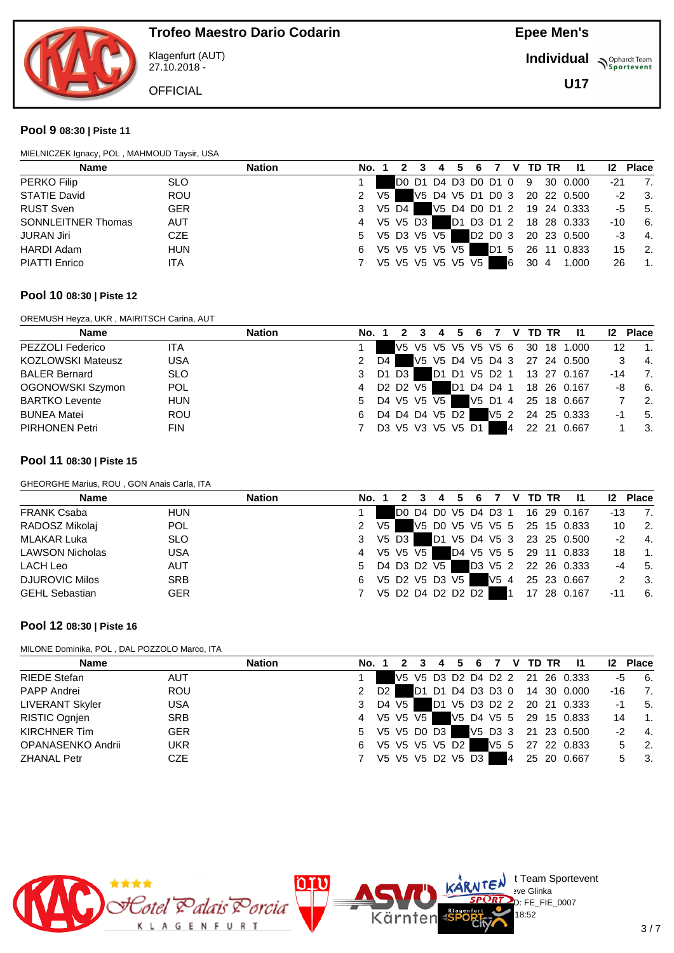

Klagenfurt (AUT) 27.10.2018 -

**OFFICIAL** 

**Epee Men's**

**Individual Supplemant** Team

**U17**

#### **Pool 9 08:30 | Piste 11**

| MIELNICZEK Ignacy, POL, MAHMOUD Taysir, USA |            |               |       |      |       |                     |                  |   |         |     |    |              |             |       |                             |
|---------------------------------------------|------------|---------------|-------|------|-------|---------------------|------------------|---|---------|-----|----|--------------|-------------|-------|-----------------------------|
| Name                                        |            | <b>Nation</b> | No. 1 |      |       |                     |                  | 6 |         | v   |    | <b>TD TR</b> | -11         | 12    | <b>Place</b>                |
| PERKO Filip                                 | <b>SLO</b> |               |       |      |       | DO D1 D4 D3 D0 D1 0 |                  |   |         |     | 9  |              | 30 0.000    | $-21$ | $\overline{7}$              |
| <b>STATIE David</b>                         | <b>ROU</b> |               | 2     | V5 I |       |                     | V5 D4 V5 D1 D0 3 |   |         |     |    |              | 20 22 0.500 | $-2$  | $\overline{\phantom{a}}$ 3. |
| <b>RUST Sven</b>                            | <b>GER</b> |               | 3     |      | V5 D4 |                     | V5 D4 D0 D1 2    |   |         |     |    |              | 19 24 0.333 | -5    | - 5.                        |
| <b>SONNLEITNER Thomas</b>                   | AUT        |               | 4     |      |       | V5 V5 D3            | D1 D3 D1 2       |   |         |     |    |              | 18 28 0.333 | $-10$ | - 6.                        |
| <b>JURAN Jiri</b>                           | <b>CZE</b> |               | 5     |      |       | V5 D3 V5 V5         |                  |   | D2 D0 3 |     |    |              | 20 23 0.500 | -3    | -4.                         |
| <b>HARDI Adam</b>                           | <b>HUN</b> |               | 6     |      |       | V5 V5 V5 V5 V5      |                  |   | D1 5    |     |    | 26 11        | 0.833       | 15    | $\overline{2}$              |
| <b>PIATTI Enrico</b>                        | ITA        |               |       |      |       | V5 V5 V5 V5 V5 V5   |                  |   |         | 16. | 30 | -4           | 1.000       | 26    | $\mathbf{1}$                |

#### **Pool 10 08:30 | Piste 12**

OREMUSH Heyza, UKR , MAIRITSCH Carina, AUT

| <b>Name</b>              | <b>Nation</b> | No. 1         |    |                                              |                   |            | 6 |         | v  | TD TR | -11                             | $12 \,$ | <b>Place</b>     |
|--------------------------|---------------|---------------|----|----------------------------------------------|-------------------|------------|---|---------|----|-------|---------------------------------|---------|------------------|
| PEZZOLI Federico         | ITA           |               |    |                                              |                   |            |   |         |    |       | V5 V5 V5 V5 V5 V5 6 30 18 1.000 | 12      | $\overline{1}$ . |
| <b>KOZLOWSKI Mateusz</b> | <b>USA</b>    | $\mathcal{P}$ | D4 |                                              |                   |            |   |         |    |       | V5 V5 D4 V5 D4 3 27 24 0.500    |         | -4.              |
| <b>BALER Bernard</b>     | <b>SLO</b>    | 3             |    | D1 D3                                        |                   |            |   |         |    |       | D1 D1 V5 D2 1 13 27 0.167       | -14     | 7.               |
| OGONOWSKI Szymon         | <b>POL</b>    | 4             |    | D <sub>2</sub> D <sub>2</sub> V <sub>5</sub> |                   | D1 D4 D4 1 |   |         |    |       | 18 26 0.167                     | -8      | - 6.             |
| <b>BARTKO Levente</b>    | <b>HUN</b>    | 5             |    |                                              | D4 V5 V5 V5       |            |   | V5 D1 4 |    |       | 25 18 0.667                     |         | $\overline{2}$ . |
| <b>BUNEA Matei</b>       | <b>ROU</b>    | 6             |    |                                              | D4 D4 D4 V5 D2    |            |   | V5 2    |    |       | 24 25 0.333                     | -1      | -5.              |
| <b>PIRHONEN Petri</b>    | <b>FIN</b>    |               |    |                                              | D3 V5 V3 V5 V5 D1 |            |   |         | 14 | 22 21 | 0.667                           |         | -3.              |

#### **Pool 11 08:30 | Piste 15**

GHEORGHE Marius, ROU , GON Anais Carla, ITA

| <b>Name</b>            |            | <b>Nation</b> | No. 1         |       |            |  |                   |  |              | 4 5 6 7 V TD TR | - 11                            | 12 <sup>2</sup> | <b>Place</b>     |
|------------------------|------------|---------------|---------------|-------|------------|--|-------------------|--|--------------|-----------------|---------------------------------|-----------------|------------------|
| <b>FRANK Csaba</b>     | <b>HUN</b> |               |               |       |            |  |                   |  |              |                 | D0 D4 D0 V5 D4 D3 1 16 29 0.167 | -13             | 7.               |
| RADOSZ Mikolaj         | <b>POL</b> |               | $\mathcal{P}$ | $V_5$ |            |  |                   |  |              |                 | V5 D0 V5 V5 V5 5 25 15 0.833    | 10              | - 2.             |
| MLAKAR Luka            | <b>SLO</b> |               | 3             |       | $V5$ D3    |  |                   |  |              |                 | D1 V5 D4 V5 3 23 25 0.500       | $-2$            | $-4.$            |
| <b>LAWSON Nicholas</b> | <b>USA</b> |               | 4             |       | V5 V5 V5 I |  |                   |  |              |                 | D4 V5 V5 5 29 11 0.833          | 18              | $\overline{1}$ . |
| LACH Leo               | <b>AUT</b> |               | 5 D4 D3 D2 V5 |       |            |  |                   |  |              |                 | D3 V5 2 22 26 0.333             | $-4$            | 5.               |
| <b>DJUROVIC Milos</b>  | <b>SRB</b> |               | 6             |       |            |  | V5 D2 V5 D3 V5    |  |              |                 | V5 4 25 23 0.667                |                 | 3.               |
| <b>GEHL Sebastian</b>  | <b>GER</b> |               |               |       |            |  | V5 D2 D4 D2 D2 D2 |  | $\mathbf{1}$ |                 | 17 28 0.167                     | $-11$           | 6.               |

#### **Pool 12 08:30 | Piste 16**

MILONE Dominika, POL , DAL POZZOLO Marco, ITA

| <b>Name</b>            |            | <b>Nation</b> | No. 1            |      |         |  |                   |  |   |  | 3 4 5 6 7 V TD TR 11            | 12   | <b>Place</b>                |
|------------------------|------------|---------------|------------------|------|---------|--|-------------------|--|---|--|---------------------------------|------|-----------------------------|
| <b>RIEDE Stefan</b>    | <b>AUT</b> |               |                  |      |         |  |                   |  |   |  | V5 V5 D3 D2 D4 D2 2 21 26 0.333 |      | $-5$ 6.                     |
| PAPP Andrei            | <b>ROU</b> |               | $\mathcal{P}$    | D2 I |         |  |                   |  |   |  | D1 D1 D4 D3 D3 0 14 30 0.000    | -16  | $\overline{7}$ .            |
| <b>LIVERANT Skyler</b> | <b>USA</b> |               | 3                |      | D4 V5 I |  |                   |  |   |  | D1 V5 D3 D2 2 20 21 0.333       | $-1$ | 5.                          |
| RISTIC Ognien          | <b>SRB</b> |               | 4 V5 V5 V5       |      |         |  |                   |  |   |  | V5 D4 V5 5 29 15 0.833          | 14   | $\blacksquare$ 1.           |
| KIRCHNER Tim           | <b>GER</b> |               | 5 V5 V5 D0 D3    |      |         |  |                   |  |   |  | V5 D3 3 21 23 0.500             | -2   | $-4.$                       |
| OPANASENKO Andrii      | <b>UKR</b> |               | 6 V5 V5 V5 V5 D2 |      |         |  |                   |  |   |  | V5 5 27 22 0.833                | 5.   | $\overline{\phantom{a}}$ 2. |
| <b>ZHANAL Petr</b>     | CZE        |               | 7                |      |         |  | V5 V5 V5 D2 V5 D3 |  | 4 |  | 25 20 0.667                     | 5    | $\overline{\phantom{a}}$ 3. |

Kärnten



 $\bigcup_{v \in \mathcal{F}} \mathbb{I}$  Team Sportevent

18:52

D: FE\_FIE\_0007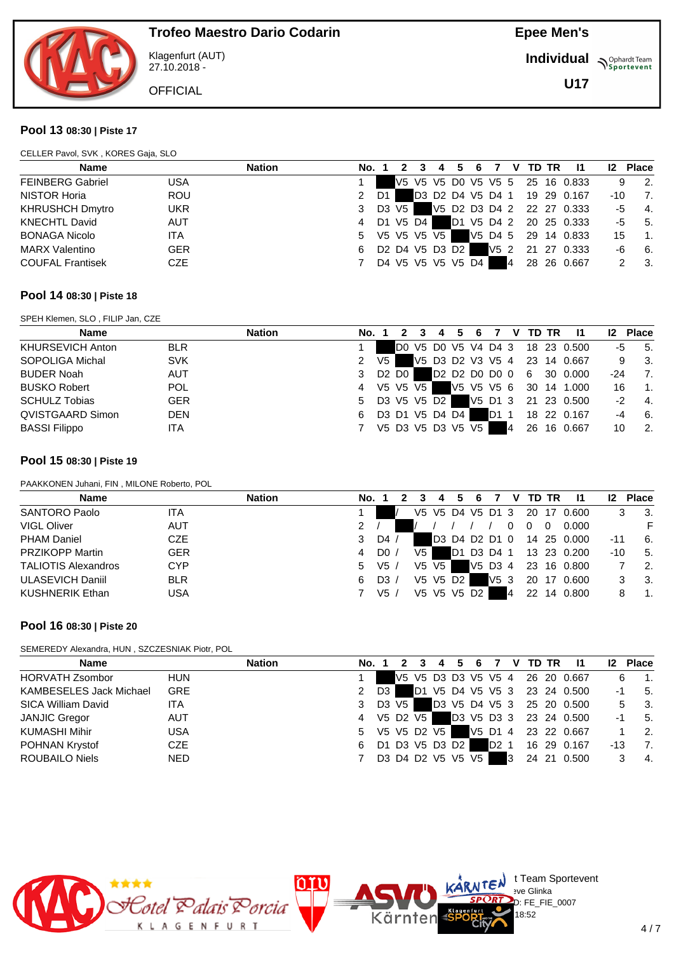

Klagenfurt (AUT) 27.10.2018 -

**OFFICIAL** 

**Epee Men's**

**Individual Supplemant** Team

**U17**

#### **Pool 13 08:30 | Piste 17**

| <b>Name</b>             |            | <b>Nation</b> | No. 1 |         | 2 | 3                                                                          | 4 | 5 | 6. |                 | V | TD TR | $\mathbf{I}$                    |     | <b>12 Place</b>  |
|-------------------------|------------|---------------|-------|---------|---|----------------------------------------------------------------------------|---|---|----|-----------------|---|-------|---------------------------------|-----|------------------|
| <b>FEINBERG Gabriel</b> | <b>USA</b> |               |       |         |   |                                                                            |   |   |    |                 |   |       | V5 V5 V5 D0 V5 V5 5 25 16 0.833 | 9   | -2.              |
| NISTOR Horia            | <b>ROU</b> |               | 2     | D1      |   |                                                                            |   |   |    |                 |   |       | D3 D2 D4 V5 D4 1 19 29 0.167    | -10 | 7.               |
| <b>KHRUSHCH Dmytro</b>  | <b>UKR</b> |               | 3     | D3 V5 1 |   |                                                                            |   |   |    |                 |   |       | V5 D2 D3 D4 2 22 27 0.333       | -5  | - 4.             |
| <b>KNECHTL David</b>    | <b>AUT</b> |               | 4     |         |   | D1 V5 D4                                                                   |   |   |    |                 |   |       | D1 V5 D4 2 20 25 0.333          | -5  | 5.               |
| <b>BONAGA Nicolo</b>    | <b>ITA</b> |               | 5     |         |   | V5 V5 V5 V5                                                                |   |   |    |                 |   |       | V5 D4 5 29 14 0.833             | 15  | $\overline{1}$ . |
| <b>MARX Valentino</b>   | <b>GER</b> |               | 6     |         |   | D <sub>2</sub> D <sub>4</sub> V <sub>5</sub> D <sub>3</sub> D <sub>2</sub> |   |   |    | V5 <sub>2</sub> |   |       | 21 27 0.333                     | -6  | - 6.             |
| <b>COUFAL Frantisek</b> | <b>CZE</b> |               |       |         |   | D4 V5 V5 V5 V5 D4                                                          |   |   |    |                 | 4 |       | 28 26 0.667                     | 2   | - 3.             |

#### **Pool 14 08:30 | Piste 18**

SPEH Klemen, SLO , FILIP Jan, CZE

| <b>Name</b>          |            | <b>Nation</b> | No. 1 |      |            |                   | 6 |                  | $\mathbf v$ | <b>TD TR</b> |                                 |     | <b>Place</b>     |
|----------------------|------------|---------------|-------|------|------------|-------------------|---|------------------|-------------|--------------|---------------------------------|-----|------------------|
| KHURSEVICH Anton     | <b>BLR</b> |               |       |      |            |                   |   |                  |             |              | D0 V5 D0 V5 V4 D4 3 18 23 0.500 | -5  | 5.               |
| SOPOLIGA Michal      | <b>SVK</b> |               |       | V5 I |            |                   |   |                  |             |              | V5 D3 D2 V3 V5 4 23 14 0.667    | 9   | - 3.             |
| <b>BUDER Noah</b>    | <b>AUT</b> |               | 3     |      | D2 D0 I    |                   |   |                  |             |              | D2 D2 D0 D0 0 6 30 0.000        | -24 | 7.               |
| <b>BUSKO Robert</b>  | <b>POL</b> |               | 4     |      | V5 V5 V5 1 |                   |   |                  |             |              | V5 V5 V5 6 30 14 1.000          | 16  | -1.              |
| <b>SCHULZ Tobias</b> | <b>GER</b> |               | 5     |      |            | D3 V5 V5 D2       |   |                  |             |              | V5 D1 3 21 23 0.500             | -2  | $\overline{4}$ . |
| QVISTGAARD Simon     | <b>DEN</b> |               | 6     |      |            | D3 D1 V5 D4 D4    |   | D <sub>1</sub> 1 |             |              | 18 22 0.167                     | -4  | - 6.             |
| <b>BASSI Filippo</b> | ITA        |               |       |      |            | V5 D3 V5 D3 V5 V5 |   |                  | 14          |              | 26 16 0.667                     | 10  | -2.              |

#### **Pool 15 08:30 | Piste 19**

PAAKKONEN Juhani, FIN , MILONE Roberto, POL

| <b>Name</b>                |            | <b>Nation</b> | No. |                |     |             |    |                  |         |    |    | TD TR | 11          |     | <b>Place</b> |
|----------------------------|------------|---------------|-----|----------------|-----|-------------|----|------------------|---------|----|----|-------|-------------|-----|--------------|
| <b>SANTORO Paolo</b>       | ITA        |               |     |                |     |             |    | V5 V5 D4 V5 D1 3 |         |    |    |       | 20 17 0.600 |     | -3.          |
| <b>VIGL Oliver</b>         | <b>AUT</b> |               | 2   |                |     |             |    |                  |         |    |    |       | 0.000       |     |              |
| <b>PHAM Daniel</b>         | CZE        |               | 3   | D4             |     |             |    | D3 D4 D2 D1 0    |         |    |    |       | 14 25 0.000 | -11 | 6.           |
| <b>PRZIKOPP Martin</b>     | <b>GER</b> |               | 4   | D <sub>0</sub> | V5  |             | D1 | D3 D4 1          |         |    |    |       | 13 23 0.200 | -10 | 5.           |
| <b>TALIOTIS Alexandros</b> | <b>CYP</b> |               | 5   | V5/            | V5. | V5 I        |    |                  | V5 D3 4 |    |    |       | 23 16 0.800 |     | -2.          |
| <b>ULASEVICH Daniil</b>    | <b>BLR</b> |               | 6   | D3             |     | V5 V5 D2    |    |                  | V53     |    | 20 | -17   | 0.600       |     | -3.          |
| <b>KUSHNERIK Ethan</b>     | <b>USA</b> |               |     | V5.            |     | V5 V5 V5 D2 |    |                  |         | 14 | 22 | 14    | 0.800       |     |              |

#### **Pool 16 08:30 | Piste 20**

SEMEREDY Alexandra, HUN , SZCZESNIAK Piotr, POL

| <b>Name</b>                    |            | <b>Nation</b> | No. 1         |      |       | -4                | -5 | - 6 |                  |   | V TD TR | -11                             | 12 <sup>2</sup> | <b>Place</b>                |
|--------------------------------|------------|---------------|---------------|------|-------|-------------------|----|-----|------------------|---|---------|---------------------------------|-----------------|-----------------------------|
| <b>HORVATH Zsombor</b>         | <b>HUN</b> |               |               |      |       |                   |    |     |                  |   |         | V5 V5 D3 D3 V5 V5 4 26 20 0.667 |                 | $\overline{\phantom{a}}$ 1. |
| <b>KAMBESELES Jack Michael</b> | <b>GRE</b> |               | 2             | D3 I |       |                   |    |     |                  |   |         | D1 V5 D4 V5 V5 3 23 24 0.500    | -1              | 5.                          |
| SICA William David             | <b>ITA</b> |               | 3             |      | D3 V5 |                   |    |     |                  |   |         | D3 V5 D4 V5 3 25 20 0.500       | 5.              | - 3.                        |
| <b>JANJIC Gregor</b>           | <b>AUT</b> |               | 4 V5 D2 V5    |      |       |                   |    |     |                  |   |         | D3 V5 D3 3 23 24 0.500          | -1              | -5.                         |
| KUMASHI Mihir                  | <b>USA</b> |               | 5 V5 V5 D2 V5 |      |       |                   |    |     |                  |   |         | V5 D1 4 23 22 0.667             |                 | 2.                          |
| POHNAN Krystof                 | <b>CZE</b> |               | 6             |      |       | D1 D3 V5 D3 D2    |    |     | D <sub>2</sub> 1 |   |         | 16 29 0.167                     | -13             | -7.                         |
| <b>ROUBAILO Niels</b>          | <b>NED</b> |               |               |      |       | D3 D4 D2 V5 V5 V5 |    |     |                  | 3 |         | 24 21 0.500                     |                 | - 4.                        |

Kärnten



 $\bigcup_{v \in \mathcal{F}} \mathsf{Id}$  t Team Sportevent

 $D: FE$  FIE 0007 18:52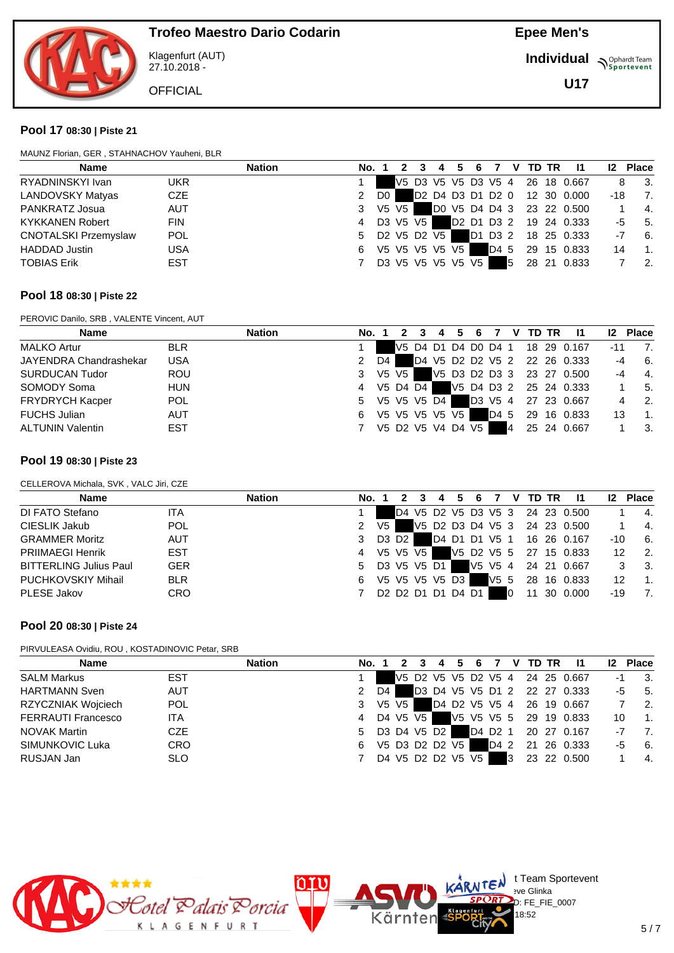

Klagenfurt (AUT) 27.10.2018 -

**OFFICIAL** 

**Epee Men's**

**Individual Supplemant** Team

**U17**

#### **Pool 17 08:30 | Piste 21**

| Name                        |            | <b>Nation</b> | No. 1         |                |                     | 4             | 6          |      | v | TD TR | -11                          |     | 12 Place         |
|-----------------------------|------------|---------------|---------------|----------------|---------------------|---------------|------------|------|---|-------|------------------------------|-----|------------------|
| RYADNINSKYI Ivan            | UKR        |               |               |                | V5 D3 V5 V5 D3 V5 4 |               |            |      |   |       | 26 18 0.667                  | 8   | - 3.             |
| LANDOVSKY Matyas            | <b>CZE</b> |               | $\mathcal{P}$ | D <sub>0</sub> |                     |               |            |      |   |       | D2 D4 D3 D1 D2 0 12 30 0.000 | -18 | 7.               |
| PANKRATZ Josua              | <b>AUT</b> |               | 3             | V5 V5          |                     | DO V5 D4 D4 3 |            |      |   |       | 23 22 0.500                  |     | 4.               |
| <b>KYKKANEN Robert</b>      | <b>FIN</b> |               | 4             |                | D3 V5 V5            |               | D2 D1 D3 2 |      |   |       | 19 24 0.333                  | -5  | 5.               |
| <b>CNOTALSKI Przemyslaw</b> | <b>POL</b> |               | 5             |                | D2 V5 D2 V5         |               | D1 D3 2    |      |   |       | 18 25 0.333                  | -7  | - 6.             |
| <b>HADDAD Justin</b>        | <b>USA</b> |               | 6.            |                | V5 V5 V5 V5 V5      |               |            | D4 5 |   |       | 29 15 0.833                  | 14  | $\overline{1}$ . |
| <b>TOBIAS Erik</b>          | <b>EST</b> |               |               |                | D3 V5 V5 V5 V5 V5   |               |            |      | 5 |       | 28 21 0.833                  |     | $\overline{2}$ . |

#### **Pool 18 08:30 | Piste 22**

PEROVIC Danilo, SRB , VALENTE Vincent, AUT

| <b>Name</b>             |            | <b>Nation</b> | No. 1 |                   |  | 6 |      | V. | TD TR | -11                             | 12 <sup>2</sup> | <b>Place</b>     |
|-------------------------|------------|---------------|-------|-------------------|--|---|------|----|-------|---------------------------------|-----------------|------------------|
| <b>MALKO Artur</b>      | <b>BLR</b> |               |       |                   |  |   |      |    |       | V5 D4 D1 D4 D0 D4 1 18 29 0.167 | $-11$           | 7.               |
| JAYENDRA Chandrashekar  | <b>USA</b> | 2             | D4    |                   |  |   |      |    |       | D4 V5 D2 D2 V5 2 22 26 0.333    | $-4$            | 6.               |
| <b>SURDUCAN Tudor</b>   | <b>ROU</b> | 3             |       | V5 V5 1           |  |   |      |    |       | V5 D3 D2 D3 3 23 27 0.500       | $-4$            | $-4.$            |
| SOMODY Soma             | <b>HUN</b> | 4             |       | V5 D4 D4          |  |   |      |    |       | V5 D4 D3 2 25 24 0.333          |                 | -5.              |
| <b>FRYDRYCH Kacper</b>  | <b>POL</b> | 5.            |       | V5 V5 V5 D4       |  |   |      |    |       | D3 V5 4 27 23 0.667             |                 | $\overline{2}$ . |
| <b>FUCHS Julian</b>     | <b>AUT</b> | 6             |       | V5 V5 V5 V5 V5    |  |   | D4 5 |    |       | 29 16 0.833                     | 13              | $\mathbf 1$      |
| <b>ALTUNIN Valentin</b> | <b>EST</b> |               |       | V5 D2 V5 V4 D4 V5 |  |   |      | 4  |       | 25 24 0.667                     |                 | -3.              |

#### **Pool 19 08:30 | Piste 23**

CELLEROVA Michala, SVK , VALC Jiri, CZE

| <b>Name</b>                   | <b>Nation</b> | No. 1         |      |            | 4              | 56                                                                                        |   | 7 V TD TR |                                 | $12 \,$           | <b>Place</b>              |
|-------------------------------|---------------|---------------|------|------------|----------------|-------------------------------------------------------------------------------------------|---|-----------|---------------------------------|-------------------|---------------------------|
| DI FATO Stefano               | <b>ITA</b>    |               |      |            |                |                                                                                           |   |           | D4 V5 D2 V5 D3 V5 3 24 23 0.500 |                   | 4.                        |
| CIESLIK Jakub                 | <b>POL</b>    | $\mathcal{P}$ | V5 I |            |                |                                                                                           |   |           | V5 D2 D3 D4 V5 3 24 23 0.500    |                   | -4.                       |
| <b>GRAMMER Moritz</b>         | AUT           |               |      | D3 D2      |                |                                                                                           |   |           | D4 D1 D1 V5 1 16 26 0.167       | $-10$             | - 6.                      |
| <b>PRIIMAEGI Henrik</b>       | EST           | 4             |      | V5 V5 V5 I |                |                                                                                           |   |           | V5 D2 V5 5 27 15 0.833          | $12 \overline{ }$ | $\overline{2}$ .          |
| <b>BITTERLING Julius Paul</b> | <b>GER</b>    | 5 D3 V5 V5 D1 |      |            |                |                                                                                           |   |           | V5 V5 4 24 21 0.667             |                   | $\overline{\mathbf{3}}$ . |
| <b>PUCHKOVSKIY Mihail</b>     | <b>BLR</b>    | 6             |      |            | V5 V5 V5 V5 D3 |                                                                                           |   |           | V5 5 28 16 0.833                | 12                | $\overline{1}$ .          |
| PLESE Jakov                   | <b>CRO</b>    |               |      |            |                | D <sub>2</sub> D <sub>2</sub> D <sub>1</sub> D <sub>1</sub> D <sub>4</sub> D <sub>1</sub> | 0 |           | 11 30 0.000                     | -19               | $\overline{7}$ .          |

### **Pool 20 08:30 | Piste 24**

PIRVULEASA Ovidiu, ROU , KOSTADINOVIC Petar, SRB

| Name                      |            | <b>Nation</b> | No. 1 |                   | $3 \quad 4$ | 5 | 6 <sup>6</sup> |   | 7 V TD TR | - 11                            | 12 <sup>2</sup> | <b>Place</b>                |
|---------------------------|------------|---------------|-------|-------------------|-------------|---|----------------|---|-----------|---------------------------------|-----------------|-----------------------------|
| <b>SALM Markus</b>        | <b>EST</b> |               |       |                   |             |   |                |   |           | V5 D2 V5 V5 D2 V5 4 24 25 0.667 | -1              | $\overline{\phantom{a}}$ 3. |
| <b>HARTMANN Sven</b>      | <b>AUT</b> | 2             | D4    |                   |             |   |                |   |           | D3 D4 V5 V5 D1 2 22 27 0.333    |                 | $-5$ 5.                     |
| RZYCZNIAK Wojciech        | <b>POL</b> |               |       | 3 V5 V5           |             |   |                |   |           | D4 D2 V5 V5 4 26 19 0.667       |                 | $\overline{2}$              |
| <b>FERRAUTI Francesco</b> | <b>ITA</b> | 4             |       | D4 V5 V5 1        |             |   |                |   |           | V5 V5 V5 5 29 19 0.833          | 10              | $\blacksquare$ 1.           |
| NOVAK Martin              | <b>CZE</b> |               |       | 5 D3 D4 V5 D2     |             |   |                |   |           | D4 D2 1 20 27 0.167             |                 | $-7$ 7.                     |
| SIMUNKOVIC Luka           | <b>CRO</b> | 6.            |       | V5 D3 D2 D2 V5    |             |   |                |   |           | D4 2 21 26 0.333                |                 | 6.<br>-5                    |
| RUSJAN Jan                | <b>SLO</b> |               |       | D4 V5 D2 D2 V5 V5 |             |   |                | 3 |           | 23 22 0.500                     |                 | $\overline{4}$              |

Kärnten



 $\bigcup_{v \in \mathcal{F}} \mathsf{Id}$  t Team Sportevent

 $D: FE$  FIE 0007 18:52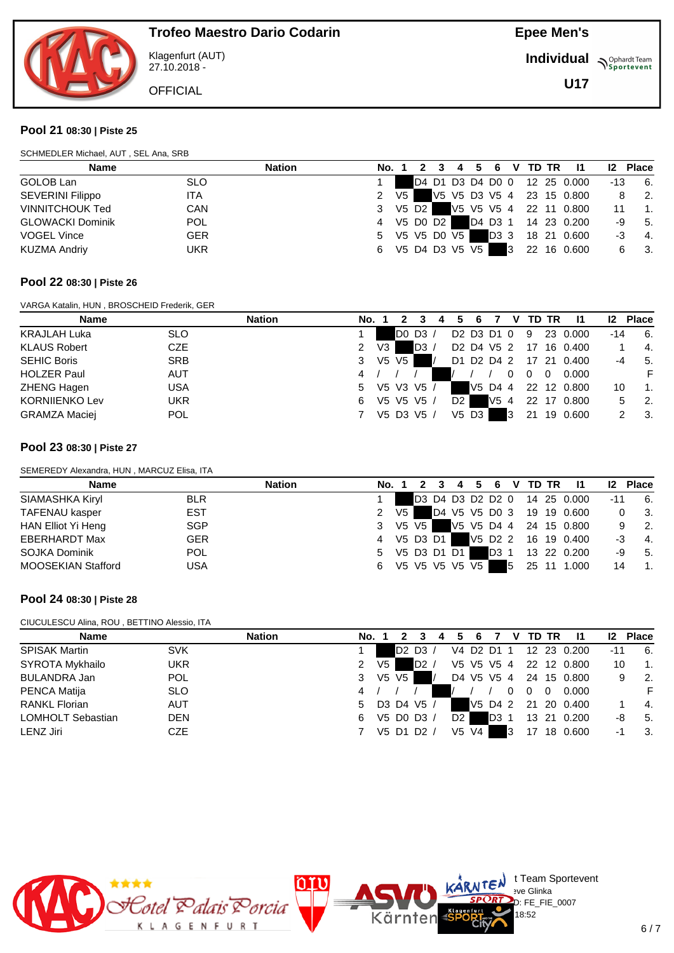

Klagenfurt (AUT) 27.10.2018 -

**OFFICIAL** 

**Epee Men's**

**Individual Supplemant** Team

**U17**

#### **Pool 21 08:30 | Piste 25**

| SCHMEDLER Michael, AUT, SEL Ana, SRB |  |  |  |
|--------------------------------------|--|--|--|
|                                      |  |  |  |

| <b>Name</b>             |            | <b>Nation</b> |                  |  |  |  |  | No. 1 2 3 4 5 6 V TD TR 11   |     | 12 Place                          |
|-------------------------|------------|---------------|------------------|--|--|--|--|------------------------------|-----|-----------------------------------|
| GOLOB Lan               | <b>SLO</b> |               |                  |  |  |  |  | D4 D1 D3 D4 D0 0 12 25 0.000 | -13 | 6.                                |
| <b>SEVERINI Filippo</b> | <b>ITA</b> |               | 2 V <sub>5</sub> |  |  |  |  | V5 V5 D3 V5 4 23 15 0.800    |     | $\overline{\phantom{a}}$ 2.<br>8  |
| <b>VINNITCHOUK Ted</b>  | <b>CAN</b> |               | 3 V5 D2          |  |  |  |  | V5 V5 V5 4 22 11 0.800       | 11  | $\overline{\phantom{a}}$ 1.       |
| <b>GLOWACKI Dominik</b> | <b>POL</b> |               | 4 V5 D0 D2       |  |  |  |  | D4 D3 1 14 23 0.200          |     | $-9$ 5.                           |
| <b>VOGEL Vince</b>      | <b>GER</b> |               | 5 V5 V5 D0 V5    |  |  |  |  | D3 3 18 21 0.600             | -3  | $-4.$                             |
| <b>KUZMA Andriy</b>     | <b>UKR</b> |               | 6 V5 D4 D3 V5 V5 |  |  |  |  | 3 22 16 0.600                |     | $\overline{\phantom{a}}$ 3.<br>6. |

#### **Pool 22 08:30 | Piste 26**

VARGA Katalin, HUN , BROSCHEID Frederik, GER

| <b>Name</b>           |            | <b>Nation</b> | No. |      |    |             |                | 6                   |                                                | v |    | TD TR | -11         | $12 \,$ | <b>Place</b>                |
|-----------------------|------------|---------------|-----|------|----|-------------|----------------|---------------------|------------------------------------------------|---|----|-------|-------------|---------|-----------------------------|
| <b>KRAJLAH Luka</b>   | <b>SLO</b> |               |     |      |    | $DO$ $D3$ / |                |                     | D2 D3 D1 0                                     |   | -9 |       | 23 0.000    | -14     | 6.                          |
| <b>KLAUS Robert</b>   | CZE        |               | 2   | V3 I |    | D3/         |                |                     | D <sub>2</sub> D <sub>4</sub> V <sub>5</sub> 2 |   | 17 |       | 16 0.400    |         | -4.                         |
| <b>SEHIC Boris</b>    | <b>SRB</b> |               | 3   | V5   | V5 |             |                |                     | D1 D2 D4 2                                     |   |    |       | 17 21 0.400 | -4      | - 5.                        |
| <b>HOLZER Paul</b>    | <b>AUT</b> |               | 4   |      |    |             |                |                     |                                                |   |    | 0     | 0.000       |         |                             |
| ZHENG Hagen           | <b>USA</b> |               | 5.  |      |    | V5 V3 V5 /  |                |                     | V5 D4 4                                        |   |    |       | 22 12 0.800 | 10      | -1.                         |
| <b>KORNIJENKO Lev</b> | <b>UKR</b> |               | 6   |      |    | V5 V5 V5 /  | D <sub>2</sub> |                     | V54                                            |   |    |       | 22 17 0.800 | 5.      | $\overline{\phantom{a}}$ 2. |
| <b>GRAMZA Maciej</b>  | <b>POL</b> |               |     |      |    | V5 D3 V5 /  |                | $V5$ D <sub>3</sub> |                                                | 3 | 21 |       | 19 0.600    |         | - 3.                        |

#### **Pool 23 08:30 | Piste 27**

SEMEREDY Alexandra, HUN , MARCUZ Elisa, ITA

| <b>Name</b>               | <b>Nation</b> | No. 1 |      |                |  | 3 4 5 6 | V TD TR | - 11                         | 12 <sup>2</sup> | <b>Place</b>                |
|---------------------------|---------------|-------|------|----------------|--|---------|---------|------------------------------|-----------------|-----------------------------|
| SIAMASHKA Kiryl           | <b>BLR</b>    |       |      |                |  |         |         | D3 D4 D3 D2 D2 0 14 25 0.000 | -11             | -6.                         |
| TAFENAU kasper            | EST           | 2     | V5 I |                |  |         |         | D4 V5 V5 D0 3 19 19 0.600    |                 | - 3.                        |
| HAN Elliot Yi Heng        | SGP           | 3     |      | V5 V5 1        |  |         |         | V5 V5 D4 4 24 15 0.800       |                 | $\overline{\phantom{a}}$ 2. |
| <b>EBERHARDT Max</b>      | <b>GER</b>    | 4     |      | V5 D3 D1       |  |         |         | V5 D2 2 16 19 0.400          | -3              | $-4.$                       |
| SOJKA Dominik             | <b>POL</b>    | 5     |      | V5 D3 D1 D1    |  |         |         | D3 1 13 22 0.200             | -9              | 5.                          |
| <b>MOOSEKIAN Stafford</b> | <b>USA</b>    | 6     |      | V5 V5 V5 V5 V5 |  |         |         | 5 25 11 1.000                | 14              | $\overline{1}$ .            |

#### **Pool 24 08:30 | Piste 28**

#### CIUCULESCU Alina, ROU , BETTINO Alessio, ITA

| <b>Name</b>              |            | <b>Nation</b> | <b>No.</b> 1 |      |       |                                 | 4 |    | 6          |                  | v  |          | TD TR | -11                    | 12 <sup>2</sup> | <b>Place</b> |
|--------------------------|------------|---------------|--------------|------|-------|---------------------------------|---|----|------------|------------------|----|----------|-------|------------------------|-----------------|--------------|
| <b>SPISAK Martin</b>     | <b>SVK</b> |               |              |      |       | D <sub>2</sub> D <sub>3</sub> / |   |    | V4 D2 D1 1 |                  |    |          |       | 12 23 0.200            | $-11$           | 6.           |
| SYROTA Mykhailo          | <b>UKR</b> |               | 2            | V5 I |       | D2/                             |   |    | V5 V5 V5 4 |                  |    |          |       | 22 12 0.800            | 10              | 1.           |
| BULANDRA Jan             | <b>POL</b> |               | 3            |      | V5 V5 |                                 |   |    |            |                  |    |          |       | D4 V5 V5 4 24 15 0.800 |                 | -2.          |
| <b>PENCA Matija</b>      | <b>SLO</b> |               | 4            |      |       |                                 |   |    |            |                  |    | $\Omega$ | 0     | 0.000                  |                 |              |
| <b>RANKL Florian</b>     | <b>AUT</b> |               | 5.           |      |       | D3 D4 V5 /                      |   |    |            | V5 D4 2          |    |          |       | 21 20 0.400            |                 | 4.           |
| <b>LOMHOLT Sebastian</b> | <b>DEN</b> |               | 6            |      |       | V5 D0 D3 /                      |   | D2 |            | D <sub>3</sub> 1 |    |          |       | 13 21 0.200            | -8              | -5.          |
| LENZ Jiri                | <b>CZE</b> |               |              |      |       | V5 D1 D2 /                      |   |    | V5 V4      |                  | IЗ | 17       |       | 18 0.600               | -1              | 3.           |



 $\bigcup_{v \in \mathcal{F}} \mathsf{Id}$  t Team Sportevent

D: FE\_FIE\_0007  $8:52$ 

**N'Y'Letter** sve Glinka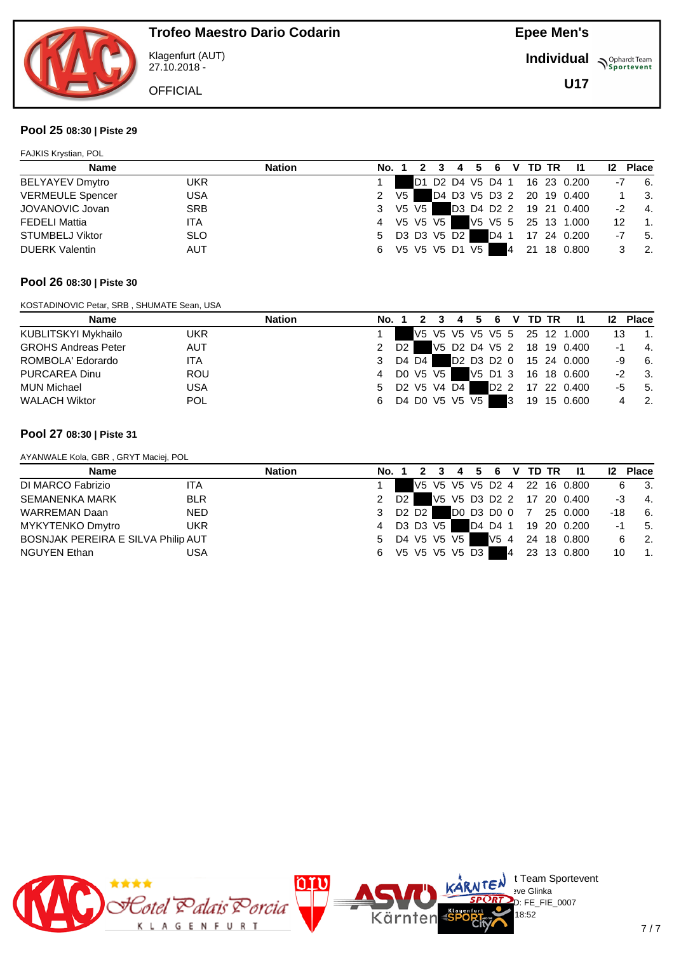

Klagenfurt (AUT) 27.10.2018 -

**OFFICIAL** 

**Epee Men's**

**Individual Supplemant** Team

**U17**

#### **Pool 25 08:30 | Piste 29**

| <b>FAJKIS Krystian, POL</b> |            |               |       |    |         |                |   |               |   |    |       |                           |    |                  |
|-----------------------------|------------|---------------|-------|----|---------|----------------|---|---------------|---|----|-------|---------------------------|----|------------------|
| <b>Name</b>                 |            | <b>Nation</b> | No. 1 |    |         |                | 4 | 6             | v |    | TD TR | - 11                      | 12 | <b>Place</b>     |
| <b>BELYAYEV Dmytro</b>      | <b>UKR</b> |               |       |    | D1      |                |   | D2 D4 V5 D4 1 |   |    |       | 16 23 0.200               | -7 | 6.               |
| <b>VERMEULE Spencer</b>     | <b>USA</b> |               | 2     | V5 |         |                |   |               |   |    |       | D4 D3 V5 D3 2 20 19 0.400 |    | - 3.             |
| JOVANOVIC Jovan             | <b>SRB</b> |               | 3     |    | V5 V5 I |                |   |               |   |    |       | D3 D4 D2 2 19 21 0.400    | -2 | 4.               |
| <b>FEDELI Mattia</b>        | ITA        |               | 4     |    |         | V5 V5 V5       |   |               |   |    |       | V5 V5 5 25 13 1.000       | 12 | $\overline{1}$ . |
| <b>STUMBELJ Viktor</b>      | <b>SLO</b> |               | 5     |    |         | D3 D3 V5 D2    |   | D4 1          |   |    |       | 17 24 0.200               | -7 | 5.               |
| <b>DUERK Valentin</b>       | <b>AUT</b> |               | 6     |    |         | V5 V5 V5 D1 V5 |   |               | 4 | 21 |       | 18 0.800                  |    | $\overline{2}$ . |

#### **Pool 26 08:30 | Piste 30**

KOSTADINOVIC Petar, SRB , SHUMATE Sean, USA

| Name                       | Nation     |   |      |       |          |                |  |   | No. 1 2 3 4 5 6 V TD TR | - 11                         |      | <b>12 Place</b>             |
|----------------------------|------------|---|------|-------|----------|----------------|--|---|-------------------------|------------------------------|------|-----------------------------|
| KUBLITSKYI Mykhailo        | <b>UKR</b> |   |      |       |          |                |  |   |                         | V5 V5 V5 V5 V5 5 25 12 1.000 | 13   | $\overline{1}$ .            |
| <b>GROHS Andreas Peter</b> | <b>AUT</b> |   | D2 I |       |          |                |  |   |                         | V5 D2 D4 V5 2 18 19 0.400    | -1   | $\overline{4}$ .            |
| ROMBOLA' Edorardo          | <b>ITA</b> | 3 |      | D4 D4 |          |                |  |   |                         | D2 D3 D2 0 15 24 0.000       |      | $-9$ 6.                     |
| PURCAREA Dinu              | <b>ROU</b> | 4 |      |       | DO V5 V5 |                |  |   |                         | V5 D1 3 16 18 0.600          | $-2$ | 3.                          |
| MUN Michael                | <b>USA</b> | 5 |      |       |          | D2 V5 V4 D4    |  |   |                         | D2 2 17 22 0.400             | -5   | 5.                          |
| <b>WALACH Wiktor</b>       | <b>POL</b> | 6 |      |       |          | D4 D0 V5 V5 V5 |  | 3 |                         |                              |      | $\overline{\phantom{a}}$ 2. |

#### **Pool 27 08:30 | Piste 31**

AYANWALE Kola, GBR , GRYT Maciej, POL

| <b>Name</b>                        | <b>Nation</b> | No. 1 |                |         |          |                |              | 2 3 4 5 6 V TD TR | - 11                         | 12 Place |                             |
|------------------------------------|---------------|-------|----------------|---------|----------|----------------|--------------|-------------------|------------------------------|----------|-----------------------------|
| DI MARCO Fabrizio<br><b>ITA</b>    |               |       |                |         |          |                |              |                   | V5 V5 V5 V5 D2 4 22 16 0.800 | 6        | $\overline{\phantom{a}}$ 3. |
| <b>SEMANENKA MARK</b>              | <b>BLR</b>    | 2     | D <sub>2</sub> |         |          |                |              |                   | V5 V5 D3 D2 2 17 20 0.400    | -3       | $\overline{4}$ .            |
| <b>WARREMAN Daan</b>               | <b>NED</b>    | 3     |                | D2 D2 I |          |                | D0 D3 D0 0 7 |                   | 25 0.000                     | -18      | 6.                          |
| MYKYTENKO Dmytro                   | <b>UKR</b>    | 4     |                |         | D3 D3 V5 |                |              |                   | D4 D4 1 19 20 0.200          | -1       | 5.                          |
| BOSNJAK PEREIRA E SILVA Philip AUT |               | 5     |                |         |          | D4 V5 V5 V5    |              |                   | V5 4 24 18 0.800             | 6        | $\overline{2}$ .            |
| NGUYEN Ethan                       | USA           | 6     |                |         |          | V5 V5 V5 V5 D3 |              |                   | 4 23 13 0.800                | 10       | $\overline{1}$ .            |

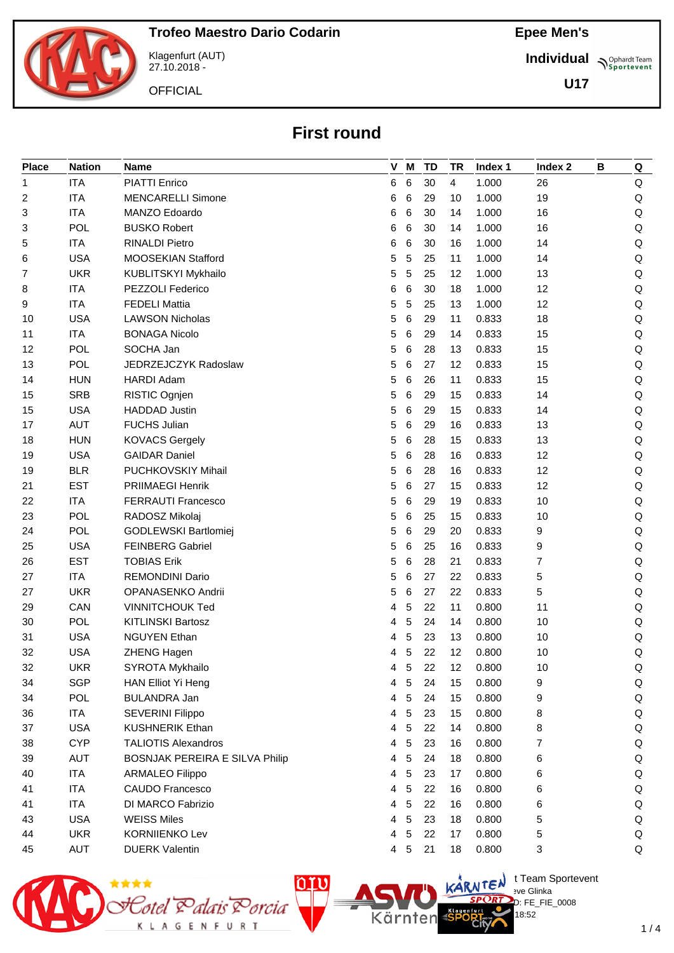

Klagenfurt (AUT) 27.10.2018 -

**OFFICIAL** 

**Individual Supplemant** Team

**U17**

## **First round**

| <b>Place</b> | <b>Nation</b> | Name                           |   | V M            | <b>TD</b> | <b>TR</b> | Index 1 | Index 2 | B | Q       |
|--------------|---------------|--------------------------------|---|----------------|-----------|-----------|---------|---------|---|---------|
| 1            | <b>ITA</b>    | <b>PIATTI Enrico</b>           | 6 | 6              | 30        | 4         | 1.000   | 26      |   | Q       |
| 2            | <b>ITA</b>    | <b>MENCARELLI Simone</b>       | 6 | 6              | 29        | 10        | 1.000   | 19      |   | Q       |
| 3            | <b>ITA</b>    | MANZO Edoardo                  | 6 | 6              | 30        | 14        | 1.000   | 16      |   | Q       |
| 3            | POL           | <b>BUSKO Robert</b>            | 6 | 6              | 30        | 14        | 1.000   | 16      |   | Q       |
| 5            | <b>ITA</b>    | <b>RINALDI Pietro</b>          | 6 | 6              | 30        | 16        | 1.000   | 14      |   | Q       |
| 6            | <b>USA</b>    | MOOSEKIAN Stafford             | 5 | 5              | 25        | 11        | 1.000   | 14      |   | Q       |
| 7            | <b>UKR</b>    | KUBLITSKYI Mykhailo            | 5 | 5              | 25        | 12        | 1.000   | 13      |   | Q       |
| 8            | <b>ITA</b>    | PEZZOLI Federico               | 6 | 6              | 30        | 18        | 1.000   | 12      |   | Q       |
| 9            | <b>ITA</b>    | <b>FEDELI Mattia</b>           | 5 | 5              | 25        | 13        | 1.000   | 12      |   | Q       |
| 10           | <b>USA</b>    | <b>LAWSON Nicholas</b>         | 5 | 6              | 29        | 11        | 0.833   | 18      |   | Q       |
| 11           | <b>ITA</b>    | <b>BONAGA Nicolo</b>           | 5 | 6              | 29        | 14        | 0.833   | 15      |   | $\sf Q$ |
| 12           | <b>POL</b>    | SOCHA Jan                      | 5 | 6              | 28        | 13        | 0.833   | 15      |   | Q       |
| 13           | <b>POL</b>    | JEDRZEJCZYK Radoslaw           | 5 | 6              | 27        | 12        | 0.833   | 15      |   | Q       |
| 14           | <b>HUN</b>    | <b>HARDI Adam</b>              | 5 | 6              | 26        | 11        | 0.833   | 15      |   | Q       |
| 15           | <b>SRB</b>    | RISTIC Ognjen                  | 5 | 6              | 29        | 15        | 0.833   | 14      |   | $\sf Q$ |
| 15           | <b>USA</b>    | <b>HADDAD Justin</b>           | 5 | 6              | 29        | 15        | 0.833   | 14      |   | Q       |
| 17           | <b>AUT</b>    | <b>FUCHS Julian</b>            | 5 | 6              | 29        | 16        | 0.833   | 13      |   | Q       |
| 18           | <b>HUN</b>    | <b>KOVACS Gergely</b>          | 5 | 6              | 28        | 15        | 0.833   | 13      |   | Q       |
| 19           | <b>USA</b>    | <b>GAIDAR Daniel</b>           | 5 | 6              | 28        | 16        | 0.833   | 12      |   | Q       |
| 19           | <b>BLR</b>    | PUCHKOVSKIY Mihail             | 5 | 6              | 28        | 16        | 0.833   | 12      |   | Q       |
| 21           | <b>EST</b>    | <b>PRIIMAEGI Henrik</b>        | 5 | 6              | 27        | 15        | 0.833   | 12      |   | Q       |
| 22           | <b>ITA</b>    | <b>FERRAUTI Francesco</b>      | 5 | 6              | 29        | 19        | 0.833   | 10      |   | Q       |
| 23           | <b>POL</b>    | RADOSZ Mikolaj                 | 5 | 6              | 25        | 15        | 0.833   | 10      |   | Q       |
| 24           | <b>POL</b>    | GODLEWSKI Bartlomiej           | 5 | 6              | 29        | 20        | 0.833   | 9       |   | Q       |
| 25           | <b>USA</b>    | <b>FEINBERG Gabriel</b>        | 5 | 6              | 25        | 16        | 0.833   | 9       |   | Q       |
| 26           | <b>EST</b>    | <b>TOBIAS Erik</b>             | 5 | 6              | 28        | 21        | 0.833   | 7       |   | Q       |
| 27           | <b>ITA</b>    | <b>REMONDINI Dario</b>         | 5 | 6              | 27        | 22        | 0.833   | 5       |   | Q       |
| 27           | <b>UKR</b>    | OPANASENKO Andrii              | 5 | 6              | 27        | 22        | 0.833   | 5       |   | $\sf Q$ |
| 29           | CAN           | <b>VINNITCHOUK Ted</b>         | 4 | 5              | 22        | 11        | 0.800   | 11      |   | Q       |
| 30           | <b>POL</b>    | <b>KITLINSKI Bartosz</b>       | 4 | 5              | 24        | 14        | 0.800   | 10      |   | Q       |
| 31           | <b>USA</b>    | <b>NGUYEN Ethan</b>            | 4 | 5              | 23        | 13        | 0.800   | 10      |   | Q       |
| 32           | <b>USA</b>    | ZHENG Hagen                    | 4 | 5              | 22        | 12        | 0.800   | 10      |   | Q       |
| 32           | <b>UKR</b>    | SYROTA Mykhailo                |   | 4 <sub>5</sub> | 22        | 12        | 0.800   | 10      |   | Q       |
| 34           | <b>SGP</b>    | HAN Elliot Yi Heng             | 4 | 5              | 24        | 15        | 0.800   | 9       |   | Q       |
| 34           | <b>POL</b>    | BULANDRA Jan                   | 4 | 5              | 24        | 15        | 0.800   | 9       |   | Q       |
| 36           | <b>ITA</b>    | SEVERINI Filippo               | 4 | 5              | 23        | 15        | 0.800   | 8       |   | Q       |
| 37           | <b>USA</b>    | <b>KUSHNERIK Ethan</b>         | 4 | 5              | 22        | 14        | 0.800   | 8       |   | Q       |
| 38           | <b>CYP</b>    | <b>TALIOTIS Alexandros</b>     | 4 | 5              | 23        | 16        | 0.800   | 7       |   | Q       |
| 39           | AUT           | BOSNJAK PEREIRA E SILVA Philip | 4 | 5              | 24        | 18        | 0.800   | 6       |   | Q       |
| 40           | <b>ITA</b>    | <b>ARMALEO Filippo</b>         | 4 | 5              | 23        | 17        | 0.800   | 6       |   | Q       |
| 41           | <b>ITA</b>    | <b>CAUDO Francesco</b>         | 4 | 5              | 22        | 16        | 0.800   | 6       |   | Q       |
| 41           | <b>ITA</b>    | DI MARCO Fabrizio              | 4 | 5              | 22        | 16        | 0.800   | 6       |   | Q       |
| 43           | <b>USA</b>    | <b>WEISS Miles</b>             | 4 | 5              | 23        | 18        | 0.800   | 5       |   | Q       |
| 44           | <b>UKR</b>    | <b>KORNIIENKO Lev</b>          | 4 | 5              | 22        | 17        | 0.800   | 5       |   | Q       |
| 45           | <b>AUT</b>    | <b>DUERK Valentin</b>          | 4 | 5              | 21        | 18        | 0.800   | 3       |   | Q       |



 $\bigcup_{v \in \mathcal{F}} \mathsf{Id}$  t Team Sportevent **N'Y'Letter** sve Glinka  $D: FE$  FIE 0008 18:52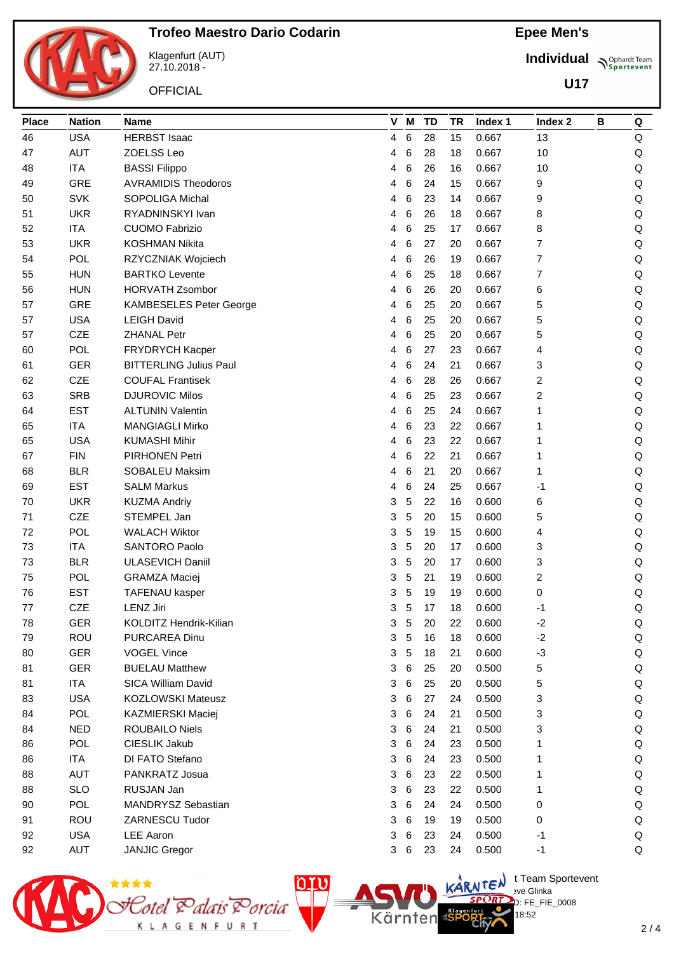

Klagenfurt (AUT) 27.10.2018 -

**OFFICIAL** 

**Individual Supplemant** Team

**U17**

| <b>Place</b> | <b>Nation</b> | <b>Name</b>                    |   | V M             | <b>TD</b> | TR | Index 1 | Index <sub>2</sub> | B | Q       |
|--------------|---------------|--------------------------------|---|-----------------|-----------|----|---------|--------------------|---|---------|
| 46           | <b>USA</b>    | <b>HERBST Isaac</b>            | 4 | $\,6\,$         | 28        | 15 | 0.667   | 13                 |   | Q       |
| 47           | <b>AUT</b>    | ZOELSS Leo                     | 4 | 6               | 28        | 18 | 0.667   | 10                 |   | Q       |
| 48           | <b>ITA</b>    | <b>BASSI Filippo</b>           | 4 | 6               | 26        | 16 | 0.667   | 10                 |   | Q       |
| 49           | <b>GRE</b>    | <b>AVRAMIDIS Theodoros</b>     | 4 | 6               | 24        | 15 | 0.667   | 9                  |   | Q       |
| 50           | <b>SVK</b>    | <b>SOPOLIGA Michal</b>         | 4 | 6               | 23        | 14 | 0.667   | 9                  |   | $\sf Q$ |
| 51           | <b>UKR</b>    | RYADNINSKYI Ivan               | 4 | 6               | 26        | 18 | 0.667   | 8                  |   | Q       |
| 52           | <b>ITA</b>    | <b>CUOMO Fabrizio</b>          | 4 | 6               | 25        | 17 | 0.667   | 8                  |   | Q       |
| 53           | <b>UKR</b>    | <b>KOSHMAN Nikita</b>          | 4 | 6               | 27        | 20 | 0.667   | 7                  |   | Q       |
| 54           | <b>POL</b>    | RZYCZNIAK Wojciech             | 4 | 6               | 26        | 19 | 0.667   | 7                  |   | Q       |
| 55           | <b>HUN</b>    | <b>BARTKO Levente</b>          | 4 | 6               | 25        | 18 | 0.667   | 7                  |   | Q       |
| 56           | <b>HUN</b>    | <b>HORVATH Zsombor</b>         | 4 | 6               | 26        | 20 | 0.667   | 6                  |   | Q       |
| 57           | GRE           | <b>KAMBESELES Peter George</b> | 4 | 6               | 25        | 20 | 0.667   | 5                  |   | Q       |
| 57           | <b>USA</b>    | <b>LEIGH David</b>             | 4 | 6               | 25        | 20 | 0.667   | 5                  |   | Q       |
| 57           | CZE           | <b>ZHANAL Petr</b>             | 4 | 6               | 25        | 20 | 0.667   | 5                  |   | Q       |
| 60           | <b>POL</b>    | FRYDRYCH Kacper                | 4 | 6               | 27        | 23 | 0.667   | 4                  |   | Q       |
| 61           | <b>GER</b>    | <b>BITTERLING Julius Paul</b>  | 4 | 6               | 24        | 21 | 0.667   | 3                  |   | Q       |
| 62           | <b>CZE</b>    | <b>COUFAL Frantisek</b>        | 4 | 6               | 28        | 26 | 0.667   | 2                  |   | $\sf Q$ |
| 63           | <b>SRB</b>    | <b>DJUROVIC Milos</b>          | 4 | 6               | 25        | 23 | 0.667   | 2                  |   | $\sf Q$ |
| 64           | <b>EST</b>    | <b>ALTUNIN Valentin</b>        | 4 | 6               | 25        | 24 | 0.667   | 1                  |   | Q       |
| 65           | <b>ITA</b>    | <b>MANGIAGLI Mirko</b>         | 4 | 6               | 23        | 22 | 0.667   | 1                  |   | Q       |
| 65           | <b>USA</b>    | <b>KUMASHI Mihir</b>           | 4 | 6               | 23        | 22 | 0.667   | 1                  |   | Q       |
| 67           | <b>FIN</b>    | PIRHONEN Petri                 | 4 | 6               | 22        | 21 | 0.667   | 1                  |   | $\sf Q$ |
| 68           | <b>BLR</b>    | SOBALEU Maksim                 | 4 | 6               | 21        | 20 | 0.667   | 1                  |   | Q       |
| 69           | <b>EST</b>    | <b>SALM Markus</b>             | 4 | 6               | 24        | 25 | 0.667   | -1                 |   | Q       |
| 70           | <b>UKR</b>    | <b>KUZMA Andriy</b>            | 3 | 5               | 22        | 16 | 0.600   | 6                  |   | Q       |
| 71           | CZE           | STEMPEL Jan                    | 3 | 5               | 20        | 15 | 0.600   | 5                  |   | Q       |
| 72           | <b>POL</b>    | <b>WALACH Wiktor</b>           | 3 | 5               | 19        | 15 | 0.600   | 4                  |   | Q       |
| 73           | <b>ITA</b>    | <b>SANTORO Paolo</b>           | 3 | 5               | 20        | 17 | 0.600   | 3                  |   | Q       |
| 73           | <b>BLR</b>    | <b>ULASEVICH Daniil</b>        | 3 | 5               | 20        | 17 | 0.600   | 3                  |   | Q       |
| 75           | <b>POL</b>    | <b>GRAMZA Maciej</b>           | 3 | 5               | 21        | 19 | 0.600   | 2                  |   | $\sf Q$ |
| 76           | <b>EST</b>    | TAFENAU kasper                 | 3 | 5               | 19        | 19 | 0.600   | 0                  |   | Q       |
| 77           | CZE           | <b>LENZ Jiri</b>               | 3 | 5               | 17        | 18 | 0.600   | -1                 |   | Q       |
| 78           | GER           | KOLDITZ Hendrik-Kilian         | 3 | 5               | 20        | 22 | 0.600   | $-2$               |   | Q       |
| 79           | ROU           | PURCAREA Dinu                  | 3 | 5               | 16        | 18 | 0.600   | $-2$               |   | Q       |
| 80           | <b>GER</b>    | <b>VOGEL Vince</b>             | 3 | 5               | 18        | 21 | 0.600   | $-3$               |   | Q       |
| 81           | <b>GER</b>    | <b>BUELAU Matthew</b>          | 3 | 6               | 25        | 20 | 0.500   | 5                  |   | Q       |
| 81           | <b>ITA</b>    | <b>SICA William David</b>      | 3 | 6               | 25        | 20 | 0.500   | 5                  |   | Q       |
| 83           | <b>USA</b>    | <b>KOZLOWSKI Mateusz</b>       | 3 | 6               | 27        | 24 | 0.500   | 3                  |   | Q       |
| 84           | <b>POL</b>    | KAZMIERSKI Maciej              | 3 | 6               | 24        | 21 | 0.500   | 3                  |   | Q       |
| 84           | <b>NED</b>    | <b>ROUBAILO Niels</b>          | 3 | 6               | 24        | 21 | 0.500   | 3                  |   | Q       |
| 86           | <b>POL</b>    | CIESLIK Jakub                  | 3 | 6               | 24        | 23 | 0.500   | 1                  |   | Q       |
| 86           | <b>ITA</b>    | DI FATO Stefano                | 3 | $6\phantom{1}6$ | 24        | 23 | 0.500   | 1                  |   | Q       |
| 88           | <b>AUT</b>    | PANKRATZ Josua                 | 3 | 6               | 23        | 22 | 0.500   | 1                  |   | Q       |
| 88           | <b>SLO</b>    | RUSJAN Jan                     | 3 | 6               | 23        | 22 | 0.500   | 1                  |   | Q       |
| 90           | <b>POL</b>    | MANDRYSZ Sebastian             | 3 | 6               | 24        | 24 | 0.500   | 0                  |   | Q       |
| 91           | ROU           | ZARNESCU Tudor                 | 3 | 6               | 19        | 19 | 0.500   | 0                  |   | Q       |
| 92           | <b>USA</b>    | <b>LEE Aaron</b>               | 3 | 6               | 23        | 24 | 0.500   | $-1$               |   | Q       |
| 92           | <b>AUT</b>    | <b>JANJIC Gregor</b>           | 3 | 6               | 23        | 24 | 0.500   | $-1$               |   | Q       |



 $\bigcup_{v \in \mathcal{F}} \mathsf{Id}$  t Team Sportevent **N'Y'Letter** sve Glinka  $D: FE$  FIE 0008

18:52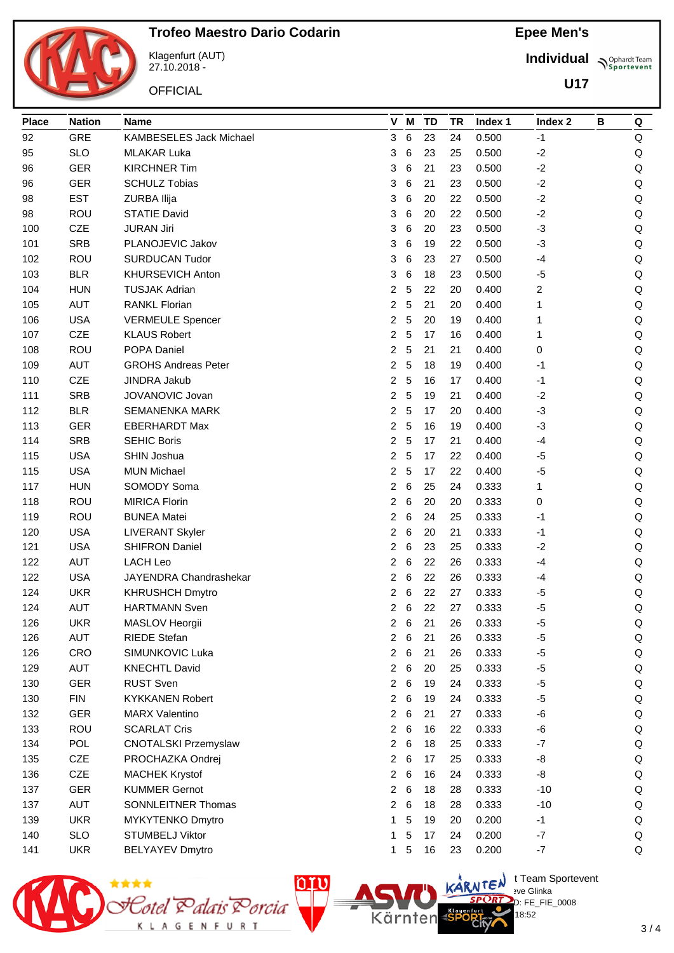

Klagenfurt (AUT) 27.10.2018 -

**OFFICIAL** 

**Individual Supplemant** Team

**U17**

| <b>Place</b> | <b>Nation</b> | <b>Name</b>                 |                | V M             |         | <b>TD</b> | <b>TR</b> | Index 1 | Index 2 | В | Q       |
|--------------|---------------|-----------------------------|----------------|-----------------|---------|-----------|-----------|---------|---------|---|---------|
| 92           | <b>GRE</b>    | KAMBESELES Jack Michael     | 3              |                 | 6       | 23        | 24        | 0.500   | $-1$    |   | Q       |
| 95           | <b>SLO</b>    | <b>MLAKAR Luka</b>          | 3              |                 | 6       | 23        | 25        | 0.500   | $-2$    |   | Q       |
| 96           | <b>GER</b>    | <b>KIRCHNER Tim</b>         | 3              |                 | 6       | 21        | 23        | 0.500   | $-2$    |   | Q       |
| 96           | <b>GER</b>    | <b>SCHULZ Tobias</b>        | 3              |                 | 6       | 21        | 23        | 0.500   | $-2$    |   | $\sf Q$ |
| 98           | <b>EST</b>    | ZURBA Ilija                 | 3              |                 | 6       | 20        | 22        | 0.500   | $-2$    |   | $\sf Q$ |
| 98           | ROU           | <b>STATIE David</b>         | 3              |                 | 6       | 20        | 22        | 0.500   | $-2$    |   | Q       |
| 100          | CZE           | <b>JURAN Jiri</b>           | 3              |                 | 6       | 20        | 23        | 0.500   | $-3$    |   | Q       |
| 101          | <b>SRB</b>    | PLANOJEVIC Jakov            | 3              |                 | 6       | 19        | 22        | 0.500   | $-3$    |   | Q       |
| 102          | ROU           | <b>SURDUCAN Tudor</b>       | 3              |                 | 6       | 23        | 27        | 0.500   | $-4$    |   | $\sf Q$ |
| 103          | <b>BLR</b>    | KHURSEVICH Anton            | 3              |                 | 6       | 18        | 23        | 0.500   | $-5$    |   | $\sf Q$ |
| 104          | <b>HUN</b>    | <b>TUSJAK Adrian</b>        | 2              |                 | 5       | 22        | 20        | 0.400   | 2       |   | $\sf Q$ |
| 105          | <b>AUT</b>    | <b>RANKL Florian</b>        | $\overline{c}$ |                 | 5       | 21        | 20        | 0.400   | 1       |   | Q       |
| 106          | <b>USA</b>    | <b>VERMEULE Spencer</b>     | 2              |                 | 5       | 20        | 19        | 0.400   | 1       |   | $\sf Q$ |
| 107          | CZE           | <b>KLAUS Robert</b>         | $\overline{2}$ |                 | 5       | 17        | 16        | 0.400   | 1       |   | $\sf Q$ |
| 108          | ROU           | POPA Daniel                 | 2              |                 | 5       | 21        | 21        | 0.400   | 0       |   | Q       |
| 109          | <b>AUT</b>    | <b>GROHS Andreas Peter</b>  | 2              |                 | 5       | 18        | 19        | 0.400   | $-1$    |   | Q       |
| 110          | CZE           | <b>JINDRA Jakub</b>         | $\overline{2}$ |                 | 5       | 16        | 17        | 0.400   | $-1$    |   | $\sf Q$ |
| 111          | <b>SRB</b>    | JOVANOVIC Jovan             | 2              |                 | 5       | 19        | 21        | 0.400   | $-2$    |   | $\sf Q$ |
| 112          | <b>BLR</b>    | <b>SEMANENKA MARK</b>       | 2              |                 | 5       | 17        | 20        | 0.400   | $-3$    |   | $\sf Q$ |
| 113          | <b>GER</b>    | <b>EBERHARDT Max</b>        | $\overline{c}$ |                 | 5       | 16        | 19        | 0.400   | $-3$    |   | $\sf Q$ |
| 114          | <b>SRB</b>    | <b>SEHIC Boris</b>          | $\overline{2}$ |                 | 5       | 17        | 21        | 0.400   | -4      |   | Q       |
| 115          | <b>USA</b>    | SHIN Joshua                 | $\overline{2}$ | 5               |         | 17        | 22        | 0.400   | $-5$    |   | $\sf Q$ |
| 115          | <b>USA</b>    | <b>MUN Michael</b>          | $\overline{a}$ | 5               |         | 17        | 22        | 0.400   | $-5$    |   | Q       |
| 117          | <b>HUN</b>    | SOMODY Soma                 | 2              |                 | 6       | 25        | 24        | 0.333   | 1       |   | Q       |
| 118          | ROU           | <b>MIRICA Florin</b>        | 2              |                 | $\,6\,$ | 20        | 20        | 0.333   | 0       |   | Q       |
| 119          | ROU           | <b>BUNEA Matei</b>          | 2              |                 | 6       | 24        | 25        | 0.333   | $-1$    |   | $\sf Q$ |
| 120          | <b>USA</b>    | <b>LIVERANT Skyler</b>      | 2              |                 | 6       | 20        | 21        | 0.333   | $-1$    |   | $\sf Q$ |
| 121          | <b>USA</b>    | <b>SHIFRON Daniel</b>       | 2              |                 | 6       | 23        | 25        | 0.333   | $-2$    |   | Q       |
| 122          | <b>AUT</b>    | <b>LACH Leo</b>             | 2              |                 | 6       | 22        | 26        | 0.333   | $-4$    |   | Q       |
| 122          | <b>USA</b>    | JAYENDRA Chandrashekar      | 2              |                 | 6       | 22        | 26        | 0.333   | -4      |   | Q       |
| 124          | <b>UKR</b>    | <b>KHRUSHCH Dmytro</b>      | 2              |                 | 6       | 22        | 27        | 0.333   | $-5$    |   | Q       |
| 124          | <b>AUT</b>    | <b>HARTMANN Sven</b>        | $\overline{2}$ |                 | 6       | 22        | 27        | 0.333   | $-5$    |   | Q       |
| 126          | UKR           | MASLOV Heorgii              | 2              |                 | 6       | 21        | 26        | 0.333   | -5      |   | Q       |
| 126          | <b>AUT</b>    | <b>RIEDE Stefan</b>         | $\overline{2}$ |                 | $\,6$   | 21        | 26        | 0.333   | $-5$    |   | Q       |
| 126          | CRO           | SIMUNKOVIC Luka             | $\overline{2}$ | $6\phantom{1}6$ |         | 21        | 26        | 0.333   | $-5$    |   | Q       |
| 129          | <b>AUT</b>    | <b>KNECHTL David</b>        | $\overline{2}$ | 6               |         | 20        | 25        | 0.333   | $-5$    |   | Q       |
| 130          | <b>GER</b>    | <b>RUST Sven</b>            | $\overline{a}$ | 6               |         | 19        | 24        | 0.333   | $-5$    |   | Q       |
| 130          | <b>FIN</b>    | <b>KYKKANEN Robert</b>      | $\overline{2}$ | 6               |         | 19        | 24        | 0.333   | $-5$    |   | Q       |
| 132          | <b>GER</b>    | <b>MARX Valentino</b>       | $\overline{2}$ |                 | 6       | 21        | 27        | 0.333   | $-6$    |   | Q       |
| 133          | ROU           | <b>SCARLAT Cris</b>         | $\overline{a}$ |                 | 6       | 16        | 22        | 0.333   | -6      |   | Q       |
| 134          | POL           | <b>CNOTALSKI Przemyslaw</b> | 2              |                 | 6       | 18        | 25        | 0.333   | $-7$    |   | Q       |
| 135          | CZE           | PROCHAZKA Ondrej            | $\overline{a}$ | $6\phantom{1}6$ |         | 17        | 25        | 0.333   | -8      |   | Q       |
| 136          | CZE           | <b>MACHEK Krystof</b>       | $\overline{2}$ |                 | 6       | 16        | 24        | 0.333   | -8      |   | Q       |
| 137          | <b>GER</b>    | <b>KUMMER Gernot</b>        | $\overline{2}$ | 6               |         | 18        | 28        | 0.333   | $-10$   |   | Q       |
| 137          | AUT           | <b>SONNLEITNER Thomas</b>   | $\overline{2}$ | 6               |         | 18        | 28        | 0.333   | $-10$   |   | Q       |
| 139          | <b>UKR</b>    | MYKYTENKO Dmytro            | 1              |                 | 5       | 19        | 20        | 0.200   | $-1$    |   | Q       |
| 140          | <b>SLO</b>    | <b>STUMBELJ Viktor</b>      | 1              |                 | 5       | 17        | 24        | 0.200   | $-7$    |   | Q       |
| 141          | <b>UKR</b>    | <b>BELYAYEV Dmytro</b>      | 1              |                 | 5       | 16        | 23        | 0.200   | $-7$    |   | Q       |
|              |               |                             |                |                 |         |           |           |         |         |   |         |





 $\bigcup_{v \in \mathcal{F}} \mathsf{Id}$  t Team Sportevent

18:52

 $D: FE$  FIE 0008

**N'Y'Letter** sve Glinka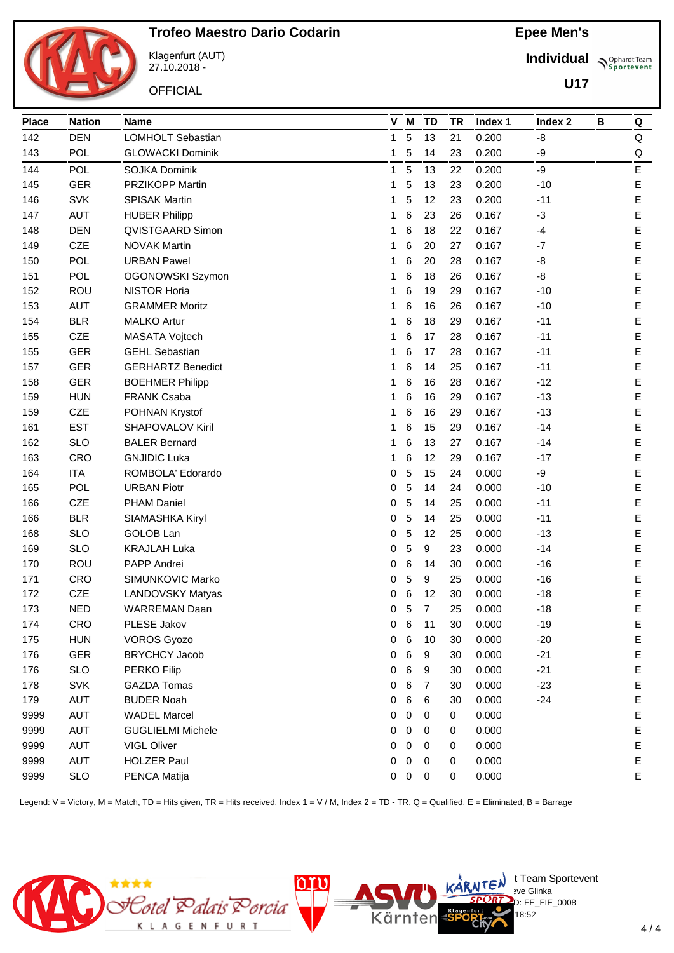

Klagenfurt (AUT) 27.10.2018 -

**OFFICIAL** 

**Individual Supplemant** Team

**U17**

| <b>Place</b> | <b>Nation</b> | <b>Name</b>              |   | V M        | <b>TD</b>      | TR | Index 1 | Index <sub>2</sub> | В | Q           |
|--------------|---------------|--------------------------|---|------------|----------------|----|---------|--------------------|---|-------------|
| 142          | <b>DEN</b>    | <b>LOMHOLT Sebastian</b> | 1 | 5          | 13             | 21 | 0.200   | -8                 |   | Q           |
| 143          | <b>POL</b>    | <b>GLOWACKI Dominik</b>  | 1 | 5          | 14             | 23 | 0.200   | -9                 |   | Q           |
| 144          | <b>POL</b>    | <b>SOJKA Dominik</b>     | 1 | 5          | 13             | 22 | 0.200   | -9                 |   | E           |
| 145          | <b>GER</b>    | <b>PRZIKOPP Martin</b>   | 1 | 5          | 13             | 23 | 0.200   | $-10$              |   | $\mathsf E$ |
| 146          | <b>SVK</b>    | <b>SPISAK Martin</b>     | 1 | 5          | 12             | 23 | 0.200   | $-11$              |   | $\mathsf E$ |
| 147          | <b>AUT</b>    | <b>HUBER Philipp</b>     | 1 | 6          | 23             | 26 | 0.167   | $-3$               |   | E           |
| 148          | <b>DEN</b>    | QVISTGAARD Simon         | 1 | 6          | 18             | 22 | 0.167   | $-4$               |   | E           |
| 149          | CZE           | <b>NOVAK Martin</b>      | 1 | 6          | 20             | 27 | 0.167   | $-7$               |   | $\mathsf E$ |
| 150          | <b>POL</b>    | <b>URBAN Pawel</b>       | 1 | 6          | 20             | 28 | 0.167   | -8                 |   | $\mathsf E$ |
| 151          | <b>POL</b>    | OGONOWSKI Szymon         | 1 | 6          | 18             | 26 | 0.167   | -8                 |   | E           |
| 152          | ROU           | <b>NISTOR Horia</b>      | 1 | 6          | 19             | 29 | 0.167   | $-10$              |   | $\mathsf E$ |
| 153          | <b>AUT</b>    | <b>GRAMMER Moritz</b>    | 1 | 6          | 16             | 26 | 0.167   | $-10$              |   | $\mathsf E$ |
| 154          | <b>BLR</b>    | <b>MALKO Artur</b>       | 1 | 6          | 18             | 29 | 0.167   | $-11$              |   | E           |
| 155          | CZE           | MASATA Vojtech           | 1 | 6          | 17             | 28 | 0.167   | $-11$              |   | $\mathsf E$ |
| 155          | <b>GER</b>    | <b>GEHL Sebastian</b>    | 1 | 6          | 17             | 28 | 0.167   | $-11$              |   | $\mathsf E$ |
| 157          | <b>GER</b>    | <b>GERHARTZ Benedict</b> | 1 | 6          | 14             | 25 | 0.167   | $-11$              |   | E           |
| 158          | <b>GER</b>    | <b>BOEHMER Philipp</b>   | 1 | 6          | 16             | 28 | 0.167   | $-12$              |   | $\mathsf E$ |
| 159          | <b>HUN</b>    | <b>FRANK Csaba</b>       | 1 | 6          | 16             | 29 | 0.167   | $-13$              |   | $\mathsf E$ |
| 159          | CZE           | POHNAN Krystof           | 1 | 6          | 16             | 29 | 0.167   | $-13$              |   | $\mathsf E$ |
| 161          | <b>EST</b>    | SHAPOVALOV Kiril         | 1 | 6          | 15             | 29 | 0.167   | $-14$              |   | $\mathsf E$ |
| 162          | <b>SLO</b>    | <b>BALER Bernard</b>     | 1 | 6          | 13             | 27 | 0.167   | $-14$              |   | $\mathsf E$ |
| 163          | CRO           | <b>GNJIDIC Luka</b>      | 1 | 6          | 12             | 29 | 0.167   | $-17$              |   | $\mathsf E$ |
| 164          | <b>ITA</b>    | ROMBOLA' Edorardo        | 0 | 5          | 15             | 24 | 0.000   | -9                 |   | E           |
| 165          | <b>POL</b>    | <b>URBAN Piotr</b>       | 0 | 5          | 14             | 24 | 0.000   | $-10$              |   | E           |
| 166          | CZE           | <b>PHAM Daniel</b>       | 0 | 5          | 14             | 25 | 0.000   | $-11$              |   | E           |
| 166          | <b>BLR</b>    | SIAMASHKA Kiryl          | 0 | 5          | 14             | 25 | 0.000   | $-11$              |   | E           |
| 168          | <b>SLO</b>    | GOLOB Lan                | 0 | 5          | 12             | 25 | 0.000   | $-13$              |   | E           |
| 169          | <b>SLO</b>    | <b>KRAJLAH Luka</b>      | 0 | 5          | 9              | 23 | 0.000   | $-14$              |   | E           |
| 170          | ROU           | PAPP Andrei              | 0 | 6          | 14             | 30 | 0.000   | $-16$              |   | E           |
| 171          | CRO           | SIMUNKOVIC Marko         | 0 | 5          | 9              | 25 | 0.000   | $-16$              |   | E           |
| 172          | CZE           | <b>LANDOVSKY Matyas</b>  | 0 | 6          | 12             | 30 | 0.000   | $-18$              |   | E           |
| 173          | <b>NED</b>    | WARREMAN Daan            | 0 | 5          | $\overline{7}$ | 25 | 0.000   | $-18$              |   | E           |
| 174          | CRO           | PLESE Jakov              | 0 | 6          | 11             | 30 | 0.000   | $-19$              |   | Е           |
| 175          | <b>HUN</b>    | <b>VOROS Gyozo</b>       | 0 | 6          | 10             | 30 | 0.000   | $-20$              |   | $\mathsf E$ |
| 176          | <b>GER</b>    | <b>BRYCHCY Jacob</b>     | 0 | 6          | 9              | 30 | 0.000   | $-21$              |   | $\mathsf E$ |
| 176          | <b>SLO</b>    | <b>PERKO Filip</b>       | 0 | 6          | 9              | 30 | 0.000   | $-21$              |   | E           |
| 178          | SVK           | <b>GAZDA Tomas</b>       | 0 | 6          | 7              | 30 | 0.000   | $-23$              |   | E           |
| 179          | <b>AUT</b>    | <b>BUDER Noah</b>        | 0 | 6          | 6              | 30 | 0.000   | $-24$              |   | $\mathsf E$ |
| 9999         | <b>AUT</b>    | <b>WADEL Marcel</b>      | 0 | 0          | 0              | 0  | 0.000   |                    |   | $\mathsf E$ |
| 9999         | <b>AUT</b>    | <b>GUGLIELMI Michele</b> | 0 | 0          | 0              | 0  | 0.000   |                    |   | $\mathsf E$ |
| 9999         | AUT           | VIGL Oliver              | 0 | 0          | 0              | 0  | 0.000   |                    |   | E           |
| 9999         | <b>AUT</b>    | <b>HOLZER Paul</b>       | 0 | 0          | 0              | 0  | 0.000   |                    |   | $\mathsf E$ |
| 9999         | <b>SLO</b>    | PENCA Matija             |   | $0\quad 0$ | $\pmb{0}$      | 0  | 0.000   |                    |   | E           |

Legend: V = Victory, M = Match, TD = Hits given, TR = Hits received, Index 1 = V / M, Index 2 = TD - TR, Q = Qualified, E = Eliminated, B = Barrage

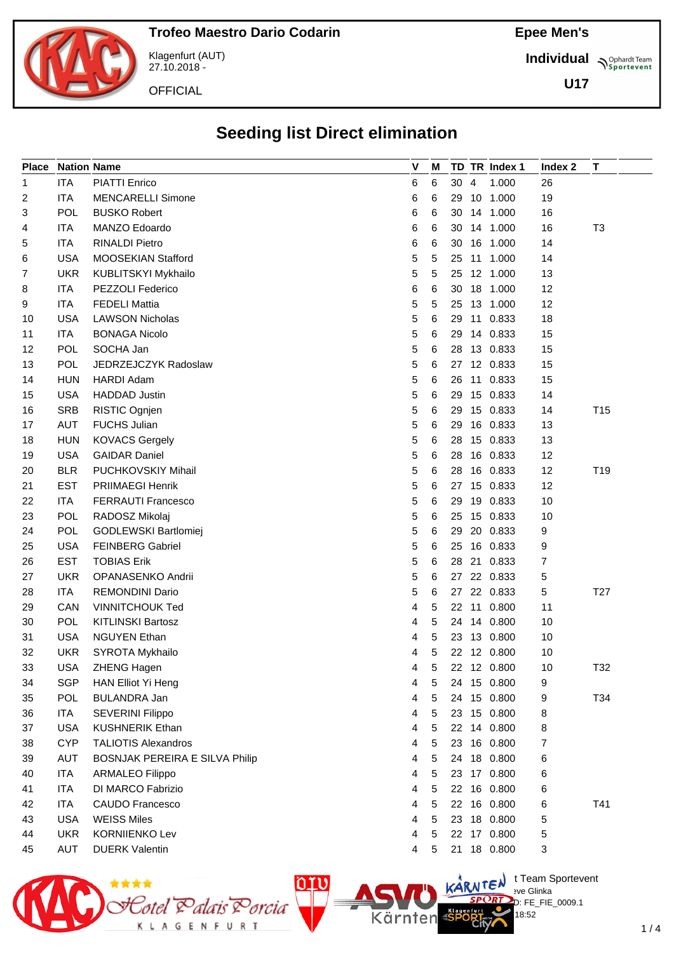

Klagenfurt (AUT) 27.10.2018 -

**OFFICIAL** 

**Individual Supplemant** Team

**U17**

## **Seeding list Direct elimination**

| <b>Place</b> |            | <b>Nation Name</b>             | V | M |      | TD TR Index 1 | Index 2 | Т               |
|--------------|------------|--------------------------------|---|---|------|---------------|---------|-----------------|
| 1            | <b>ITA</b> | <b>PIATTI Enrico</b>           | 6 | 6 | 30 4 | 1.000         | 26      |                 |
| 2            | <b>ITA</b> | <b>MENCARELLI Simone</b>       | 6 | 6 |      | 29 10 1.000   | 19      |                 |
| 3            | <b>POL</b> | <b>BUSKO Robert</b>            | 6 | 6 |      | 30 14 1.000   | 16      |                 |
| 4            | ITA        | MANZO Edoardo                  | 6 | 6 |      | 30 14 1.000   | 16      | T3              |
| 5            | ITA        | <b>RINALDI Pietro</b>          | 6 | 6 |      | 30 16 1.000   | 14      |                 |
| 6            | <b>USA</b> | MOOSEKIAN Stafford             | 5 | 5 |      | 25 11 1.000   | 14      |                 |
| 7            | <b>UKR</b> | KUBLITSKYI Mykhailo            | 5 | 5 |      | 25 12 1.000   | 13      |                 |
| 8            | ITA        | PEZZOLI Federico               | 6 | 6 |      | 30 18 1.000   | 12      |                 |
| 9            | ITA        | <b>FEDELI Mattia</b>           | 5 | 5 |      | 25 13 1.000   | 12      |                 |
| 10           | <b>USA</b> | <b>LAWSON Nicholas</b>         | 5 | 6 |      | 29 11 0.833   | 18      |                 |
| 11           | <b>ITA</b> | <b>BONAGA Nicolo</b>           | 5 | 6 | 29   | 14 0.833      | 15      |                 |
| 12           | <b>POL</b> | SOCHA Jan                      | 5 | 6 |      | 28 13 0.833   | 15      |                 |
| 13           | <b>POL</b> | JEDRZEJCZYK Radoslaw           | 5 | 6 |      | 27 12 0.833   | 15      |                 |
| 14           | <b>HUN</b> | HARDI Adam                     | 5 | 6 |      | 26 11 0.833   | 15      |                 |
| 15           | <b>USA</b> | <b>HADDAD Justin</b>           | 5 | 6 | 29   | 15 0.833      | 14      |                 |
| 16           | <b>SRB</b> | RISTIC Ognjen                  | 5 | 6 |      | 29 15 0.833   | 14      | T <sub>15</sub> |
| 17           | <b>AUT</b> | <b>FUCHS Julian</b>            | 5 | 6 |      | 29 16 0.833   | 13      |                 |
| 18           | <b>HUN</b> | <b>KOVACS Gergely</b>          | 5 | 6 |      | 28 15 0.833   | 13      |                 |
| 19           | <b>USA</b> | <b>GAIDAR Daniel</b>           | 5 | 6 | 28   | 16 0.833      | 12      |                 |
| 20           | <b>BLR</b> | <b>PUCHKOVSKIY Mihail</b>      | 5 | 6 | 28   | 16 0.833      | 12      | T19             |
| 21           | <b>EST</b> | <b>PRIIMAEGI Henrik</b>        | 5 | 6 |      | 27 15 0.833   | 12      |                 |
| 22           | <b>ITA</b> | <b>FERRAUTI Francesco</b>      | 5 | 6 |      | 29 19 0.833   | 10      |                 |
| 23           | POL        | RADOSZ Mikolaj                 | 5 | 6 |      | 25 15 0.833   | 10      |                 |
| 24           | POL        | GODLEWSKI Bartlomiej           | 5 | 6 | 29   | 20 0.833      | 9       |                 |
| 25           | <b>USA</b> | <b>FEINBERG Gabriel</b>        | 5 | 6 |      | 25 16 0.833   | 9       |                 |
| 26           | <b>EST</b> | <b>TOBIAS Erik</b>             | 5 | 6 |      | 28 21 0.833   | 7       |                 |
| 27           | <b>UKR</b> | OPANASENKO Andrii              | 5 | 6 |      | 27 22 0.833   | 5       |                 |
| 28           | <b>ITA</b> | <b>REMONDINI Dario</b>         | 5 | 6 |      | 27 22 0.833   | 5       | T <sub>27</sub> |
| 29           | CAN        | <b>VINNITCHOUK Ted</b>         | 4 | 5 |      | 22 11 0.800   | 11      |                 |
| 30           | POL        | <b>KITLINSKI Bartosz</b>       | 4 | 5 |      | 24 14 0.800   | 10      |                 |
| 31           | <b>USA</b> | <b>NGUYEN Ethan</b>            | 4 | 5 |      | 23 13 0.800   | 10      |                 |
| 32           | <b>UKR</b> | SYROTA Mykhailo                | 4 | 5 |      | 22 12 0.800   | 10      |                 |
| 33           | <b>USA</b> | ZHENG Hagen                    | 4 | 5 |      | 22 12 0.800   | 10      | T32             |
| 34           | SGP        | HAN Elliot Yi Heng             | 4 | 5 |      | 24 15 0.800   | 9       |                 |
| 35           | POL        | <b>BULANDRA Jan</b>            | 4 | 5 |      | 24 15 0.800   | 9       | T34             |
| 36           | <b>ITA</b> | SEVERINI Filippo               | 4 | 5 |      | 23 15 0.800   | 8       |                 |
| 37           | <b>USA</b> | <b>KUSHNERIK Ethan</b>         | 4 | 5 |      | 22 14 0.800   | 8       |                 |
| 38           | <b>CYP</b> | <b>TALIOTIS Alexandros</b>     | 4 | 5 |      | 23 16 0.800   | 7       |                 |
| 39           | <b>AUT</b> | BOSNJAK PEREIRA E SILVA Philip | 4 | 5 |      | 24 18 0.800   | 6       |                 |
| 40           | <b>ITA</b> | ARMALEO Filippo                | 4 | 5 |      | 23 17 0.800   | 6       |                 |
| 41           | <b>ITA</b> | DI MARCO Fabrizio              | 4 | 5 |      | 22 16 0.800   | 6       |                 |
| 42           | ITA        | <b>CAUDO Francesco</b>         | 4 | 5 |      | 22 16 0.800   | 6       | T41             |
| 43           | <b>USA</b> | <b>WEISS Miles</b>             | 4 | 5 |      | 23 18 0.800   | 5       |                 |
| 44           | <b>UKR</b> | <b>KORNIIENKO Lev</b>          | 4 | 5 |      | 22 17 0.800   | 5       |                 |
| 45           | <b>AUT</b> | <b>DUERK Valentin</b>          | 4 | 5 |      | 21 18 0.800   | 3       |                 |
|              |            |                                |   |   |      |               |         |                 |



 $\bigcup_{v \in \mathcal{F}} \mathsf{Id}$  t Team Sportevent **N'Y'Letter** sve Glinka D: FE\_FIE\_0009.1

18:52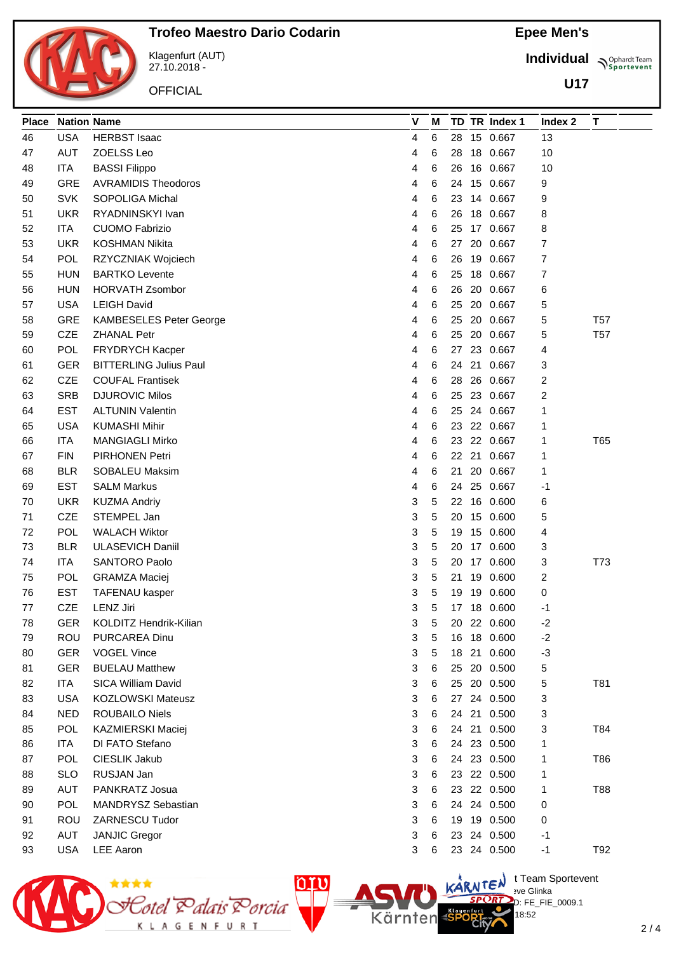

Klagenfurt (AUT) 27.10.2018 -

**OFFICIAL** 

Cotel Palais Porcia<br>коловитикт

**Epee Men's**

**Individual Supplemant** Team

**U17**

| <b>Place</b> | <b>Nation Name</b> |                                          | V | М |    |    | TD TR Index 1 | Index 2                                   | T               |  |
|--------------|--------------------|------------------------------------------|---|---|----|----|---------------|-------------------------------------------|-----------------|--|
| 46           | <b>USA</b>         | <b>HERBST Isaac</b>                      | 4 | 6 | 28 |    | 15 0.667      | 13                                        |                 |  |
| 47           | <b>AUT</b>         | ZOELSS Leo                               | 4 | 6 | 28 |    | 18 0.667      | 10                                        |                 |  |
| 48           | ITA                | <b>BASSI Filippo</b>                     | 4 | 6 | 26 |    | 16 0.667      | 10                                        |                 |  |
| 49           | <b>GRE</b>         | <b>AVRAMIDIS Theodoros</b>               | 4 | 6 | 24 |    | 15 0.667      | 9                                         |                 |  |
| 50           | <b>SVK</b>         | <b>SOPOLIGA Michal</b>                   | 4 | 6 | 23 |    | 14 0.667      | 9                                         |                 |  |
| 51           | <b>UKR</b>         | RYADNINSKYI Ivan                         | 4 | 6 | 26 |    | 18 0.667      | 8                                         |                 |  |
| 52           | <b>ITA</b>         | <b>CUOMO Fabrizio</b>                    | 4 | 6 | 25 |    | 17 0.667      | 8                                         |                 |  |
| 53           | <b>UKR</b>         | <b>KOSHMAN Nikita</b>                    | 4 | 6 | 27 |    | 20 0.667      | 7                                         |                 |  |
| 54           | POL                | RZYCZNIAK Wojciech                       | 4 | 6 | 26 |    | 19 0.667      | 7                                         |                 |  |
| 55           | <b>HUN</b>         | <b>BARTKO Levente</b>                    | 4 | 6 | 25 | 18 | 0.667         | 7                                         |                 |  |
| 56           | <b>HUN</b>         | <b>HORVATH Zsombor</b>                   | 4 | 6 | 26 |    | 20 0.667      | 6                                         |                 |  |
| 57           | <b>USA</b>         | <b>LEIGH David</b>                       | 4 | 6 | 25 |    | 20 0.667      | 5                                         |                 |  |
| 58           | GRE                | <b>KAMBESELES Peter George</b>           | 4 | 6 | 25 |    | 20 0.667      | 5                                         | T <sub>57</sub> |  |
| 59           | CZE                | <b>ZHANAL Petr</b>                       | 4 | 6 | 25 |    | 20 0.667      | 5                                         | <b>T57</b>      |  |
| 60           | <b>POL</b>         | <b>FRYDRYCH Kacper</b>                   | 4 | 6 | 27 |    | 23 0.667      | 4                                         |                 |  |
| 61           | <b>GER</b>         | <b>BITTERLING Julius Paul</b>            | 4 | 6 | 24 | 21 | 0.667         | 3                                         |                 |  |
| 62           | <b>CZE</b>         | <b>COUFAL Frantisek</b>                  | 4 | 6 | 28 |    | 26 0.667      | 2                                         |                 |  |
| 63           | <b>SRB</b>         | <b>DJUROVIC Milos</b>                    | 4 | 6 | 25 |    | 23 0.667      | 2                                         |                 |  |
| 64           | <b>EST</b>         | <b>ALTUNIN Valentin</b>                  | 4 | 6 | 25 |    | 24 0.667      | 1                                         |                 |  |
| 65           | <b>USA</b>         | <b>KUMASHI Mihir</b>                     | 4 | 6 | 23 |    | 22 0.667      | 1                                         |                 |  |
| 66           | <b>ITA</b>         | <b>MANGIAGLI Mirko</b>                   | 4 | 6 | 23 |    | 22 0.667      | 1                                         | T65             |  |
| 67           | <b>FIN</b>         | <b>PIRHONEN Petri</b>                    | 4 | 6 |    |    | 22 21 0.667   | 1                                         |                 |  |
| 68           | <b>BLR</b>         | SOBALEU Maksim                           | 4 | 6 | 21 |    | 20 0.667      | 1                                         |                 |  |
| 69           | <b>EST</b>         | <b>SALM Markus</b>                       | 4 | 6 | 24 |    | 25 0.667      | -1                                        |                 |  |
| 70           | <b>UKR</b>         | <b>KUZMA Andriy</b>                      | 3 | 5 | 22 |    | 16 0.600      | 6                                         |                 |  |
| 71           | <b>CZE</b>         | STEMPEL Jan                              | 3 | 5 | 20 |    | 15 0.600      | 5                                         |                 |  |
| 72           | <b>POL</b>         | <b>WALACH Wiktor</b>                     | 3 | 5 | 19 |    | 15 0.600      | 4                                         |                 |  |
| 73           | <b>BLR</b>         | <b>ULASEVICH Daniil</b>                  | 3 | 5 | 20 |    | 17 0.600      | 3                                         |                 |  |
| 74           | <b>ITA</b>         | SANTORO Paolo                            | 3 | 5 | 20 |    | 17 0.600      | 3                                         | T73             |  |
| 75           | <b>POL</b>         | <b>GRAMZA Maciej</b>                     | 3 | 5 | 21 |    | 19 0.600      | 2                                         |                 |  |
| 76           | <b>EST</b>         | <b>TAFENAU kasper</b>                    | 3 | 5 | 19 |    | 19 0.600      | 0                                         |                 |  |
| 77           | CZE                | LENZ Jiri                                | 3 | 5 |    |    | 17 18 0.600   | -1                                        |                 |  |
| 78           | <b>GER</b>         | KOLDITZ Hendrik-Kilian                   | 3 | 5 |    |    | 20 22 0.600   | $-2$                                      |                 |  |
| 79           | <b>ROU</b>         | PURCAREA Dinu                            | 3 | 5 | 16 |    | 18 0.600      | $-2$                                      |                 |  |
| 80           | <b>GER</b>         | <b>VOGEL Vince</b>                       | 3 | 5 | 18 |    | 21 0.600      | $-3$                                      |                 |  |
| 81           | <b>GER</b>         | <b>BUELAU Matthew</b>                    | 3 | 6 | 25 |    | 20 0.500      | 5                                         |                 |  |
| 82           | ITA                | SICA William David                       | 3 | 6 | 25 |    | 20 0.500      | 5                                         | T81             |  |
| 83           | <b>USA</b>         | <b>KOZLOWSKI Mateusz</b>                 | 3 | 6 |    |    | 27 24 0.500   | 3                                         |                 |  |
| 84           | <b>NED</b>         | <b>ROUBAILO Niels</b>                    | 3 | 6 |    |    | 24 21 0.500   | 3                                         |                 |  |
| 85           | POL                | KAZMIERSKI Maciej                        | 3 | 6 | 24 | 21 | 0.500         | 3                                         | T84             |  |
| 86           | ITA                | DI FATO Stefano                          | 3 | 6 | 24 |    | 23 0.500      | 1                                         |                 |  |
| 87           | POL                | CIESLIK Jakub                            | 3 | 6 | 24 |    | 23 0.500      | 1                                         | T86             |  |
| 88           | <b>SLO</b>         | RUSJAN Jan                               | 3 | 6 | 23 |    | 22 0.500      | 1                                         |                 |  |
| 89           | AUT                | PANKRATZ Josua                           | 3 | 6 | 23 |    | 22 0.500      | 1                                         | T88             |  |
| 90           | POL                | MANDRYSZ Sebastian                       | 3 | 6 | 24 |    | 24 0.500      | 0                                         |                 |  |
| 91           | <b>ROU</b>         | ZARNESCU Tudor                           | 3 | 6 | 19 |    | 19 0.500      | 0                                         |                 |  |
| 92           | <b>AUT</b>         | <b>JANJIC Gregor</b>                     | 3 | 6 | 23 |    | 24 0.500      | -1                                        |                 |  |
| 93           | <b>USA</b>         | <b>LEE Aaron</b>                         | 3 | 6 |    |    | 23 24 0.500   | $-1$                                      | T92             |  |
|              |                    |                                          |   |   |    |    |               |                                           |                 |  |
|              |                    | $010 -$<br><b>ANTICOLOGY AND RESERVE</b> |   |   |    |    |               | $L \rightarrow kR$ MTEN t Team Sportevent |                 |  |

**N'Y'Letter** sve Glinka

Kärnten

18:52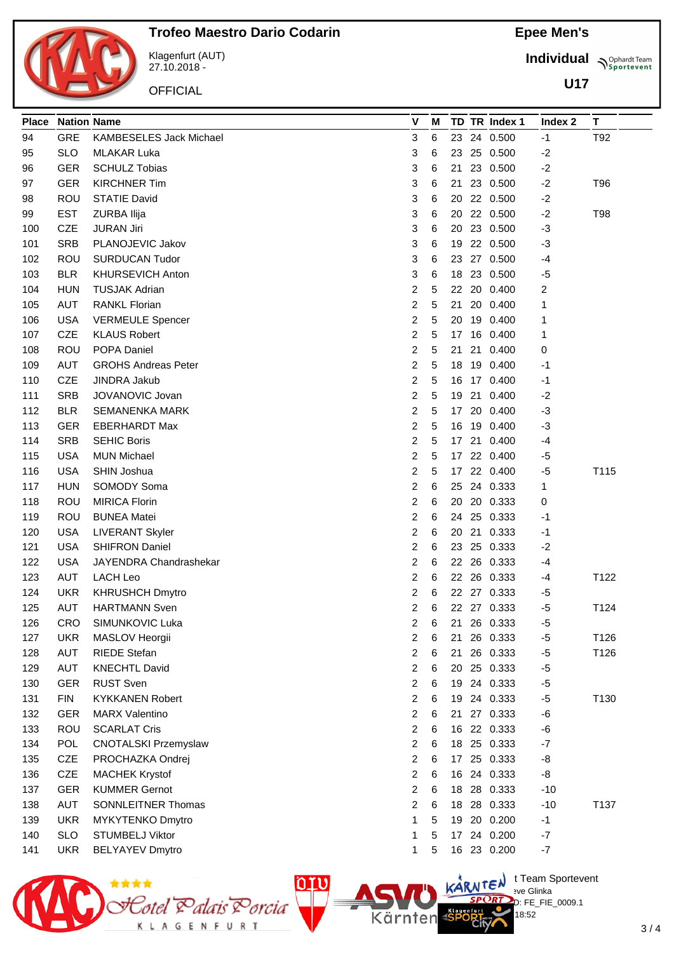

Klagenfurt (AUT) 27.10.2018 -

**OFFICIAL** 

**Epee Men's**

**Individual Supplemant** Team

**U17**

| <b>Place</b> | <b>Nation Name</b> |                             | V                       | м |                 | TD TR Index 1 | Index 2 | T.   |
|--------------|--------------------|-----------------------------|-------------------------|---|-----------------|---------------|---------|------|
| 94           | <b>GRE</b>         | KAMBESELES Jack Michael     | 3                       | 6 |                 | 23 24 0.500   | $-1$    | T92  |
| 95           | <b>SLO</b>         | <b>MLAKAR Luka</b>          | 3                       | 6 | 23              | 25 0.500      | $-2$    |      |
| 96           | GER                | <b>SCHULZ Tobias</b>        | 3                       | 6 | 21              | 23 0.500      | $-2$    |      |
| 97           | <b>GER</b>         | <b>KIRCHNER Tim</b>         | 3                       | 6 | 21              | 23 0.500      | $-2$    | T96  |
| 98           | <b>ROU</b>         | <b>STATIE David</b>         | 3                       | 6 | 20              | 22 0.500      | $-2$    |      |
| 99           | <b>EST</b>         | ZURBA Ilija                 | 3                       | 6 | 20              | 22 0.500      | $-2$    | T98  |
| 100          | <b>CZE</b>         | <b>JURAN Jiri</b>           | 3                       | 6 | 20              | 23 0.500      | $-3$    |      |
| 101          | <b>SRB</b>         | PLANOJEVIC Jakov            | 3                       | 6 | 19              | 22 0.500      | $-3$    |      |
| 102          | ROU                | <b>SURDUCAN Tudor</b>       | 3                       | 6 |                 | 23 27 0.500   | -4      |      |
| 103          | <b>BLR</b>         | <b>KHURSEVICH Anton</b>     | 3                       | 6 | 18              | 23 0.500      | $-5$    |      |
| 104          | <b>HUN</b>         | <b>TUSJAK Adrian</b>        | 2                       | 5 |                 | 22 20 0.400   | 2       |      |
| 105          | AUT                | <b>RANKL Florian</b>        | 2                       | 5 | 21              | 20 0.400      | 1       |      |
| 106          | <b>USA</b>         | <b>VERMEULE Spencer</b>     | 2                       | 5 | 20              | 19 0.400      | 1       |      |
| 107          | <b>CZE</b>         | <b>KLAUS Robert</b>         | 2                       | 5 | 17              | 16 0.400      | 1       |      |
| 108          | <b>ROU</b>         | POPA Daniel                 | 2                       | 5 | 21              | 21 0.400      | 0       |      |
| 109          | AUT                | <b>GROHS Andreas Peter</b>  | 2                       | 5 | 18              | 19 0.400      | $-1$    |      |
| 110          | <b>CZE</b>         | <b>JINDRA Jakub</b>         | 2                       | 5 | 16              | 17 0.400      | -1      |      |
| 111          | <b>SRB</b>         | JOVANOVIC Jovan             | 2                       | 5 | 19              | 21 0.400      | $-2$    |      |
| 112          | <b>BLR</b>         | <b>SEMANENKA MARK</b>       | 2                       | 5 | 17 <sup>2</sup> | 20 0.400      | $-3$    |      |
| 113          | <b>GER</b>         | <b>EBERHARDT Max</b>        | 2                       | 5 | 16              | 19 0.400      | $-3$    |      |
| 114          | <b>SRB</b>         | <b>SEHIC Boris</b>          | $\overline{\mathbf{c}}$ | 5 |                 | 17 21 0.400   | -4      |      |
| 115          | <b>USA</b>         | <b>MUN Michael</b>          | 2                       | 5 |                 | 17 22 0.400   | -5      |      |
| 116          | <b>USA</b>         | <b>SHIN Joshua</b>          | 2                       | 5 | 17              | 22 0.400      | $-5$    | T115 |
| 117          | <b>HUN</b>         | SOMODY Soma                 | 2                       | 6 | 25              | 24 0.333      | 1       |      |
| 118          | ROU                | <b>MIRICA Florin</b>        | 2                       | 6 | 20              | 20 0.333      | 0       |      |
| 119          | ROU                | <b>BUNEA Matei</b>          | 2                       | 6 |                 | 24 25 0.333   | -1      |      |
| 120          | USA                | <b>LIVERANT Skyler</b>      | 2                       | 6 | 20              | 21 0.333      | $-1$    |      |
| 121          | <b>USA</b>         | <b>SHIFRON Daniel</b>       | 2                       | 6 | 23              | 25 0.333      | $-2$    |      |
| 122          | <b>USA</b>         | JAYENDRA Chandrashekar      | 2                       | 6 |                 | 22 26 0.333   | $-4$    |      |
| 123          | AUT                | LACH Leo                    | 2                       | 6 |                 | 22 26 0.333   | $-4$    | T122 |
| 124          | <b>UKR</b>         | <b>KHRUSHCH Dmytro</b>      | 2                       | 6 |                 | 22 27 0.333   | -5      |      |
| 125          | AUT                | <b>HARTMANN Sven</b>        | 2                       | 6 |                 | 22 27 0.333   | $-5$    | T124 |
| 126          | CRO                | SIMUNKOVIC Luka             | 2                       | 6 |                 | 21 26 0.333   | $-5$    |      |
| 127          | <b>UKR</b>         | MASLOV Heorgii              | 2                       | 6 | 21              | 26 0.333      | $-5$    | T126 |
| 128          | <b>AUT</b>         | <b>RIEDE</b> Stefan         | 2                       | 6 | 21              | 26 0.333      | $-5$    | T126 |
| 129          | <b>AUT</b>         | <b>KNECHTL David</b>        | $\overline{\mathbf{c}}$ | 6 | 20              | 25 0.333      | $-5$    |      |
| 130          | <b>GER</b>         | <b>RUST Sven</b>            | 2                       | 6 |                 | 19 24 0.333   | $-5$    |      |
| 131          | <b>FIN</b>         | <b>KYKKANEN Robert</b>      | 2                       | 6 | 19              | 24 0.333      | $-5$    | T130 |
| 132          | <b>GER</b>         | <b>MARX Valentino</b>       | 2                       | 6 | 21              | 27 0.333      | $-6$    |      |
| 133          | <b>ROU</b>         | <b>SCARLAT Cris</b>         | 2                       | 6 | 16              | 22 0.333      | $-6$    |      |
| 134          | <b>POL</b>         | <b>CNOTALSKI Przemyslaw</b> | 2                       | 6 | 18              | 25 0.333      | $-7$    |      |
| 135          | CZE                | PROCHAZKA Ondrej            | 2                       | 6 |                 | 17 25 0.333   | -8      |      |
| 136          | <b>CZE</b>         | <b>MACHEK Krystof</b>       | 2                       | 6 |                 | 16 24 0.333   | -8      |      |
| 137          | <b>GER</b>         | <b>KUMMER Gernot</b>        | 2                       | 6 | 18              | 28 0.333      | $-10$   |      |
| 138          | AUT                | SONNLEITNER Thomas          | 2                       | 6 | 18              | 28 0.333      | $-10$   | T137 |
| 139          | <b>UKR</b>         | MYKYTENKO Dmytro            | 1                       | 5 | 19              | 20 0.200      | $-1$    |      |
| 140          | <b>SLO</b>         | <b>STUMBELJ Viktor</b>      | 1                       | 5 |                 | 17 24 0.200   | $-7$    |      |
| 141          | <b>UKR</b>         | <b>BELYAYEV Dmytro</b>      | 1                       | 5 |                 | 16 23 0.200   | $-7$    |      |
|              |                    |                             |                         |   |                 |               |         |      |



18:52

3 / 4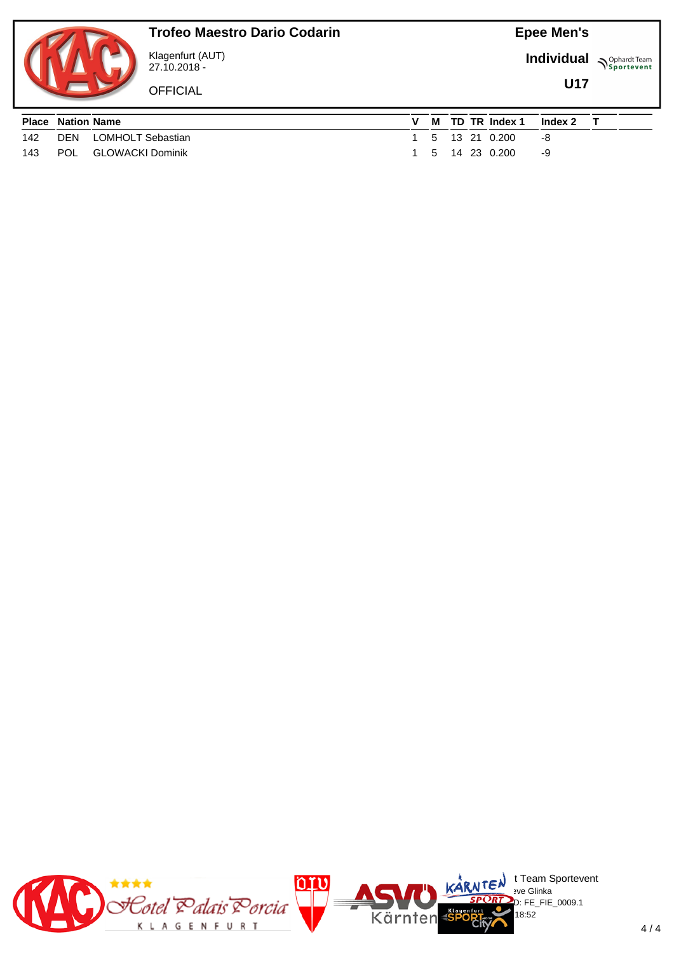

## **Trofeo Maestro Dario Codarin**

Klagenfurt (AUT) 27.10.2018 -

**OFFICIAL** 

**Individual Supplemant** Team

**U17**

| <b>Place Nation Name</b> |                           |  |  | M TD TR Index 1 | Index 2 |  |
|--------------------------|---------------------------|--|--|-----------------|---------|--|
|                          | 142 DEN LOMHOLT Sebastian |  |  | 1 5 13 21 0.200 | -8      |  |
| 143 POL                  | GLOWACKI Dominik          |  |  | 5 14 23 0.200   | -9      |  |

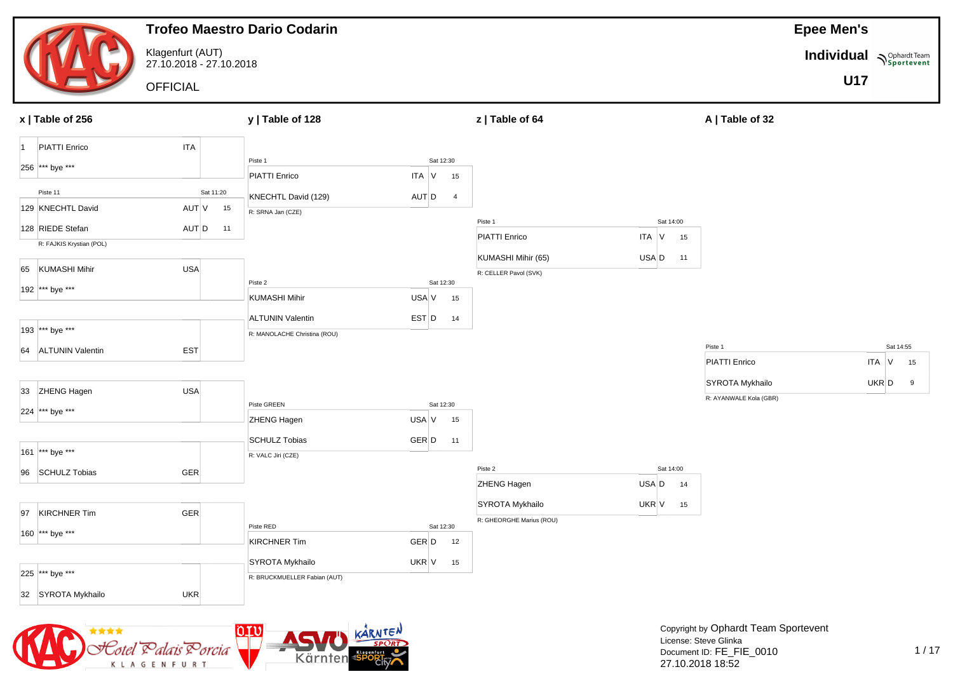

Cotel Ralais'

K L A G E N F U R T

Porcia

Kärnten

27.10.2018 18:52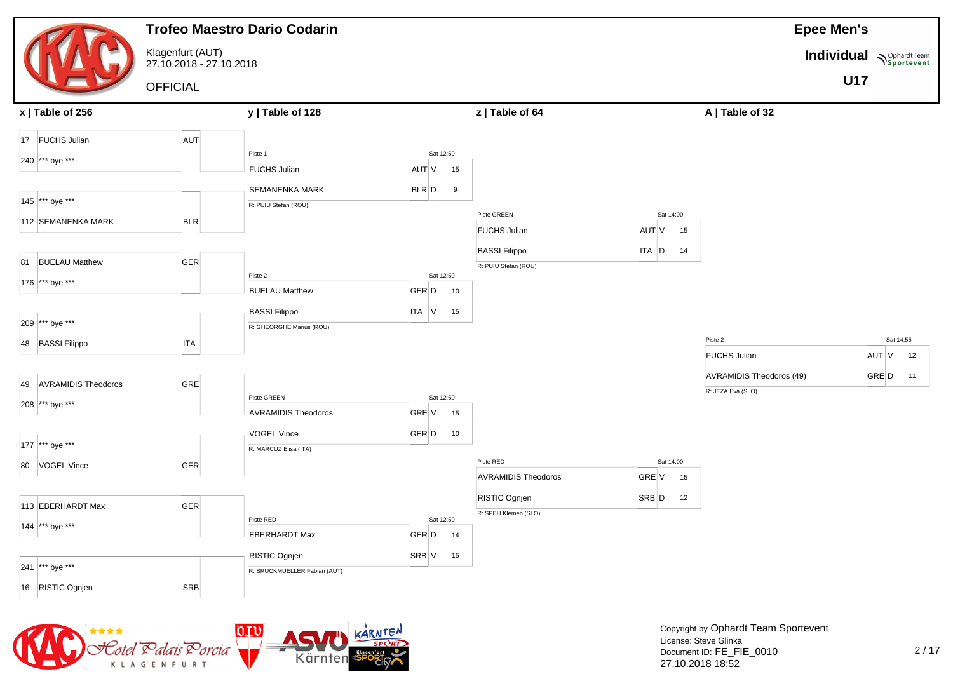| Klagenfurt (AUT)<br>Individual Nophardt Team<br>27.10.2018 - 27.10.2018                            | <b>U17</b> |           |
|----------------------------------------------------------------------------------------------------|------------|-----------|
|                                                                                                    |            |           |
| <b>OFFICIAL</b>                                                                                    |            |           |
| y   Table of 128<br>z   Table of 64<br>A   Table of 32<br>x   Table of 256                         |            |           |
| AUT<br>17 FUCHS Julian                                                                             |            |           |
| Piste 1<br>Sat 12:50<br>240 *** bye ***                                                            |            |           |
| <b>FUCHS Julian</b><br>AUT V<br>15                                                                 |            |           |
| $BLR$ $D$<br><b>SEMANENKA MARK</b><br>9                                                            |            |           |
| 145 *** bye ***<br>R: PUIU Stefan (ROU)                                                            |            |           |
| Piste GREEN<br>Sat 14:00<br>112 SEMANENKA MARK<br><b>BLR</b><br>AUT V<br><b>FUCHS Julian</b><br>15 |            |           |
|                                                                                                    |            |           |
| <b>BASSI Filippo</b><br>ITA D<br>14<br>GER<br>81 BUELAU Matthew<br>R: PUIU Stefan (ROU)            |            |           |
| Sat 12:50<br>Piste 2<br>176 *** bye ***                                                            |            |           |
| GER D<br><b>BUELAU Matthew</b><br>10                                                               |            |           |
| <b>BASSI Filippo</b><br>$ITA$ V<br>15                                                              |            |           |
| 209 *** bye ***<br>R: GHEORGHE Marius (ROU)                                                        |            |           |
| Piste 2<br>48 BASSI Filippo<br><b>ITA</b>                                                          |            | Sat 14:55 |
| <b>FUCHS Julian</b>                                                                                | AUT V      | 12        |
| AVRAMIDIS Theodoros (49)<br>GRE<br><b>AVRAMIDIS Theodoros</b><br>49                                | GRE D      | 11        |
| R: JEZA Eva (SLO)<br>Piste GREEN<br>Sat 12:50                                                      |            |           |
| 208 *** bye ***<br><b>AVRAMIDIS Theodoros</b><br>GRE V<br>15                                       |            |           |
| <b>VOGEL Vince</b><br>GER D<br>10                                                                  |            |           |
| 177 *** bye ***<br>R: MARCUZ Elisa (ITA)                                                           |            |           |
| Piste RED<br>Sat 14:00<br>GER<br>80 VOGEL Vince                                                    |            |           |
| <b>AVRAMIDIS Theodoros</b><br>GRE V<br>15                                                          |            |           |
| RISTIC Ognjen<br>SRB D<br>12<br>GER<br>113 EBERHARDT Max                                           |            |           |
| R: SPEH Klemen (SLO)<br>Piste RED<br>Sat 12:50                                                     |            |           |
| 144 *** bye ***<br><b>EBERHARDT Max</b><br>GER D<br>14                                             |            |           |
| RISTIC Ognjen<br>SRB V<br>15                                                                       |            |           |
| 241 *** bye ***<br>R: BRUCKMUELLER Fabian (AUT)                                                    |            |           |
| <b>SRB</b><br>16 RISTIC Ognjen                                                                     |            |           |

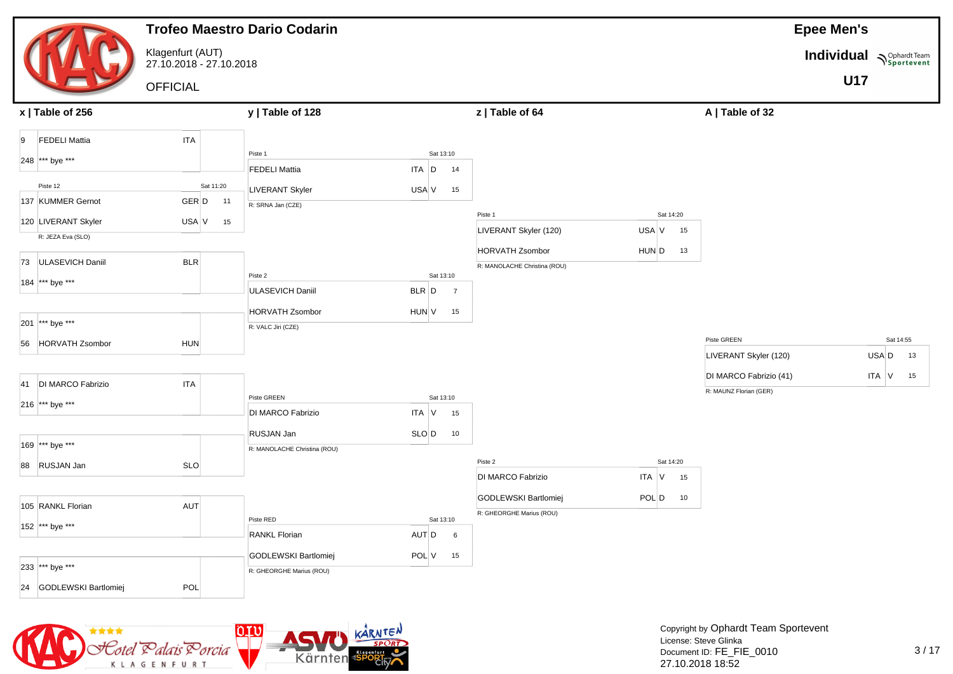|                               |                                             | <b>Trofeo Maestro Dario Codarin</b>        |                          |                              |             |                                      | <b>Epee Men's</b>               |  |
|-------------------------------|---------------------------------------------|--------------------------------------------|--------------------------|------------------------------|-------------|--------------------------------------|---------------------------------|--|
|                               | Klagenfurt (AUT)<br>27.10.2018 - 27.10.2018 |                                            |                          |                              |             |                                      | <b>Individual</b><br>Sportevent |  |
|                               | <b>OFFICIAL</b>                             |                                            |                          |                              |             |                                      | <b>U17</b>                      |  |
| x   Table of 256              |                                             | y   Table of 128                           |                          | z   Table of 64              |             | A   Table of 32                      |                                 |  |
| <b>FEDELI Mattia</b><br>9     | <b>ITA</b>                                  |                                            |                          |                              |             |                                      |                                 |  |
| 248 *** bye ***               |                                             | Piste 1<br><b>FEDELI Mattia</b>            | Sat 13:10<br>ITA D<br>14 |                              |             |                                      |                                 |  |
| Piste 12                      | Sat 11:20                                   |                                            |                          |                              |             |                                      |                                 |  |
| 137 KUMMER Gernot             | GER D<br>11                                 | LIVERANT Skyler<br>R: SRNA Jan (CZE)       | USA V<br>15              |                              |             |                                      |                                 |  |
| 120 LIVERANT Skyler           | USA V<br>15                                 |                                            |                          | Piste 1                      | Sat 14:20   |                                      |                                 |  |
| R: JEZA Eva (SLO)             |                                             |                                            |                          | LIVERANT Skyler (120)        | USA V<br>15 |                                      |                                 |  |
| <b>ULASEVICH Daniil</b><br>73 | <b>BLR</b>                                  |                                            |                          | <b>HORVATH Zsombor</b>       | HUN D<br>13 |                                      |                                 |  |
| 184 *** bye ***               |                                             | Piste 2                                    | Sat 13:10                | R: MANOLACHE Christina (ROU) |             |                                      |                                 |  |
|                               |                                             | <b>ULASEVICH Daniil</b>                    | BLR D<br>$\overline{7}$  |                              |             |                                      |                                 |  |
|                               |                                             | <b>HORVATH Zsombor</b>                     | HUN V<br>15              |                              |             |                                      |                                 |  |
| 201 *** bye ***               |                                             | R: VALC Jiri (CZE)                         |                          |                              |             |                                      |                                 |  |
| 56 HORVATH Zsombor            | <b>HUN</b>                                  |                                            |                          |                              |             | Piste GREEN<br>LIVERANT Skyler (120) | Sat 14:55<br>USA D<br>13        |  |
|                               |                                             |                                            |                          |                              |             | DI MARCO Fabrizio (41)               | ITA V<br>15                     |  |
| 41 DI MARCO Fabrizio          | <b>ITA</b>                                  |                                            |                          |                              |             | R: MAUNZ Florian (GER)               |                                 |  |
| 216 *** bye ***               |                                             | Piste GREEN<br><b>DI MARCO Fabrizio</b>    | Sat 13:10<br>ITA V<br>15 |                              |             |                                      |                                 |  |
|                               |                                             |                                            |                          |                              |             |                                      |                                 |  |
| 169 *** bye ***               |                                             | RUSJAN Jan<br>R: MANOLACHE Christina (ROU) | SLO D<br>10              |                              |             |                                      |                                 |  |
| 88 RUSJAN Jan                 | <b>SLO</b>                                  |                                            |                          | Piste 2                      | Sat 14:20   |                                      |                                 |  |
|                               |                                             |                                            |                          | DI MARCO Fabrizio            | ITA V<br>15 |                                      |                                 |  |
| 105 RANKL Florian             | <b>AUT</b>                                  |                                            |                          | GODLEWSKI Bartlomiej         | POL D<br>10 |                                      |                                 |  |
|                               |                                             | Piste RED                                  | Sat 13:10                | R: GHEORGHE Marius (ROU)     |             |                                      |                                 |  |
| 152 *** bye ***               |                                             | <b>RANKL Florian</b>                       | AUT D<br>6               |                              |             |                                      |                                 |  |
|                               |                                             | GODLEWSKI Bartlomiej                       | POL V<br>15              |                              |             |                                      |                                 |  |
| 233 *** bye ***               |                                             | R: GHEORGHE Marius (ROU)                   |                          |                              |             |                                      |                                 |  |
| 24 GODLEWSKI Bartlomiej       | POL                                         |                                            |                          |                              |             |                                      |                                 |  |

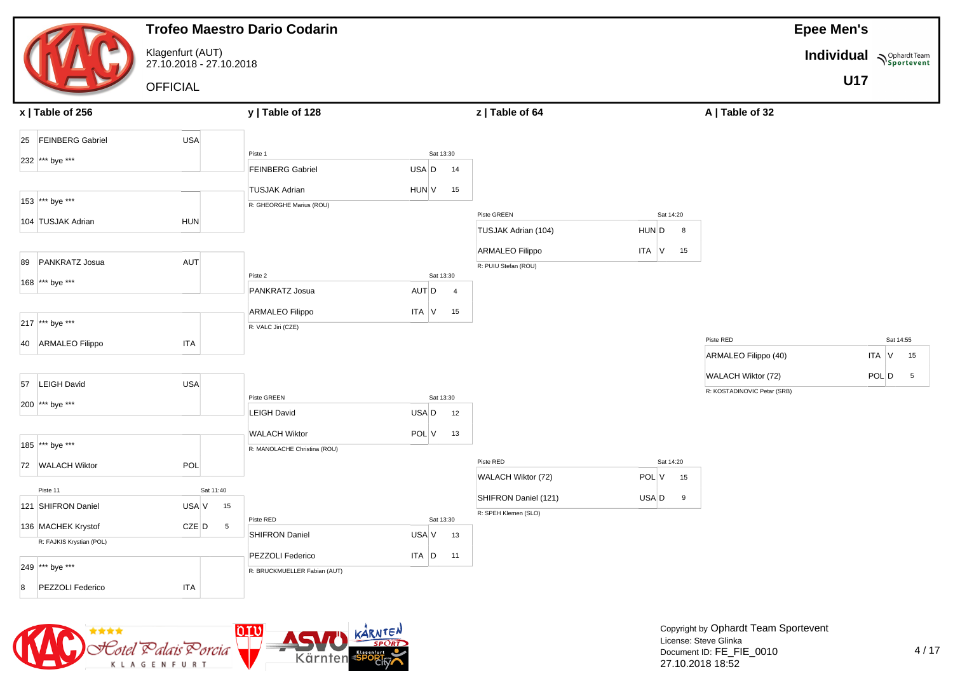|    |                                                |                                             | <b>Trofeo Maestro Dario Codarin</b> |           |                |                        |                          |                             | <b>Epee Men's</b>        |           |                 |
|----|------------------------------------------------|---------------------------------------------|-------------------------------------|-----------|----------------|------------------------|--------------------------|-----------------------------|--------------------------|-----------|-----------------|
|    |                                                | Klagenfurt (AUT)<br>27.10.2018 - 27.10.2018 |                                     |           |                |                        |                          |                             | Individual Nophardt Team |           |                 |
|    |                                                | <b>OFFICIAL</b>                             |                                     |           |                |                        |                          |                             | <b>U17</b>               |           |                 |
|    | x   Table of 256                               |                                             | y   Table of 128                    |           |                | z   Table of 64        |                          | A   Table of 32             |                          |           |                 |
|    | 25 FEINBERG Gabriel                            | <b>USA</b>                                  |                                     |           |                |                        |                          |                             |                          |           |                 |
|    | 232 *** bye ***                                |                                             | Piste 1                             | Sat 13:30 |                |                        |                          |                             |                          |           |                 |
|    |                                                |                                             | <b>FEINBERG Gabriel</b>             | USA D     | 14             |                        |                          |                             |                          |           |                 |
|    |                                                |                                             | <b>TUSJAK Adrian</b>                | HUN V     | 15             |                        |                          |                             |                          |           |                 |
|    | 153 *** bye ***                                |                                             | R: GHEORGHE Marius (ROU)            |           |                |                        |                          |                             |                          |           |                 |
|    | 104 TUSJAK Adrian                              | <b>HUN</b>                                  |                                     |           |                | Piste GREEN            | Sat 14:20                |                             |                          |           |                 |
|    |                                                |                                             |                                     |           |                | TUSJAK Adrian (104)    | HUN D<br>8               |                             |                          |           |                 |
| 89 | PANKRATZ Josua                                 | AUT                                         |                                     |           |                | <b>ARMALEO Filippo</b> | ITA V<br>15              |                             |                          |           |                 |
|    |                                                |                                             | Piste 2                             | Sat 13:30 |                | R: PUIU Stefan (ROU)   |                          |                             |                          |           |                 |
|    | 168 *** bye ***                                |                                             | PANKRATZ Josua                      | AUT D     | $\overline{4}$ |                        |                          |                             |                          |           |                 |
|    |                                                |                                             | <b>ARMALEO Filippo</b>              | ITA V     | 15             |                        |                          |                             |                          |           |                 |
|    | 217 *** bye ***                                |                                             | R: VALC Jiri (CZE)                  |           |                |                        |                          |                             |                          |           |                 |
|    | 40 ARMALEO Filippo                             | <b>ITA</b>                                  |                                     |           |                |                        |                          | Piste RED                   |                          | Sat 14:55 |                 |
|    |                                                |                                             |                                     |           |                |                        |                          | ARMALEO Filippo (40)        |                          | $ITA$ V   | 15              |
|    |                                                |                                             |                                     |           |                |                        |                          | WALACH Wiktor (72)          |                          | POL D     | $5\overline{5}$ |
|    | 57 LEIGH David                                 | <b>USA</b>                                  |                                     |           |                |                        |                          | R: KOSTADINOVIC Petar (SRB) |                          |           |                 |
|    | 200 *** bye ***                                |                                             | Piste GREEN                         | Sat 13:30 |                |                        |                          |                             |                          |           |                 |
|    |                                                |                                             | <b>LEIGH David</b>                  | USA D     | 12             |                        |                          |                             |                          |           |                 |
|    |                                                |                                             | <b>WALACH Wiktor</b>                | POL V     | 13             |                        |                          |                             |                          |           |                 |
|    | 185 *** bye ***                                |                                             | R: MANOLACHE Christina (ROU)        |           |                |                        |                          |                             |                          |           |                 |
|    | 72 WALACH Wiktor                               | POL                                         |                                     |           |                | Piste RED              | Sat 14:20<br>POL V<br>15 |                             |                          |           |                 |
|    | Piste 11                                       | Sat 11:40                                   |                                     |           |                | WALACH Wiktor (72)     |                          |                             |                          |           |                 |
|    | 121 SHIFRON Daniel                             | USA V<br>15                                 |                                     |           |                | SHIFRON Daniel (121)   | USA D<br>9               |                             |                          |           |                 |
|    |                                                |                                             | Piste RED                           | Sat 13:30 |                | R: SPEH Klemen (SLO)   |                          |                             |                          |           |                 |
|    | 136 MACHEK Krystof<br>R: FAJKIS Krystian (POL) | $CZE$ $D$<br>$5\overline{5}$                | SHIFRON Daniel                      | USA V     | 13             |                        |                          |                             |                          |           |                 |
|    |                                                |                                             | PEZZOLI Federico                    | $ITA$ $D$ | 11             |                        |                          |                             |                          |           |                 |
|    | 249 *** bye ***                                |                                             | R: BRUCKMUELLER Fabian (AUT)        |           |                |                        |                          |                             |                          |           |                 |
| 8  | PEZZOLI Federico                               | <b>ITA</b>                                  |                                     |           |                |                        |                          |                             |                          |           |                 |
|    |                                                |                                             |                                     |           |                |                        |                          |                             |                          |           |                 |

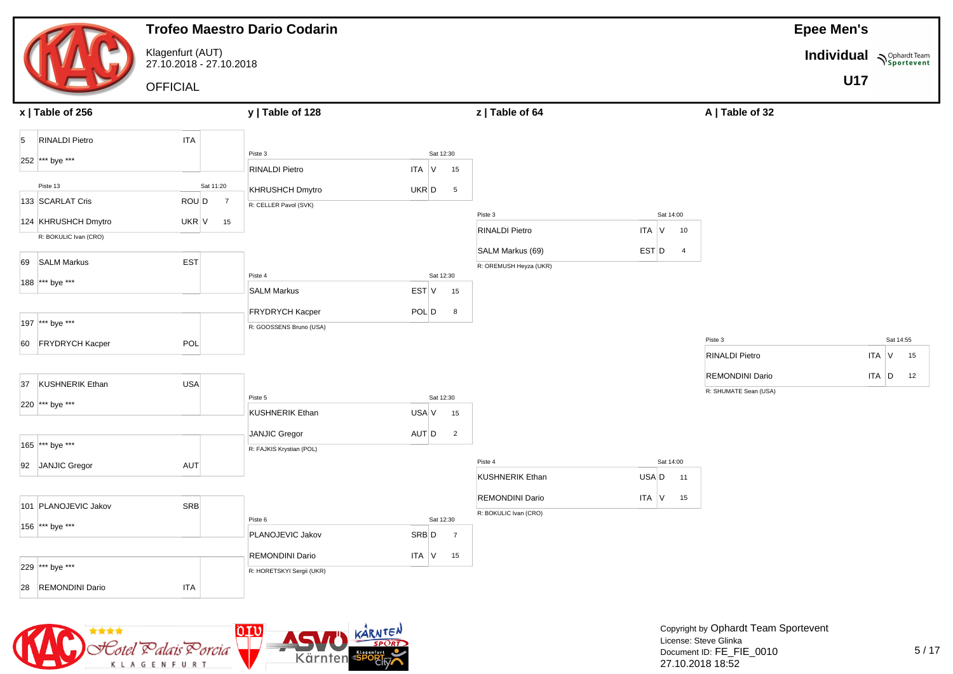|                                          |                                             | <b>Trofeo Maestro Dario Codarin</b>              |                          |                                                 |                                                 | <b>Epee Men's</b>        |
|------------------------------------------|---------------------------------------------|--------------------------------------------------|--------------------------|-------------------------------------------------|-------------------------------------------------|--------------------------|
|                                          | Klagenfurt (AUT)<br>27.10.2018 - 27.10.2018 |                                                  |                          |                                                 |                                                 | Individual Nophardt Team |
|                                          | <b>OFFICIAL</b>                             |                                                  |                          |                                                 |                                                 | <b>U17</b>               |
| x   Table of 256                         |                                             | y   Table of 128                                 |                          | z   Table of 64                                 | A   Table of 32                                 |                          |
| <b>RINALDI Pietro</b><br>$5\overline{5}$ | <b>ITA</b>                                  |                                                  |                          |                                                 |                                                 |                          |
| 252 *** bye ***                          |                                             | Piste 3<br><b>RINALDI Pietro</b>                 | Sat 12:30<br>ITA V<br>15 |                                                 |                                                 |                          |
| Piste 13                                 | Sat 11:20                                   | <b>KHRUSHCH Dmytro</b>                           | UKR D<br>$5\phantom{.0}$ |                                                 |                                                 |                          |
| 133 SCARLAT Cris                         | ROU D<br>$\overline{7}$                     | R: CELLER Pavol (SVK)                            |                          |                                                 |                                                 |                          |
| 124 KHRUSHCH Dmytro                      | UKR V<br>15                                 |                                                  |                          | Piste 3<br><b>RINALDI Pietro</b>                | Sat 14:00<br>ITA V<br>10                        |                          |
| R: BOKULIC Ivan (CRO)                    |                                             |                                                  |                          | SALM Markus (69)                                | EST D<br>$\overline{4}$                         |                          |
| 69 SALM Markus                           | <b>EST</b>                                  |                                                  |                          | R: OREMUSH Heyza (UKR)                          |                                                 |                          |
| 188  *** bye ***                         |                                             | Piste 4<br><b>SALM Markus</b>                    | Sat 12:30<br>EST V<br>15 |                                                 |                                                 |                          |
|                                          |                                             | FRYDRYCH Kacper                                  | POL D<br>8               |                                                 |                                                 |                          |
| 197 *** bye ***                          |                                             | R: GOOSSENS Bruno (USA)                          |                          |                                                 |                                                 |                          |
| 60 FRYDRYCH Kacper                       | POL                                         |                                                  |                          |                                                 | Piste 3                                         | Sat 14:55                |
|                                          |                                             |                                                  |                          |                                                 | <b>RINALDI Pietro</b>                           | ITA V<br>15              |
| <b>KUSHNERIK Ethan</b><br>37             | USA                                         |                                                  |                          |                                                 | <b>REMONDINI Dario</b><br>R: SHUMATE Sean (USA) | $ITA$ $D$<br>12          |
| 220 *** bye ***                          |                                             | Piste 5<br><b>KUSHNERIK Ethan</b>                | Sat 12:30<br>USA V<br>15 |                                                 |                                                 |                          |
|                                          |                                             |                                                  | $\overline{\mathbf{2}}$  |                                                 |                                                 |                          |
| 165 *** bye ***                          |                                             | <b>JANJIC Gregor</b><br>R: FAJKIS Krystian (POL) | $AUT$ $D$                |                                                 |                                                 |                          |
| 92 JANJIC Gregor                         | AUT                                         |                                                  |                          | Piste 4                                         | Sat 14:00                                       |                          |
|                                          |                                             |                                                  |                          | <b>KUSHNERIK Ethan</b>                          | USA D<br>11                                     |                          |
| 101 PLANOJEVIC Jakov                     | SR <sub>B</sub>                             |                                                  |                          | <b>REMONDINI Dario</b><br>R: BOKULIC Ivan (CRO) | $ITA$ $V$<br>15                                 |                          |
| 156 *** bye ***                          |                                             | Piste 6                                          | Sat 12:30                |                                                 |                                                 |                          |
|                                          |                                             | PLANOJEVIC Jakov                                 | SRB D<br>$\overline{7}$  |                                                 |                                                 |                          |
| 229 *** bye ***                          |                                             | REMONDINI Dario<br>R: HORETSKYI Sergii (UKR)     | $ITA$ V<br>15            |                                                 |                                                 |                          |
| 28 REMONDINI Dario                       | <b>ITA</b>                                  |                                                  |                          |                                                 |                                                 |                          |

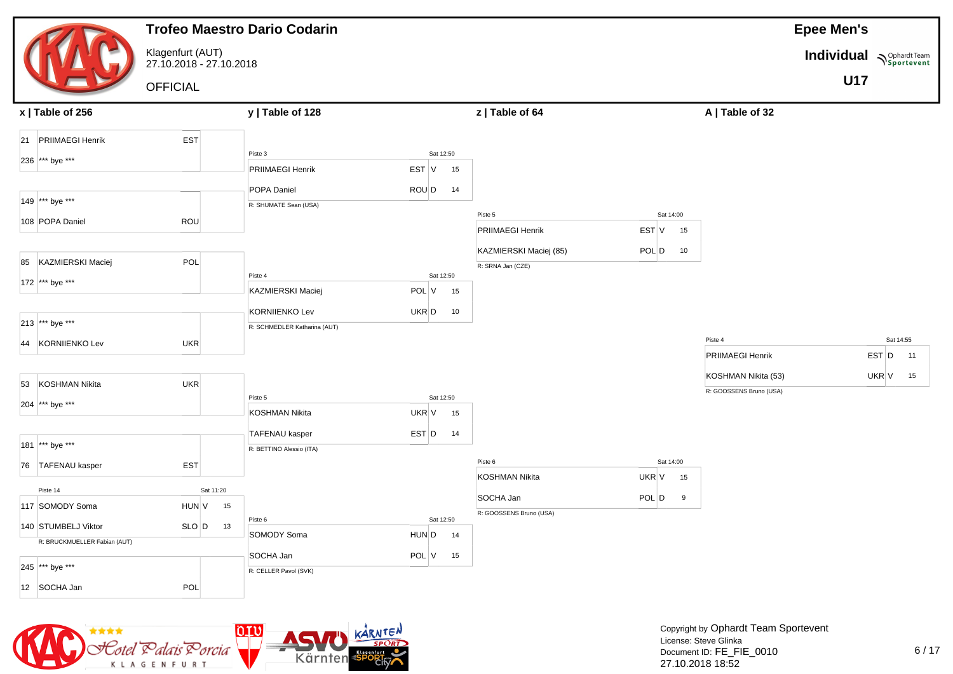|                              |                                             |           | <b>Trofeo Maestro Dario Codarin</b>            |                    |    |                         |             |                         | <b>Epee Men's</b>        |             |
|------------------------------|---------------------------------------------|-----------|------------------------------------------------|--------------------|----|-------------------------|-------------|-------------------------|--------------------------|-------------|
|                              | Klagenfurt (AUT)<br>27.10.2018 - 27.10.2018 |           |                                                |                    |    |                         |             |                         | Individual Nophardt Team |             |
|                              | <b>OFFICIAL</b>                             |           |                                                |                    |    |                         |             |                         | <b>U17</b>               |             |
| $x$   Table of 256           |                                             |           | y   Table of 128                               |                    |    | z   Table of 64         |             | A   Table of 32         |                          |             |
| 21 PRIIMAEGI Henrik          | EST                                         |           |                                                |                    |    |                         |             |                         |                          |             |
| 236 *** bye ***              |                                             |           | Piste 3                                        | Sat 12:50          |    |                         |             |                         |                          |             |
|                              |                                             |           | PRIIMAEGI Henrik                               | EST V              | 15 |                         |             |                         |                          |             |
| 149 *** bye ***              |                                             |           | POPA Daniel                                    | ROU D              | 14 |                         |             |                         |                          |             |
|                              |                                             |           | R: SHUMATE Sean (USA)                          |                    |    | Piste 5                 | Sat 14:00   |                         |                          |             |
| 108 POPA Daniel              | ROU                                         |           |                                                |                    |    | PRIIMAEGI Henrik        | EST V<br>15 |                         |                          |             |
|                              |                                             |           |                                                |                    |    | KAZMIERSKI Maciej (85)  | POL D<br>10 |                         |                          |             |
| 85 KAZMIERSKI Maciej         | POL                                         |           |                                                |                    |    | R: SRNA Jan (CZE)       |             |                         |                          |             |
| 172 *** bye ***              |                                             |           | Piste 4<br>KAZMIERSKI Maciej                   | Sat 12:50<br>POL V | 15 |                         |             |                         |                          |             |
|                              |                                             |           |                                                |                    |    |                         |             |                         |                          |             |
| 213 *** bye ***              |                                             |           | KORNIIENKO Lev<br>R: SCHMEDLER Katharina (AUT) | UKR D              | 10 |                         |             |                         |                          |             |
| 44 KORNIIENKO Lev            | UKR                                         |           |                                                |                    |    |                         |             | Piste 4                 |                          | Sat 14:55   |
|                              |                                             |           |                                                |                    |    |                         |             | PRIIMAEGI Henrik        |                          | EST D<br>11 |
| <b>KOSHMAN Nikita</b><br>53  | <b>UKR</b>                                  |           |                                                |                    |    |                         |             | KOSHMAN Nikita (53)     |                          | UKR V<br>15 |
|                              |                                             |           | Piste 5                                        | Sat 12:50          |    |                         |             | R: GOOSSENS Bruno (USA) |                          |             |
| 204 *** bye ***              |                                             |           | <b>KOSHMAN Nikita</b>                          | UKR V              | 15 |                         |             |                         |                          |             |
|                              |                                             |           | <b>TAFENAU kasper</b>                          | EST D              | 14 |                         |             |                         |                          |             |
| 181 *** bye ***              |                                             |           | R: BETTINO Alessio (ITA)                       |                    |    |                         |             |                         |                          |             |
| 76 TAFENAU kasper            | EST                                         |           |                                                |                    |    | Piste 6                 | Sat 14:00   |                         |                          |             |
| Piste 14                     |                                             | Sat 11:20 |                                                |                    |    | <b>KOSHMAN Nikita</b>   | UKR V<br>15 |                         |                          |             |
| 117 SOMODY Soma              | HUN V                                       | 15        |                                                |                    |    | SOCHA Jan               | POL D<br>9  |                         |                          |             |
| 140 STUMBELJ Viktor          | $SLO$ $D$                                   | 13        | Piste 6                                        | Sat 12:50          |    | R: GOOSSENS Bruno (USA) |             |                         |                          |             |
| R: BRUCKMUELLER Fabian (AUT) |                                             |           | SOMODY Soma                                    | HUN D              | 14 |                         |             |                         |                          |             |
|                              |                                             |           | SOCHA Jan                                      | POLV               | 15 |                         |             |                         |                          |             |
| 245 *** bye ***              |                                             |           | R: CELLER Pavol (SVK)                          |                    |    |                         |             |                         |                          |             |
| 12 SOCHA Jan                 | POL                                         |           |                                                |                    |    |                         |             |                         |                          |             |

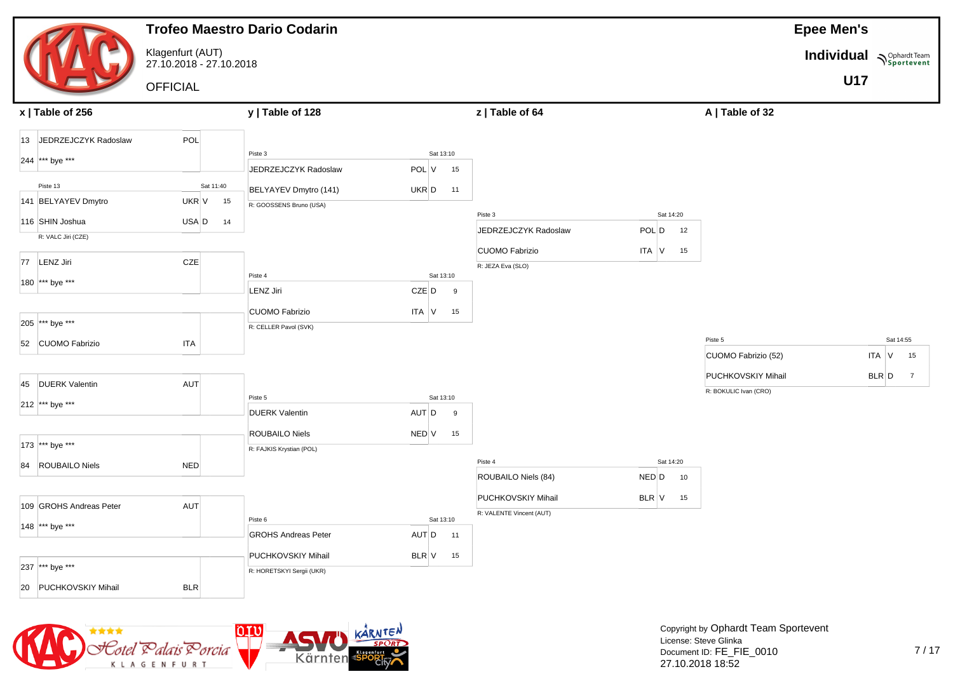|                         |                                             | <b>Trofeo Maestro Dario Codarin</b> |                |                                                |              |                                             | <b>Epee Men's</b>        |                          |
|-------------------------|---------------------------------------------|-------------------------------------|----------------|------------------------------------------------|--------------|---------------------------------------------|--------------------------|--------------------------|
|                         | Klagenfurt (AUT)<br>27.10.2018 - 27.10.2018 |                                     |                |                                                |              |                                             | Individual Nophardt Team |                          |
|                         | <b>OFFICIAL</b>                             |                                     |                |                                                |              |                                             | <b>U17</b>               |                          |
| x   Table of 256        |                                             | y   Table of 128                    |                | z   Table of 64                                |              | A   Table of 32                             |                          |                          |
| 13 JEDRZEJCZYK Radoslaw | POL                                         |                                     |                |                                                |              |                                             |                          |                          |
| 244 *** bye ***         |                                             | Piste 3                             | Sat 13:10      |                                                |              |                                             |                          |                          |
|                         |                                             | JEDRZEJCZYK Radoslaw                | POL V<br>15    |                                                |              |                                             |                          |                          |
| Piste 13                | Sat 11:40                                   | BELYAYEV Dmytro (141)               | UKR D<br>11    |                                                |              |                                             |                          |                          |
| 141 BELYAYEV Dmytro     | UKR V<br>15                                 | R: GOOSSENS Bruno (USA)             |                | Piste 3                                        | Sat 14:20    |                                             |                          |                          |
| 116 SHIN Joshua         | USA D<br>14                                 |                                     |                | JEDRZEJCZYK Radoslaw                           | POL D<br>12  |                                             |                          |                          |
| R: VALC Jiri (CZE)      |                                             |                                     |                | <b>CUOMO Fabrizio</b>                          | ITA V<br>15  |                                             |                          |                          |
| 77 LENZ Jiri            | CZE                                         |                                     |                | R: JEZA Eva (SLO)                              |              |                                             |                          |                          |
| 180 *** bye ***         |                                             | Piste 4                             | Sat 13:10      |                                                |              |                                             |                          |                          |
|                         |                                             | LENZ Jiri                           | $CZE$ $D$<br>9 |                                                |              |                                             |                          |                          |
|                         |                                             | <b>CUOMO Fabrizio</b>               | ITA V<br>15    |                                                |              |                                             |                          |                          |
| 205 *** bye ***         |                                             | R: CELLER Pavol (SVK)               |                |                                                |              |                                             |                          |                          |
| 52 CUOMO Fabrizio       | <b>ITA</b>                                  |                                     |                |                                                |              | Piste 5<br>CUOMO Fabrizio (52)              |                          | Sat 14:55<br>ITA V<br>15 |
|                         |                                             |                                     |                |                                                |              |                                             |                          |                          |
| 45 DUERK Valentin       | AUT                                         |                                     |                |                                                |              | PUCHKOVSKIY Mihail<br>R: BOKULIC Ivan (CRO) |                          | BLR D<br>$\overline{7}$  |
| 212 *** bye ***         |                                             | Piste 5                             | Sat 13:10      |                                                |              |                                             |                          |                          |
|                         |                                             | <b>DUERK Valentin</b>               | AUT D<br>9     |                                                |              |                                             |                          |                          |
|                         |                                             | ROUBAILO Niels                      | NED V<br>15    |                                                |              |                                             |                          |                          |
| 173 *** bye ***         |                                             | R: FAJKIS Krystian (POL)            |                | Piste 4                                        | Sat 14:20    |                                             |                          |                          |
| 84 ROUBAILO Niels       | <b>NED</b>                                  |                                     |                | ROUBAILO Niels (84)                            | NED D<br>10  |                                             |                          |                          |
|                         |                                             |                                     |                |                                                |              |                                             |                          |                          |
| 109 GROHS Andreas Peter | AUT                                         |                                     |                | PUCHKOVSKIY Mihail<br>R: VALENTE Vincent (AUT) | $BLR$ $V$ 15 |                                             |                          |                          |
| 148 *** bye ***         |                                             | Piste 6                             | Sat 13:10      |                                                |              |                                             |                          |                          |
|                         |                                             | <b>GROHS Andreas Peter</b>          | AUT D<br>11    |                                                |              |                                             |                          |                          |
| 237 *** bye ***         |                                             | PUCHKOVSKIY Mihail                  | BLR V<br>15    |                                                |              |                                             |                          |                          |
|                         |                                             | R: HORETSKYI Sergii (UKR)           |                |                                                |              |                                             |                          |                          |
| 20 PUCHKOVSKIY Mihail   | <b>BLR</b>                                  |                                     |                |                                                |              |                                             |                          |                          |

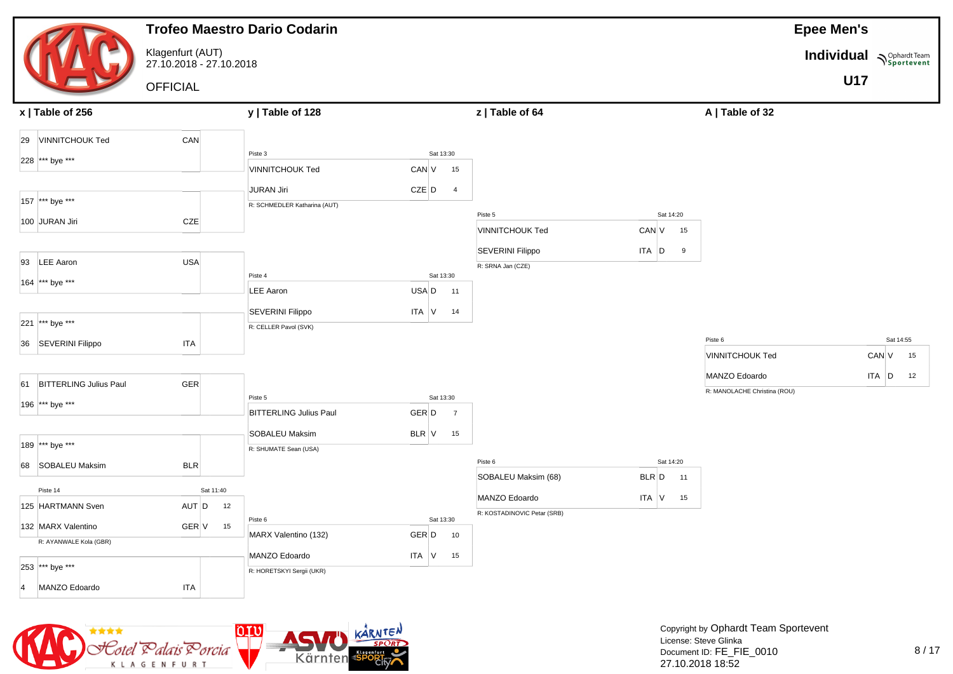|                           |                                             |           | <b>Trofeo Maestro Dario Codarin</b> |                             |                                              |                 |                              | <b>Epee Men's</b>        |           |    |
|---------------------------|---------------------------------------------|-----------|-------------------------------------|-----------------------------|----------------------------------------------|-----------------|------------------------------|--------------------------|-----------|----|
|                           | Klagenfurt (AUT)<br>27.10.2018 - 27.10.2018 |           |                                     |                             |                                              |                 |                              | Individual Nophardt Team |           |    |
|                           | <b>OFFICIAL</b>                             |           |                                     |                             |                                              |                 |                              | <b>U17</b>               |           |    |
| x   Table of 256          |                                             |           | y   Table of 128                    |                             | z   Table of 64                              |                 | A   Table of 32              |                          |           |    |
| 29 VINNITCHOUK Ted        | CAN                                         |           |                                     |                             |                                              |                 |                              |                          |           |    |
| 228 *** bye ***           |                                             |           | Piste 3                             | Sat 13:30                   |                                              |                 |                              |                          |           |    |
|                           |                                             |           | <b>VINNITCHOUK Ted</b>              | CAN V<br>15                 |                                              |                 |                              |                          |           |    |
|                           |                                             |           | <b>JURAN Jiri</b>                   | $CZE$ $D$<br>$\overline{4}$ |                                              |                 |                              |                          |           |    |
| 157 *** bye ***           |                                             |           | R: SCHMEDLER Katharina (AUT)        |                             | Piste 5                                      | Sat 14:20       |                              |                          |           |    |
| 100 JURAN Jiri            | CZE                                         |           |                                     |                             | <b>VINNITCHOUK Ted</b>                       | CAN V<br>15     |                              |                          |           |    |
|                           |                                             |           |                                     |                             |                                              |                 |                              |                          |           |    |
| 93 LEE Aaron              | <b>USA</b>                                  |           |                                     |                             | <b>SEVERINI Filippo</b><br>R: SRNA Jan (CZE) | ITA D<br>9      |                              |                          |           |    |
| 164 *** bye ***           |                                             |           | Piste 4                             | Sat 13:30                   |                                              |                 |                              |                          |           |    |
|                           |                                             |           | <b>LEE Aaron</b>                    | USA D<br>11                 |                                              |                 |                              |                          |           |    |
|                           |                                             |           | <b>SEVERINI Filippo</b>             | ITA V<br>14                 |                                              |                 |                              |                          |           |    |
| 221 *** bye ***           |                                             |           | R: CELLER Pavol (SVK)               |                             |                                              |                 |                              |                          |           |    |
| 36 SEVERINI Filippo       | <b>ITA</b>                                  |           |                                     |                             |                                              |                 | Piste 6                      |                          | Sat 14:55 |    |
|                           |                                             |           |                                     |                             |                                              |                 | <b>VINNITCHOUK Ted</b>       |                          | CAN V     | 15 |
| 61 BITTERLING Julius Paul | GER                                         |           |                                     |                             |                                              |                 | MANZO Edoardo                |                          | ITA D     | 12 |
|                           |                                             |           | Piste 5                             | Sat 13:30                   |                                              |                 | R: MANOLACHE Christina (ROU) |                          |           |    |
| 196 *** bye ***           |                                             |           | <b>BITTERLING Julius Paul</b>       | GER D<br>$\overline{7}$     |                                              |                 |                              |                          |           |    |
|                           |                                             |           | <b>SOBALEU Maksim</b>               | $BLR$ $V$ 15                |                                              |                 |                              |                          |           |    |
| 189 *** bye ***           |                                             |           | R: SHUMATE Sean (USA)               |                             |                                              |                 |                              |                          |           |    |
| 68 SOBALEU Maksim         | BLR                                         |           |                                     |                             | Piste 6                                      | Sat 14:20       |                              |                          |           |    |
|                           |                                             |           |                                     |                             | SOBALEU Maksim (68)                          | BLR D<br>11     |                              |                          |           |    |
| Piste 14                  |                                             | Sat 11:40 |                                     |                             | MANZO Edoardo                                | $ITA$ $V$<br>15 |                              |                          |           |    |
| 125 HARTMANN Sven         | $AUT$ $D$                                   | 12        | Piste 6                             | Sat 13:30                   | R: KOSTADINOVIC Petar (SRB)                  |                 |                              |                          |           |    |
| 132 MARX Valentino        | GER V                                       | 15        | MARX Valentino (132)                | GER D<br>10                 |                                              |                 |                              |                          |           |    |
| R: AYANWALE Kola (GBR)    |                                             |           | MANZO Edoardo                       | ITA V<br>15                 |                                              |                 |                              |                          |           |    |
| 253 *** bye ***           |                                             |           | R: HORETSKYI Sergii (UKR)           |                             |                                              |                 |                              |                          |           |    |
| MANZO Edoardo<br> 4       | <b>ITA</b>                                  |           |                                     |                             |                                              |                 |                              |                          |           |    |
|                           |                                             |           |                                     |                             |                                              |                 |                              |                          |           |    |

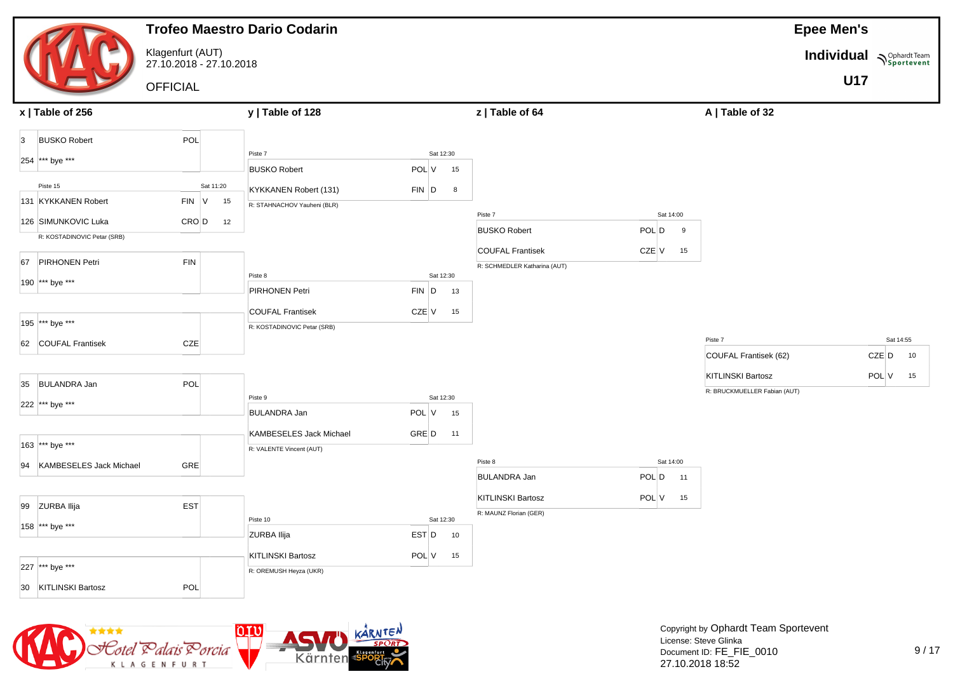

![](_page_34_Picture_1.jpeg)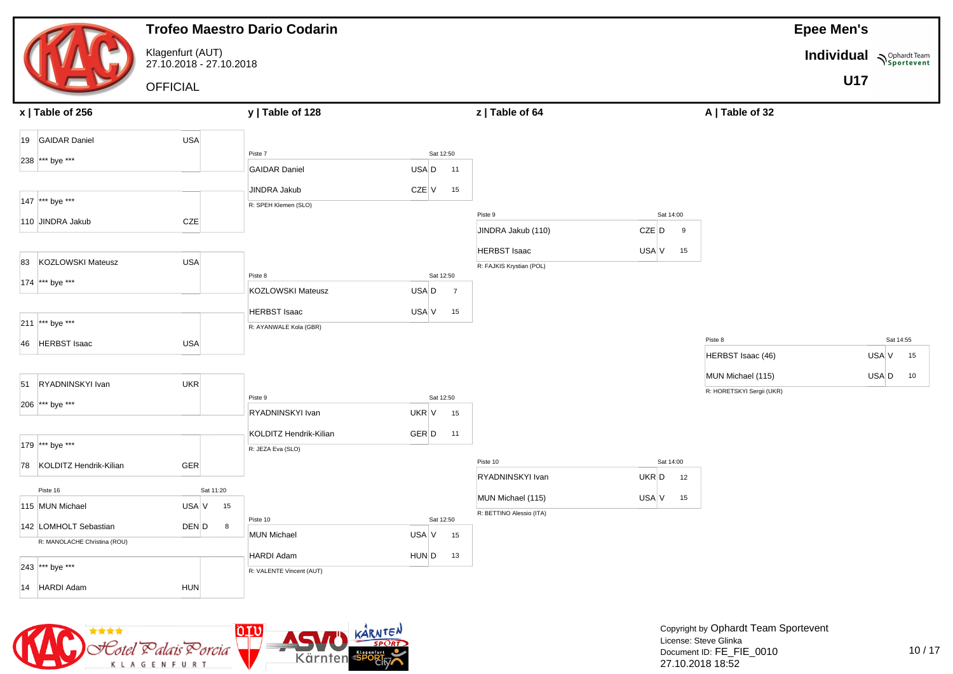|                                                       |                                             |           | <b>Trofeo Maestro Dario Codarin</b> |                         |                          |             |                           | <b>Epee Men's</b>        |             |
|-------------------------------------------------------|---------------------------------------------|-----------|-------------------------------------|-------------------------|--------------------------|-------------|---------------------------|--------------------------|-------------|
|                                                       | Klagenfurt (AUT)<br>27.10.2018 - 27.10.2018 |           |                                     |                         |                          |             |                           | Individual Nophardt Team |             |
|                                                       | <b>OFFICIAL</b>                             |           |                                     |                         |                          |             |                           | <b>U17</b>               |             |
| x   Table of 256                                      |                                             |           | y   Table of 128                    |                         | z   Table of 64          |             | A   Table of 32           |                          |             |
| 19 GAIDAR Daniel                                      | <b>USA</b>                                  |           |                                     |                         |                          |             |                           |                          |             |
| 238 *** bye ***                                       |                                             |           | Piste 7                             | Sat 12:50               |                          |             |                           |                          |             |
|                                                       |                                             |           | <b>GAIDAR Daniel</b>                | USA D<br>11             |                          |             |                           |                          |             |
|                                                       |                                             |           | <b>JINDRA Jakub</b>                 | CZE V<br>15             |                          |             |                           |                          |             |
| 147 *** bye ***                                       |                                             |           | R: SPEH Klemen (SLO)                |                         |                          |             |                           |                          |             |
| 110 JINDRA Jakub                                      | CZE                                         |           |                                     |                         | Piste 9                  | Sat 14:00   |                           |                          |             |
|                                                       |                                             |           |                                     |                         | JINDRA Jakub (110)       | CZE D<br>9  |                           |                          |             |
| KOZLOWSKI Mateusz<br>83                               |                                             |           |                                     |                         | <b>HERBST Isaac</b>      | USA V<br>15 |                           |                          |             |
|                                                       | <b>USA</b>                                  |           | Piste 8                             | Sat 12:50               | R: FAJKIS Krystian (POL) |             |                           |                          |             |
| 174 *** bye ***                                       |                                             |           | KOZLOWSKI Mateusz                   | USA D<br>$\overline{7}$ |                          |             |                           |                          |             |
|                                                       |                                             |           | <b>HERBST Isaac</b>                 | USA V<br>15             |                          |             |                           |                          |             |
| 211 *** bye ***                                       |                                             |           | R: AYANWALE Kola (GBR)              |                         |                          |             |                           |                          |             |
| 46 HERBST Isaac                                       | USA                                         |           |                                     |                         |                          |             | Piste 8                   |                          | Sat 14:55   |
|                                                       |                                             |           |                                     |                         |                          |             | HERBST Isaac (46)         |                          | USA V<br>15 |
|                                                       |                                             |           |                                     |                         |                          |             | MUN Michael (115)         |                          | USA D<br>10 |
| 51 RYADNINSKYI Ivan                                   | <b>UKR</b>                                  |           |                                     |                         |                          |             | R: HORETSKYI Sergii (UKR) |                          |             |
| 206 *** bye ***                                       |                                             |           | Piste 9                             | Sat 12:50               |                          |             |                           |                          |             |
|                                                       |                                             |           | RYADNINSKYI Ivan                    | UKR V<br>15             |                          |             |                           |                          |             |
|                                                       |                                             |           | KOLDITZ Hendrik-Kilian              | GER D<br>11             |                          |             |                           |                          |             |
| 179 *** bye ***                                       |                                             |           | R: JEZA Eva (SLO)                   |                         |                          |             |                           |                          |             |
| 78 KOLDITZ Hendrik-Kilian                             | GER                                         |           |                                     |                         | Piste 10                 | Sat 14:00   |                           |                          |             |
| Piste 16                                              |                                             | Sat 11:20 |                                     |                         | RYADNINSKYI Ivan         | UKR D<br>12 |                           |                          |             |
| 115 MUN Michael                                       | USA V                                       | 15        |                                     |                         | MUN Michael (115)        | USA V<br>15 |                           |                          |             |
|                                                       |                                             |           | Piste 10                            | Sat 12:50               | R: BETTINO Alessio (ITA) |             |                           |                          |             |
| 142 LOMHOLT Sebastian<br>R: MANOLACHE Christina (ROU) | DEN D                                       | 8         | <b>MUN Michael</b>                  | USA V<br>15             |                          |             |                           |                          |             |
|                                                       |                                             |           | <b>HARDI Adam</b>                   | HUN D<br>13             |                          |             |                           |                          |             |
| 243 *** bye ***                                       |                                             |           | R: VALENTE Vincent (AUT)            |                         |                          |             |                           |                          |             |
| 14 HARDI Adam                                         | <b>HUN</b>                                  |           |                                     |                         |                          |             |                           |                          |             |

![](_page_35_Picture_1.jpeg)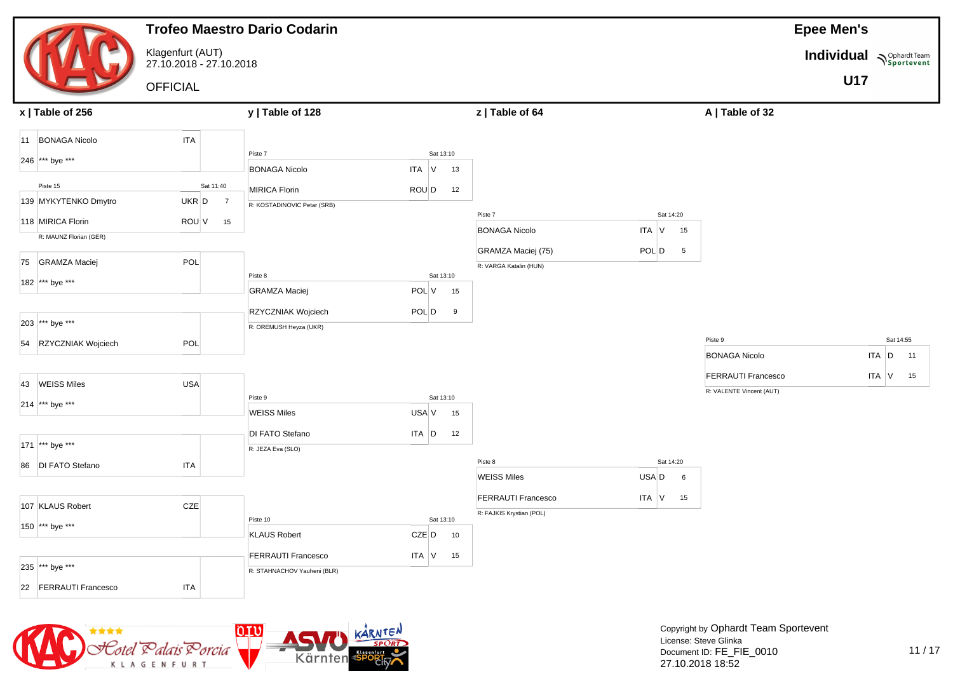|                                             |                                             | <b>Trofeo Maestro Dario Codarin</b> |                              |                               |                         |                                                       | <b>Epee Men's</b>                        |
|---------------------------------------------|---------------------------------------------|-------------------------------------|------------------------------|-------------------------------|-------------------------|-------------------------------------------------------|------------------------------------------|
|                                             | Klagenfurt (AUT)<br>27.10.2018 - 27.10.2018 |                                     |                              |                               |                         |                                                       | <b>Individual</b><br><b>N</b> Sportevent |
|                                             | <b>OFFICIAL</b>                             |                                     |                              |                               |                         |                                                       | <b>U17</b>                               |
| x   Table of 256                            |                                             | y   Table of 128                    |                              | z   Table of 64               |                         | A   Table of 32                                       |                                          |
| 11 BONAGA Nicolo                            | <b>ITA</b>                                  |                                     |                              |                               |                         |                                                       |                                          |
| 246 *** bye ***                             |                                             | Piste 7<br><b>BONAGA Nicolo</b>     | Sat 13:10<br>$ITA$ $V$<br>13 |                               |                         |                                                       |                                          |
| Piste 15                                    | Sat 11:40                                   | <b>MIRICA Florin</b>                | ROU D<br>12                  |                               |                         |                                                       |                                          |
| 139 MYKYTENKO Dmytro                        | $UKR$ $D$<br>$\overline{7}$                 | R: KOSTADINOVIC Petar (SRB)         |                              | Piste 7                       | Sat 14:20               |                                                       |                                          |
| 118 MIRICA Florin<br>R: MAUNZ Florian (GER) | ROU V<br>15                                 |                                     |                              | <b>BONAGA Nicolo</b>          | ITA V<br>15             |                                                       |                                          |
|                                             |                                             |                                     |                              | GRAMZA Maciej (75)            | POL D<br>$5^{\circ}$    |                                                       |                                          |
| 75 GRAMZA Maciej                            | POL                                         | Piste 8                             | Sat 13:10                    | R: VARGA Katalin (HUN)        |                         |                                                       |                                          |
| 182 *** bye ***                             |                                             | <b>GRAMZA Maciej</b>                | POL V<br>15                  |                               |                         |                                                       |                                          |
| 203 *** bye ***                             |                                             | RZYCZNIAK Wojciech                  | POL D<br>9                   |                               |                         |                                                       |                                          |
| 54 RZYCZNIAK Wojciech                       | POL                                         | R: OREMUSH Heyza (UKR)              |                              |                               |                         | Piste 9                                               | Sat 14:55                                |
|                                             |                                             |                                     |                              |                               |                         | <b>BONAGA Nicolo</b>                                  | $ITA$ $D$<br>11                          |
| 43 WEISS Miles                              | <b>USA</b>                                  |                                     |                              |                               |                         | <b>FERRAUTI Francesco</b><br>R: VALENTE Vincent (AUT) | $ITA$ V<br>15                            |
| 214 *** bye ***                             |                                             | Piste 9<br><b>WEISS Miles</b>       | Sat 13:10<br>USA V<br>15     |                               |                         |                                                       |                                          |
|                                             |                                             | DI FATO Stefano                     | $ITA$ $D$<br>12              |                               |                         |                                                       |                                          |
| 171 *** bye ***                             |                                             | R: JEZA Eva (SLO)                   |                              |                               |                         |                                                       |                                          |
| 86   DI FATO Stefano                        | <b>ITA</b>                                  |                                     |                              | Piste 8<br><b>WEISS Miles</b> | Sat 14:20<br>USA D<br>6 |                                                       |                                          |
|                                             |                                             |                                     |                              | <b>FERRAUTI Francesco</b>     | ITA V<br>15             |                                                       |                                          |
| 107 KLAUS Robert                            | CZE                                         | Piste 10                            | Sat 13:10                    | R: FAJKIS Krystian (POL)      |                         |                                                       |                                          |
| 150 *** bye ***                             |                                             | <b>KLAUS Robert</b>                 | CZE D<br>10                  |                               |                         |                                                       |                                          |
|                                             |                                             | <b>FERRAUTI Francesco</b>           | ITA V<br>15                  |                               |                         |                                                       |                                          |
| 235 *** bye ***                             |                                             | R: STAHNACHOV Yauheni (BLR)         |                              |                               |                         |                                                       |                                          |
| 22 FERRAUTI Francesco                       | <b>ITA</b>                                  |                                     |                              |                               |                         |                                                       |                                          |

![](_page_36_Picture_1.jpeg)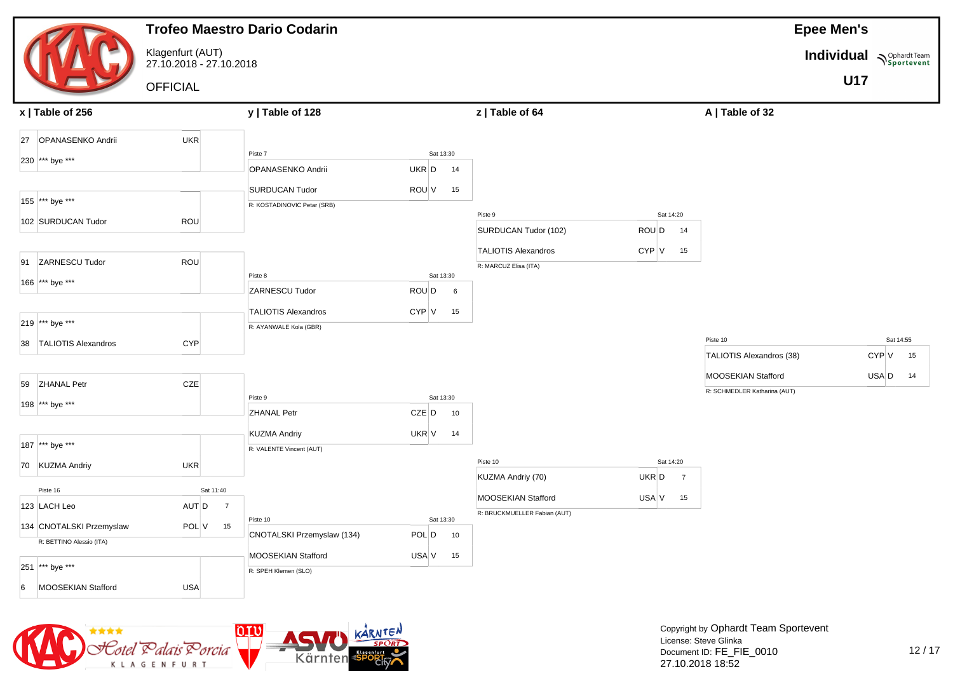|                             |                                             |                             | <b>Trofeo Maestro Dario Codarin</b>        |            |           |    |                              |                         | <b>Epee Men's</b>            |                          |       |           |  |  |
|-----------------------------|---------------------------------------------|-----------------------------|--------------------------------------------|------------|-----------|----|------------------------------|-------------------------|------------------------------|--------------------------|-------|-----------|--|--|
|                             | Klagenfurt (AUT)<br>27.10.2018 - 27.10.2018 |                             |                                            |            |           |    |                              |                         |                              | Individual Nophardt Team |       |           |  |  |
|                             | <b>OFFICIAL</b>                             |                             |                                            |            |           |    |                              |                         |                              | <b>U17</b>               |       |           |  |  |
| x   Table of 256            |                                             |                             | y   Table of 128                           |            |           |    | z   Table of 64              |                         | A   Table of 32              |                          |       |           |  |  |
| OPANASENKO Andrii<br>27     | UKR                                         |                             |                                            |            |           |    |                              |                         |                              |                          |       |           |  |  |
| 230 *** bye ***             |                                             |                             | Piste 7                                    |            | Sat 13:30 |    |                              |                         |                              |                          |       |           |  |  |
|                             |                                             |                             | OPANASENKO Andrii                          | UKR D      |           | 14 |                              |                         |                              |                          |       |           |  |  |
|                             |                                             |                             | <b>SURDUCAN Tudor</b>                      | ROU V      |           | 15 |                              |                         |                              |                          |       |           |  |  |
| 155 *** bye ***             |                                             |                             | R: KOSTADINOVIC Petar (SRB)                |            |           |    | Piste 9                      | Sat 14:20               |                              |                          |       |           |  |  |
| 102 SURDUCAN Tudor          | ROU                                         |                             |                                            |            |           |    | SURDUCAN Tudor (102)         | ROU D<br>14             |                              |                          |       |           |  |  |
|                             |                                             |                             |                                            |            |           |    |                              |                         |                              |                          |       |           |  |  |
| <b>ZARNESCU Tudor</b><br>91 | ROU                                         |                             |                                            |            |           |    | <b>TALIOTIS Alexandros</b>   | CYP V<br>15             |                              |                          |       |           |  |  |
|                             |                                             |                             | Piste 8                                    |            | Sat 13:30 |    | R: MARCUZ Elisa (ITA)        |                         |                              |                          |       |           |  |  |
| 166 *** bye ***             |                                             |                             | ZARNESCU Tudor                             | ROU D      |           | 6  |                              |                         |                              |                          |       |           |  |  |
|                             |                                             |                             | <b>TALIOTIS Alexandros</b>                 | CYP V      |           | 15 |                              |                         |                              |                          |       |           |  |  |
| 219 *** bye ***             |                                             |                             | R: AYANWALE Kola (GBR)                     |            |           |    |                              |                         |                              |                          |       |           |  |  |
| 38 TALIOTIS Alexandros      | <b>CYP</b>                                  |                             |                                            |            |           |    |                              |                         | Piste 10                     |                          |       | Sat 14:55 |  |  |
|                             |                                             |                             |                                            |            |           |    |                              |                         | TALIOTIS Alexandros (38)     |                          | CYP V | 15        |  |  |
|                             |                                             |                             |                                            |            |           |    |                              |                         | MOOSEKIAN Stafford           |                          | USA D | 14        |  |  |
| 59 ZHANAL Petr              | CZE                                         |                             |                                            |            |           |    |                              |                         | R: SCHMEDLER Katharina (AUT) |                          |       |           |  |  |
| 198 *** bye ***             |                                             |                             | Piste 9                                    |            | Sat 13:30 |    |                              |                         |                              |                          |       |           |  |  |
|                             |                                             |                             | <b>ZHANAL Petr</b>                         | CZE D      |           | 10 |                              |                         |                              |                          |       |           |  |  |
|                             |                                             |                             | <b>KUZMA Andriy</b>                        | UKR $V$ 14 |           |    |                              |                         |                              |                          |       |           |  |  |
| 187 *** bye ***             |                                             |                             | R: VALENTE Vincent (AUT)                   |            |           |    |                              |                         |                              |                          |       |           |  |  |
| 70 KUZMA Andriy             | UKR                                         |                             |                                            |            |           |    | Piste 10                     | Sat 14:20               |                              |                          |       |           |  |  |
|                             |                                             |                             |                                            |            |           |    | KUZMA Andriy (70)            | UKR D<br>$\overline{7}$ |                              |                          |       |           |  |  |
| Piste 16<br>123 LACH Leo    | AUT D                                       | Sat 11:40<br>$\overline{7}$ |                                            |            |           |    | MOOSEKIAN Stafford           | USA V<br>15             |                              |                          |       |           |  |  |
|                             |                                             |                             | Piste 10                                   |            | Sat 13:30 |    | R: BRUCKMUELLER Fabian (AUT) |                         |                              |                          |       |           |  |  |
| 134 CNOTALSKI Przemyslaw    | POL V                                       | 15                          | CNOTALSKI Przemyslaw (134)                 | POL D      |           | 10 |                              |                         |                              |                          |       |           |  |  |
| R: BETTINO Alessio (ITA)    |                                             |                             |                                            |            |           |    |                              |                         |                              |                          |       |           |  |  |
| 251 *** bye ***             |                                             |                             | MOOSEKIAN Stafford<br>R: SPEH Klemen (SLO) | USA V      |           | 15 |                              |                         |                              |                          |       |           |  |  |
|                             |                                             |                             |                                            |            |           |    |                              |                         |                              |                          |       |           |  |  |
| MOOSEKIAN Stafford<br>6     | <b>USA</b>                                  |                             |                                            |            |           |    |                              |                         |                              |                          |       |           |  |  |

![](_page_37_Picture_1.jpeg)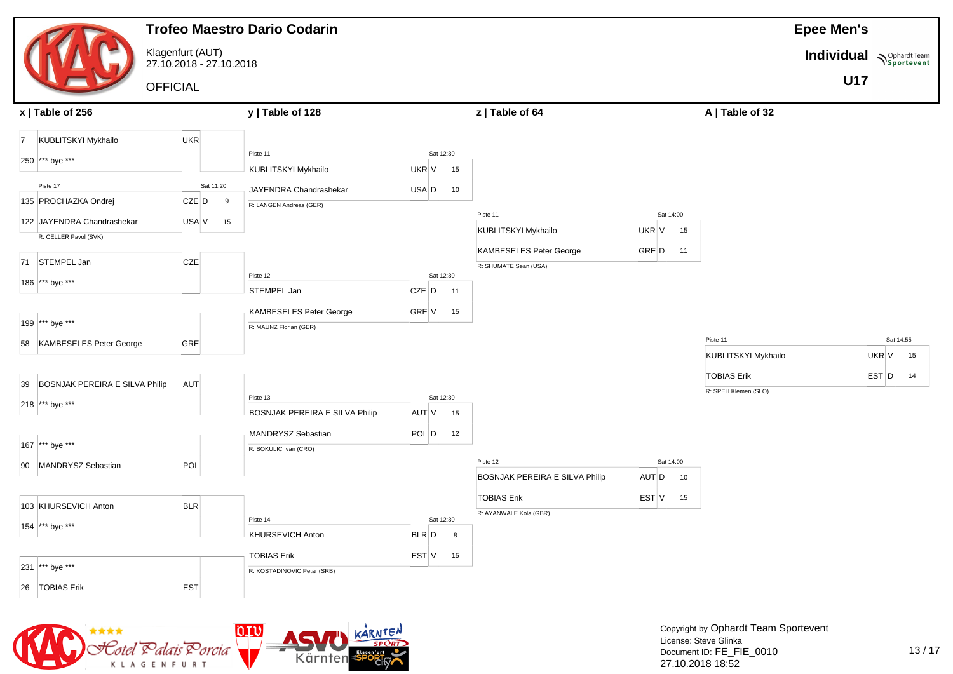|                      |                                   | <b>Trofeo Maestro Dario Codarin</b>         |             |                                |       |           |    |                                                  |             |                      | <b>Epee Men's</b>        |             |
|----------------------|-----------------------------------|---------------------------------------------|-------------|--------------------------------|-------|-----------|----|--------------------------------------------------|-------------|----------------------|--------------------------|-------------|
|                      |                                   | Klagenfurt (AUT)<br>27.10.2018 - 27.10.2018 |             |                                |       |           |    |                                                  |             |                      | Individual Nophardt Team |             |
|                      |                                   | <b>OFFICIAL</b>                             |             |                                |       |           |    |                                                  |             |                      | <b>U17</b>               |             |
|                      |                                   |                                             |             |                                |       |           |    |                                                  |             |                      |                          |             |
| x   Table of 256     |                                   |                                             |             | y   Table of 128               |       |           |    | z   Table of 64                                  |             | A   Table of 32      |                          |             |
| $\vert$ 7            | KUBLITSKYI Mykhailo               | <b>UKR</b>                                  |             |                                |       |           |    |                                                  |             |                      |                          |             |
| 250 *** bye ***      |                                   |                                             |             | Piste 11                       |       | Sat 12:30 |    |                                                  |             |                      |                          |             |
|                      |                                   |                                             |             | KUBLITSKYI Mykhailo            | UKR V |           | 15 |                                                  |             |                      |                          |             |
| Piste 17             |                                   |                                             | Sat 11:20   | JAYENDRA Chandrashekar         | USA D |           | 10 |                                                  |             |                      |                          |             |
| 135 PROCHAZKA Ondrej |                                   |                                             | CZE D<br>9  | R: LANGEN Andreas (GER)        |       |           |    | Piste 11                                         | Sat 14:00   |                      |                          |             |
|                      | 122 JAYENDRA Chandrashekar        |                                             | USA V<br>15 |                                |       |           |    | KUBLITSKYI Mykhailo                              | UKR V<br>15 |                      |                          |             |
|                      | R: CELLER Pavol (SVK)             |                                             |             |                                |       |           |    |                                                  | GRE D       |                      |                          |             |
| 71 STEMPEL Jan       |                                   | CZE                                         |             |                                |       |           |    | KAMBESELES Peter George<br>R: SHUMATE Sean (USA) | 11          |                      |                          |             |
| 186 *** bye ***      |                                   |                                             |             | Piste 12                       |       | Sat 12:30 |    |                                                  |             |                      |                          |             |
|                      |                                   |                                             |             | STEMPEL Jan                    | CZE D |           | 11 |                                                  |             |                      |                          |             |
|                      |                                   |                                             |             | KAMBESELES Peter George        | GRE V |           | 15 |                                                  |             |                      |                          |             |
| 199 *** bye ***      |                                   |                                             |             | R: MAUNZ Florian (GER)         |       |           |    |                                                  |             |                      |                          |             |
|                      | 58 KAMBESELES Peter George        | GRE                                         |             |                                |       |           |    |                                                  |             | Piste 11             |                          | Sat 14:55   |
|                      |                                   |                                             |             |                                |       |           |    |                                                  |             | KUBLITSKYI Mykhailo  |                          | UKR V<br>15 |
|                      | 39 BOSNJAK PEREIRA E SILVA Philip | AUT                                         |             |                                |       |           |    |                                                  |             | <b>TOBIAS Erik</b>   |                          | EST D<br>14 |
| 218 *** bye ***      |                                   |                                             |             | Piste 13                       |       | Sat 12:30 |    |                                                  |             | R: SPEH Klemen (SLO) |                          |             |
|                      |                                   |                                             |             | BOSNJAK PEREIRA E SILVA Philip | AUT V |           | 15 |                                                  |             |                      |                          |             |
|                      |                                   |                                             |             | MANDRYSZ Sebastian             | POL D |           | 12 |                                                  |             |                      |                          |             |
| 167 *** bye ***      |                                   |                                             |             | R: BOKULIC Ivan (CRO)          |       |           |    |                                                  |             |                      |                          |             |
|                      | 90 MANDRYSZ Sebastian             | POL                                         |             |                                |       |           |    | Piste 12                                         | Sat 14:00   |                      |                          |             |
|                      |                                   |                                             |             |                                |       |           |    | BOSNJAK PEREIRA E SILVA Philip                   | AUT D<br>10 |                      |                          |             |
| 103 KHURSEVICH Anton |                                   | <b>BLR</b>                                  |             |                                |       |           |    | <b>TOBIAS Erik</b>                               | EST V<br>15 |                      |                          |             |
|                      |                                   |                                             |             | Piste 14                       |       | Sat 12:30 |    | R: AYANWALE Kola (GBR)                           |             |                      |                          |             |
| 154 *** bye ***      |                                   |                                             |             | KHURSEVICH Anton               | BLR D |           | 8  |                                                  |             |                      |                          |             |
|                      |                                   |                                             |             | <b>TOBIAS Erik</b>             | EST V |           | 15 |                                                  |             |                      |                          |             |
| 231 *** bye ***      |                                   |                                             |             | R: KOSTADINOVIC Petar (SRB)    |       |           |    |                                                  |             |                      |                          |             |
| 26 TOBIAS Erik       |                                   | <b>EST</b>                                  |             |                                |       |           |    |                                                  |             |                      |                          |             |

![](_page_38_Picture_1.jpeg)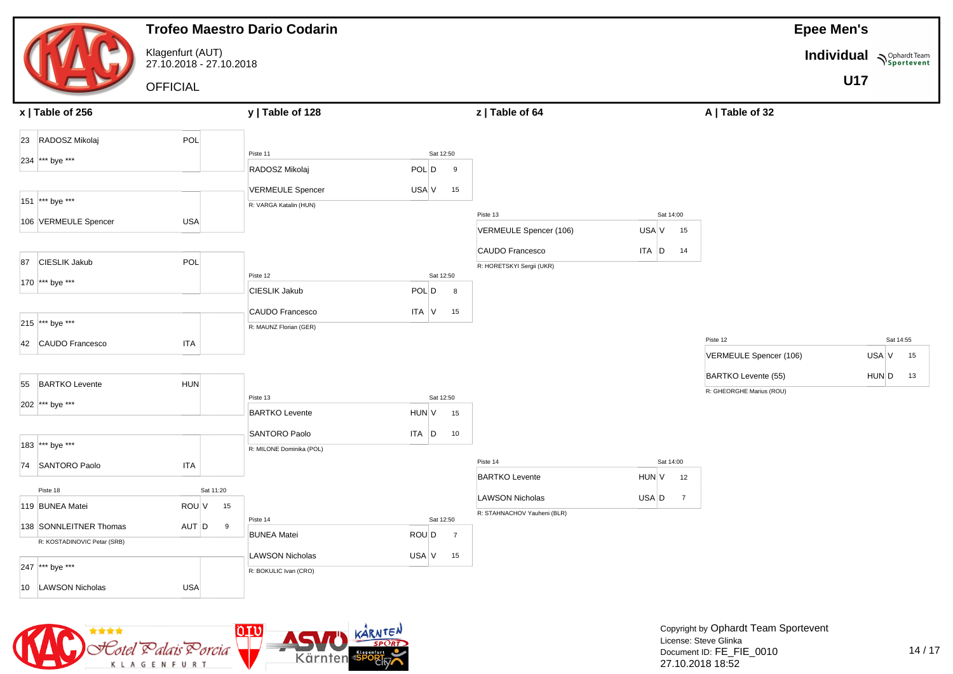|                             |                                             |           |    | <b>Trofeo Maestro Dario Codarin</b>             |           |           |                          |                                              |                         |                          | <b>Epee Men's</b>        |           |    |
|-----------------------------|---------------------------------------------|-----------|----|-------------------------------------------------|-----------|-----------|--------------------------|----------------------------------------------|-------------------------|--------------------------|--------------------------|-----------|----|
|                             | Klagenfurt (AUT)<br>27.10.2018 - 27.10.2018 |           |    |                                                 |           |           |                          |                                              |                         |                          | Individual Nophardt Team |           |    |
|                             | <b>OFFICIAL</b>                             |           |    |                                                 |           |           |                          |                                              |                         |                          | <b>U17</b>               |           |    |
| x   Table of 256            |                                             |           |    | y   Table of 128                                |           |           |                          | z   Table of 64                              |                         | A   Table of 32          |                          |           |    |
| 23 RADOSZ Mikolaj           | POL                                         |           |    |                                                 |           |           |                          |                                              |                         |                          |                          |           |    |
| 234 *** bye ***             |                                             |           |    | Piste 11                                        |           | Sat 12:50 |                          |                                              |                         |                          |                          |           |    |
|                             |                                             |           |    | RADOSZ Mikolaj                                  | POL D     |           | 9                        |                                              |                         |                          |                          |           |    |
|                             |                                             |           |    | <b>VERMEULE Spencer</b>                         | USA V     |           | 15                       |                                              |                         |                          |                          |           |    |
| 151 *** bye ***             |                                             |           |    | R: VARGA Katalin (HUN)                          |           |           |                          | Piste 13                                     | Sat 14:00               |                          |                          |           |    |
| 106 VERMEULE Spencer        | <b>USA</b>                                  |           |    |                                                 |           |           |                          | VERMEULE Spencer (106)                       | USA V<br>15             |                          |                          |           |    |
|                             |                                             |           |    |                                                 |           |           |                          |                                              |                         |                          |                          |           |    |
| 87 CIESLIK Jakub            | POL                                         |           |    |                                                 |           |           |                          | CAUDO Francesco<br>R: HORETSKYI Sergii (UKR) | ITA D<br>14             |                          |                          |           |    |
| 170 *** bye ***             |                                             |           |    | Piste 12                                        |           | Sat 12:50 |                          |                                              |                         |                          |                          |           |    |
|                             |                                             |           |    | <b>CIESLIK Jakub</b>                            | POL D     |           | $\overline{\phantom{a}}$ |                                              |                         |                          |                          |           |    |
|                             |                                             |           |    | CAUDO Francesco                                 | ITA V     |           | 15                       |                                              |                         |                          |                          |           |    |
| 215 *** bye ***             |                                             |           |    | R: MAUNZ Florian (GER)                          |           |           |                          |                                              |                         |                          |                          |           |    |
| 42 CAUDO Francesco          | <b>ITA</b>                                  |           |    |                                                 |           |           |                          |                                              |                         | Piste 12                 |                          | Sat 14:55 |    |
|                             |                                             |           |    |                                                 |           |           |                          |                                              |                         | VERMEULE Spencer (106)   |                          | USA V     | 15 |
| 55 BARTKO Levente           | <b>HUN</b>                                  |           |    |                                                 |           |           |                          |                                              |                         | BARTKO Levente (55)      |                          | HUN D     | 13 |
|                             |                                             |           |    | Piste 13                                        |           | Sat 12:50 |                          |                                              |                         | R: GHEORGHE Marius (ROU) |                          |           |    |
| 202 *** bye ***             |                                             |           |    | <b>BARTKO Levente</b>                           | HUN V     |           | 15                       |                                              |                         |                          |                          |           |    |
|                             |                                             |           |    | SANTORO Paolo                                   | $ITA$ $D$ |           | 10                       |                                              |                         |                          |                          |           |    |
| 183 *** bye ***             |                                             |           |    | R: MILONE Dominika (POL)                        |           |           |                          |                                              |                         |                          |                          |           |    |
| 74 SANTORO Paolo            | <b>ITA</b>                                  |           |    |                                                 |           |           |                          | Piste 14                                     | Sat 14:00               |                          |                          |           |    |
|                             |                                             |           |    |                                                 |           |           |                          | <b>BARTKO Levente</b>                        | HUN V<br>12             |                          |                          |           |    |
| Piste 18                    |                                             | Sat 11:20 |    |                                                 |           |           |                          | <b>LAWSON Nicholas</b>                       | USA D<br>$\overline{7}$ |                          |                          |           |    |
| 119 BUNEA Matei             | ROU V                                       |           | 15 | Piste 14                                        |           | Sat 12:50 |                          | R: STAHNACHOV Yauheni (BLR)                  |                         |                          |                          |           |    |
| 138 SONNLEITNER Thomas      | AUT D                                       |           | 9  | <b>BUNEA Matei</b>                              | ROU D     |           | $\overline{7}$           |                                              |                         |                          |                          |           |    |
| R: KOSTADINOVIC Petar (SRB) |                                             |           |    |                                                 |           |           |                          |                                              |                         |                          |                          |           |    |
| 247 *** bye ***             |                                             |           |    | <b>LAWSON Nicholas</b><br>R: BOKULIC Ivan (CRO) | USA V     |           | 15                       |                                              |                         |                          |                          |           |    |
| 10 LAWSON Nicholas          | <b>USA</b>                                  |           |    |                                                 |           |           |                          |                                              |                         |                          |                          |           |    |
|                             |                                             |           |    |                                                 |           |           |                          |                                              |                         |                          |                          |           |    |

![](_page_39_Picture_1.jpeg)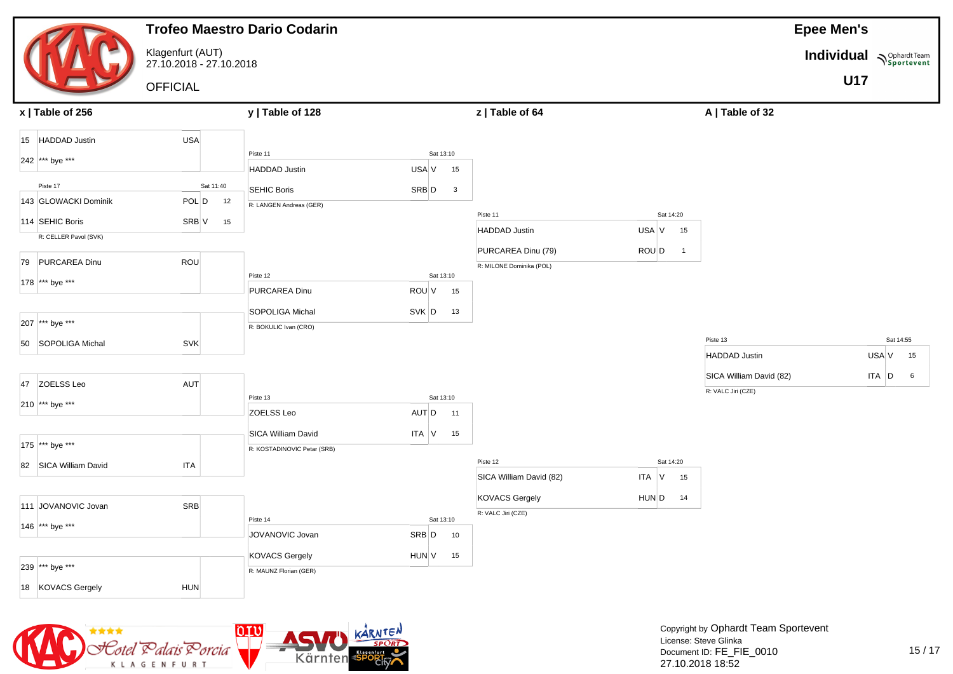|                       |                                             | <b>Trofeo Maestro Dario Codarin</b>               |                                  |                                                |                         |                                               | <b>Epee Men's</b>        |
|-----------------------|---------------------------------------------|---------------------------------------------------|----------------------------------|------------------------------------------------|-------------------------|-----------------------------------------------|--------------------------|
|                       | Klagenfurt (AUT)<br>27.10.2018 - 27.10.2018 |                                                   |                                  |                                                |                         |                                               | Individual Nophardt Team |
|                       | <b>OFFICIAL</b>                             |                                                   |                                  |                                                |                         |                                               | <b>U17</b>               |
| $x$   Table of 256    |                                             | y   Table of 128                                  |                                  | z   Table of 64                                |                         | A   Table of 32                               |                          |
| 15 HADDAD Justin      | <b>USA</b>                                  |                                                   |                                  |                                                |                         |                                               |                          |
| 242 *** bye ***       |                                             | Piste 11<br><b>HADDAD Justin</b>                  | Sat 13:10<br>USA V<br>15         |                                                |                         |                                               |                          |
| Piste 17              | Sat 11:40                                   | <b>SEHIC Boris</b>                                |                                  |                                                |                         |                                               |                          |
| 143 GLOWACKI Dominik  | POL D<br>12                                 | R: LANGEN Andreas (GER)                           | SRB D<br>$\overline{\mathbf{3}}$ |                                                |                         |                                               |                          |
| 114 SEHIC Boris       | SRB V<br>15                                 |                                                   |                                  | Piste 11                                       | Sat 14:20               |                                               |                          |
| R: CELLER Pavol (SVK) |                                             |                                                   |                                  | <b>HADDAD Justin</b>                           | USA V<br>15             |                                               |                          |
| 79 PURCAREA Dinu      | ROU                                         |                                                   |                                  | PURCAREA Dinu (79)<br>R: MILONE Dominika (POL) | ROU D<br>$\overline{1}$ |                                               |                          |
| 178 *** bye ***       |                                             | Piste 12                                          | Sat 13:10                        |                                                |                         |                                               |                          |
|                       |                                             | PURCAREA Dinu                                     | ROU V<br>15                      |                                                |                         |                                               |                          |
| 207 *** bye ***       |                                             | SOPOLIGA Michal<br>R: BOKULIC Ivan (CRO)          | SVK D<br>13                      |                                                |                         |                                               |                          |
| 50 SOPOLIGA Michal    | <b>SVK</b>                                  |                                                   |                                  |                                                |                         | Piste 13                                      | Sat 14:55                |
|                       |                                             |                                                   |                                  |                                                |                         | <b>HADDAD Justin</b>                          | USA V<br>15              |
| 47 ZOELSS Leo         | <b>AUT</b>                                  |                                                   |                                  |                                                |                         | SICA William David (82)<br>R: VALC Jiri (CZE) | $ITA$ $D$<br>6           |
| 210 *** bye ***       |                                             | Piste 13                                          | Sat 13:10                        |                                                |                         |                                               |                          |
|                       |                                             | ZOELSS Leo                                        | AUT D<br>11                      |                                                |                         |                                               |                          |
| 175 *** bye ***       |                                             | SICA William David<br>R: KOSTADINOVIC Petar (SRB) | ITA V<br>15                      |                                                |                         |                                               |                          |
| 82 SICA William David | <b>ITA</b>                                  |                                                   |                                  | Piste 12                                       | Sat 14:20               |                                               |                          |
|                       |                                             |                                                   |                                  | SICA William David (82)                        | ITA V<br>15             |                                               |                          |
| 111 JOVANOVIC Jovan   | SRB                                         |                                                   |                                  | <b>KOVACS Gergely</b><br>R: VALC Jiri (CZE)    | HUN D<br>14             |                                               |                          |
| 146 *** bye ***       |                                             | Piste 14                                          | Sat 13:10                        |                                                |                         |                                               |                          |
|                       |                                             | JOVANOVIC Jovan                                   | SRB D<br>10                      |                                                |                         |                                               |                          |
| 239 *** bye ***       |                                             | <b>KOVACS Gergely</b><br>R: MAUNZ Florian (GER)   | HUN V<br>15                      |                                                |                         |                                               |                          |
| 18 KOVACS Gergely     | <b>HUN</b>                                  |                                                   |                                  |                                                |                         |                                               |                          |

![](_page_40_Picture_1.jpeg)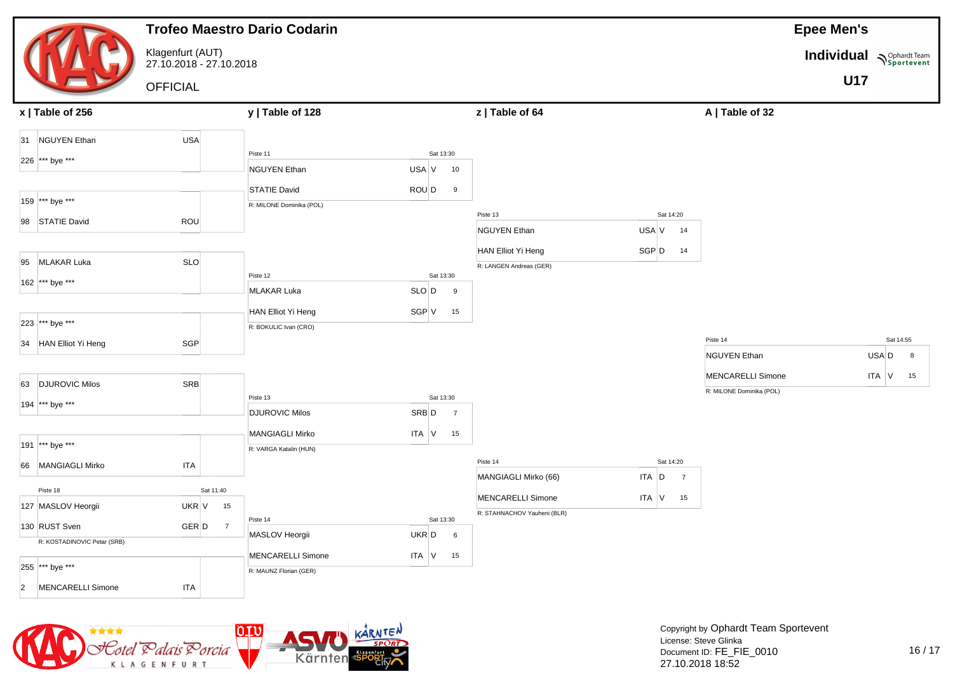|                                     |                                             | <b>Trofeo Maestro Dario Codarin</b>             |                                                 |                             |                         | <b>Epee Men's</b>               |                          |
|-------------------------------------|---------------------------------------------|-------------------------------------------------|-------------------------------------------------|-----------------------------|-------------------------|---------------------------------|--------------------------|
|                                     | Klagenfurt (AUT)<br>27.10.2018 - 27.10.2018 |                                                 |                                                 |                             |                         |                                 | Individual Nophardt Team |
|                                     | <b>OFFICIAL</b>                             |                                                 |                                                 |                             |                         |                                 | <b>U17</b>               |
| x   Table of 256                    |                                             | y   Table of 128                                |                                                 | z   Table of 64             |                         | A   Table of 32                 |                          |
| 31 NGUYEN Ethan                     | <b>USA</b>                                  |                                                 |                                                 |                             |                         |                                 |                          |
| 226  *** bye ***                    |                                             | Piste 11                                        | Sat 13:30                                       |                             |                         |                                 |                          |
|                                     |                                             | <b>NGUYEN Ethan</b>                             | USA V<br>10                                     |                             |                         |                                 |                          |
| 159 *** bye ***                     |                                             | <b>STATIE David</b><br>R: MILONE Dominika (POL) | ROU D<br>9                                      |                             |                         |                                 |                          |
| 98 STATIE David                     | ROU                                         |                                                 |                                                 | Piste 13                    | Sat 14:20               |                                 |                          |
|                                     |                                             |                                                 |                                                 | <b>NGUYEN Ethan</b>         | USA V<br>14             |                                 |                          |
| 95 MLAKAR Luka                      | <b>SLO</b>                                  |                                                 |                                                 | HAN Elliot Yi Heng          | SGP D<br>14             |                                 |                          |
|                                     |                                             | Piste 12                                        | Sat 13:30                                       | R: LANGEN Andreas (GER)     |                         |                                 |                          |
| 162 *** bye ***                     |                                             | <b>MLAKAR Luka</b>                              | SLO D<br>9                                      |                             |                         |                                 |                          |
|                                     |                                             | HAN Elliot Yi Heng                              | SGP V<br>15                                     |                             |                         |                                 |                          |
| 223 *** bye ***                     |                                             | R: BOKULIC Ivan (CRO)                           |                                                 |                             |                         |                                 |                          |
| 34 HAN Elliot Yi Heng               | SGP                                         |                                                 |                                                 |                             |                         | Piste 14<br><b>NGUYEN Ethan</b> | Sat 14:55<br>USA D<br>8  |
|                                     |                                             |                                                 |                                                 |                             |                         | <b>MENCARELLI Simone</b>        | ITA V<br>15              |
| 63 DJUROVIC Milos                   | SR <sub>B</sub>                             |                                                 |                                                 |                             |                         | R: MILONE Dominika (POL)        |                          |
| 194 *** bye ***                     |                                             | Piste 13<br><b>DJUROVIC Milos</b>               | Sat 13:30<br>SRB <sub>D</sub><br>$\overline{7}$ |                             |                         |                                 |                          |
|                                     |                                             | <b>MANGIAGLI Mirko</b>                          | ITA V<br>15                                     |                             |                         |                                 |                          |
| 191 *** bye ***                     |                                             | R: VARGA Katalin (HUN)                          |                                                 |                             |                         |                                 |                          |
| 66 MANGIAGLI Mirko                  | <b>ITA</b>                                  |                                                 |                                                 | Piste 14                    | Sat 14:20               |                                 |                          |
| Piste 18                            | Sat 11:40                                   |                                                 |                                                 | MANGIAGLI Mirko (66)        | ITA D<br>$\overline{7}$ |                                 |                          |
| 127 MASLOV Heorgii                  | UKR V                                       | 15                                              |                                                 | <b>MENCARELLI Simone</b>    | $ITA$ V<br>15           |                                 |                          |
| 130 RUST Sven                       | GER D                                       | Piste 14<br>$\overline{7}$                      | Sat 13:30                                       | R: STAHNACHOV Yauheni (BLR) |                         |                                 |                          |
| R: KOSTADINOVIC Petar (SRB)         |                                             | MASLOV Heorgii                                  | UKR D<br>6                                      |                             |                         |                                 |                          |
| 255 *** bye ***                     |                                             | <b>MENCARELLI Simone</b>                        | ITA V<br>15                                     |                             |                         |                                 |                          |
|                                     |                                             | R: MAUNZ Florian (GER)                          |                                                 |                             |                         |                                 |                          |
| MENCARELLI Simone<br>$\overline{2}$ | <b>ITA</b>                                  |                                                 |                                                 |                             |                         |                                 |                          |

![](_page_41_Picture_1.jpeg)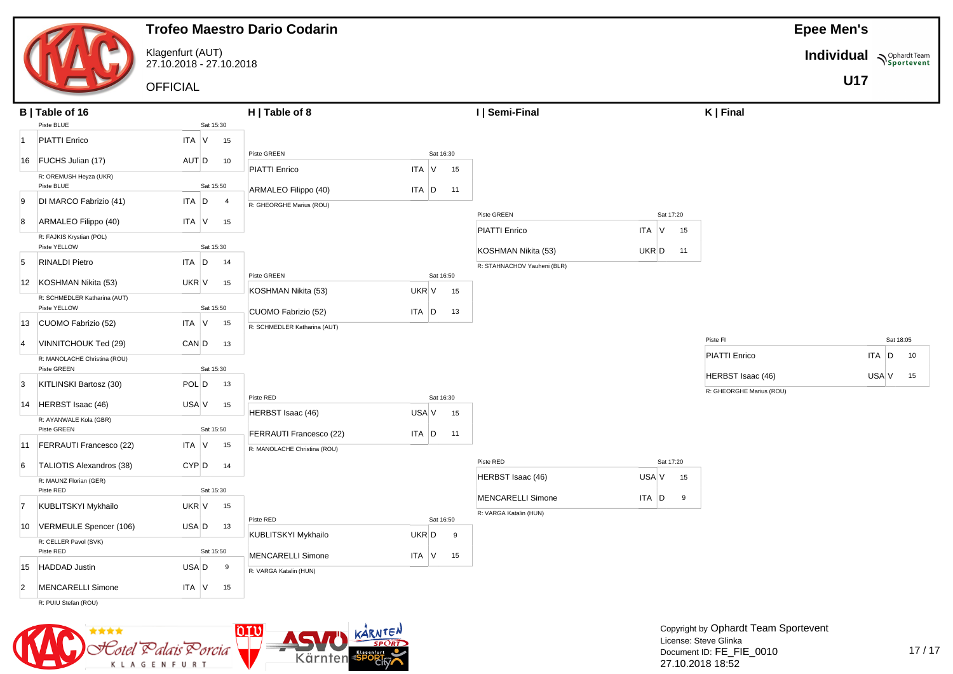|--|

Klagenfurt (AUT) 27.10.2018 - 27.10.2018 **Epee Men's**

**Individual Supplardt Team** 

**U17**

**OFFICIAL** 

|                | B   Table of 16<br>Piste BLUE                |                         | H   Table of 8                             |                                           | I   Semi-Final                                     |                            | $K$   Final                                   |                 |
|----------------|----------------------------------------------|-------------------------|--------------------------------------------|-------------------------------------------|----------------------------------------------------|----------------------------|-----------------------------------------------|-----------------|
|                |                                              | Sat 15:30               |                                            |                                           |                                                    |                            |                                               |                 |
| 11             | <b>PIATTI Enrico</b>                         | <b>ITA</b> V<br>15      |                                            |                                           |                                                    |                            |                                               |                 |
| 16             | FUCHS Julian (17)                            | AUT D<br>10             | Piste GREEN                                | Sat 16:30                                 |                                                    |                            |                                               |                 |
|                | R: OREMUSH Heyza (UKR)<br>Piste BLUE         | Sat 15:50               | PIATTI Enrico<br>ARMALEO Filippo (40)      | <b>ITA</b><br>$\mathsf{V}$<br>15<br>ITA D |                                                    |                            |                                               |                 |
| 9              | DI MARCO Fabrizio (41)                       | ITA D<br>$\overline{4}$ | R: GHEORGHE Marius (ROU)                   | 11                                        |                                                    |                            |                                               |                 |
| 8              | ARMALEO Filippo (40)                         | $ITA$ $V$<br>15         |                                            |                                           | Piste GREEN                                        | Sat 17:20                  |                                               |                 |
|                | R: FAJKIS Krystian (POL)<br>Piste YELLOW     | Sat 15:30               |                                            |                                           | <b>PIATTI Enrico</b><br>KOSHMAN Nikita (53)        | ITA V<br>15<br>UKR D<br>11 |                                               |                 |
| 5              | <b>RINALDI Pietro</b>                        | $ITA$ $D$<br>14         |                                            |                                           | R: STAHNACHOV Yauheni (BLR)                        |                            |                                               |                 |
| 12             | KOSHMAN Nikita (53)                          | UKR V<br>15             | Piste GREEN                                | Sat 16:50                                 |                                                    |                            |                                               |                 |
|                | R: SCHMEDLER Katharina (AUT)<br>Piste YELLOW | Sat 15:50               | KOSHMAN Nikita (53)<br>CUOMO Fabrizio (52) | UKR V<br>15<br>$ITA$ $D$<br>13            |                                                    |                            |                                               |                 |
| 13             | CUOMO Fabrizio (52)                          | $ITA$ $V$<br>15         | R: SCHMEDLER Katharina (AUT)               |                                           |                                                    |                            |                                               |                 |
| $\overline{4}$ | VINNITCHOUK Ted (29)                         | CAN D<br>13             |                                            |                                           |                                                    |                            | Piste FI                                      | Sat 18:05       |
|                | R: MANOLACHE Christina (ROU)<br>Piste GREEN  | Sat 15:30               |                                            |                                           |                                                    |                            | <b>PIATTI Enrico</b>                          | $ITA$ $D$<br>10 |
| 3              | KITLINSKI Bartosz (30)                       | $POL$ $D$<br>13         |                                            |                                           |                                                    |                            | HERBST Isaac (46)<br>R: GHEORGHE Marius (ROU) | $USA V$ 15      |
| 14             | HERBST Isaac (46)                            | USA V<br>15             | Piste RED<br>HERBST Isaac (46)             | Sat 16:30<br>USA V<br>15                  |                                                    |                            |                                               |                 |
|                | R: AYANWALE Kola (GBR)<br>Piste GREEN        | Sat 15:50               | FERRAUTI Francesco (22)                    | $ITA$ $D$<br>11                           |                                                    |                            |                                               |                 |
| 11             | FERRAUTI Francesco (22)                      | $ITA$ $V$<br>15         | R: MANOLACHE Christina (ROU)               |                                           |                                                    |                            |                                               |                 |
| 6              | TALIOTIS Alexandros (38)                     | CYP <sub>D</sub><br>14  |                                            |                                           | Piste RED                                          | Sat 17:20                  |                                               |                 |
|                | R: MAUNZ Florian (GER)<br>Piste RED          | Sat 15:30               |                                            |                                           | HERBST Isaac (46)                                  | USA V<br>15                |                                               |                 |
| 17             | KUBLITSKYI Mykhailo                          | UKR V<br>15             |                                            |                                           | <b>MENCARELLI Simone</b><br>R: VARGA Katalin (HUN) | ITA D<br>9                 |                                               |                 |
| 10             | VERMEULE Spencer (106)                       | USA D<br>13             | Piste RED                                  | Sat 16:50                                 |                                                    |                            |                                               |                 |
|                | R: CELLER Pavol (SVK)<br>Piste RED           | Sat 15:50               | KUBLITSKYI Mykhailo<br>MENCARELLI Simone   | UKR D<br>9<br>$ITA$ V<br>15               |                                                    |                            |                                               |                 |
| 15             | <b>HADDAD Justin</b>                         | $USA$ $D$<br>9          | R: VARGA Katalin (HUN)                     |                                           |                                                    |                            |                                               |                 |
| $\overline{2}$ | MENCARELLI Simone                            | $ITA$ $V$<br>15         |                                            |                                           |                                                    |                            |                                               |                 |
|                | R: PUIU Stefan (ROU)                         |                         |                                            |                                           |                                                    |                            |                                               |                 |

![](_page_42_Picture_8.jpeg)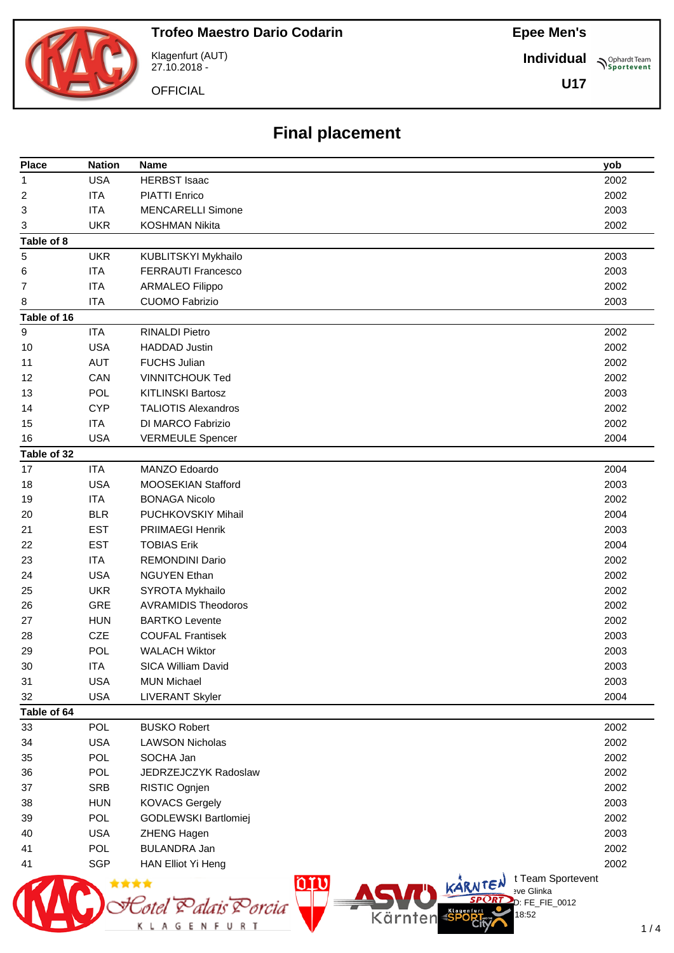**Individual**

**U17**

**Sportevent** 

![](_page_43_Picture_4.jpeg)

Klagenfurt (AUT) 27.10.2018 -

**OFFICIAL** 

# **Final placement**

| <b>Place</b> | <b>Nation</b> | Name                                                                      | yob  |
|--------------|---------------|---------------------------------------------------------------------------|------|
| 1            | <b>USA</b>    | <b>HERBST Isaac</b>                                                       | 2002 |
| 2            | <b>ITA</b>    | <b>PIATTI Enrico</b>                                                      | 2002 |
| 3            | <b>ITA</b>    | <b>MENCARELLI Simone</b>                                                  | 2003 |
| 3            | <b>UKR</b>    | <b>KOSHMAN Nikita</b>                                                     | 2002 |
| Table of 8   |               |                                                                           |      |
| 5            | <b>UKR</b>    | KUBLITSKYI Mykhailo                                                       | 2003 |
| 6            | <b>ITA</b>    | <b>FERRAUTI Francesco</b>                                                 | 2003 |
| 7            | <b>ITA</b>    | <b>ARMALEO Filippo</b>                                                    | 2002 |
| 8            | <b>ITA</b>    | <b>CUOMO Fabrizio</b>                                                     | 2003 |
| Table of 16  |               |                                                                           |      |
| $9\,$        | <b>ITA</b>    | <b>RINALDI Pietro</b>                                                     | 2002 |
| 10           | <b>USA</b>    | <b>HADDAD Justin</b>                                                      | 2002 |
| 11           | <b>AUT</b>    | <b>FUCHS Julian</b>                                                       | 2002 |
| 12           | CAN           | <b>VINNITCHOUK Ted</b>                                                    | 2002 |
| 13           | <b>POL</b>    | <b>KITLINSKI Bartosz</b>                                                  | 2003 |
| 14           | <b>CYP</b>    | <b>TALIOTIS Alexandros</b>                                                | 2002 |
| 15           | <b>ITA</b>    | DI MARCO Fabrizio                                                         | 2002 |
| 16           | <b>USA</b>    | <b>VERMEULE Spencer</b>                                                   | 2004 |
| Table of 32  |               |                                                                           |      |
| 17           | <b>ITA</b>    | MANZO Edoardo                                                             | 2004 |
| 18           | <b>USA</b>    | MOOSEKIAN Stafford                                                        | 2003 |
| 19           | <b>ITA</b>    | <b>BONAGA Nicolo</b>                                                      | 2002 |
| 20           | <b>BLR</b>    | PUCHKOVSKIY Mihail                                                        | 2004 |
| 21           | <b>EST</b>    | <b>PRIIMAEGI Henrik</b>                                                   | 2003 |
| 22           | <b>EST</b>    | <b>TOBIAS Erik</b>                                                        | 2004 |
| 23           | <b>ITA</b>    | <b>REMONDINI Dario</b>                                                    | 2002 |
| 24           | <b>USA</b>    | <b>NGUYEN Ethan</b>                                                       | 2002 |
| 25           | <b>UKR</b>    | SYROTA Mykhailo                                                           | 2002 |
| 26           | <b>GRE</b>    | <b>AVRAMIDIS Theodoros</b>                                                | 2002 |
| 27           | <b>HUN</b>    | <b>BARTKO Levente</b>                                                     | 2002 |
| 28           | <b>CZE</b>    | <b>COUFAL Frantisek</b>                                                   | 2003 |
| 29           | <b>POL</b>    | <b>WALACH Wiktor</b>                                                      | 2003 |
| 30           | <b>ITA</b>    | SICA William David                                                        | 2003 |
| 31           | <b>USA</b>    | <b>MUN Michael</b>                                                        | 2003 |
| 32           | <b>USA</b>    | <b>LIVERANT Skyler</b>                                                    | 2004 |
| Table of 64  |               |                                                                           |      |
| 33           | <b>POL</b>    | <b>BUSKO Robert</b>                                                       | 2002 |
| 34           | <b>USA</b>    | <b>LAWSON Nicholas</b>                                                    | 2002 |
| 35           | <b>POL</b>    | SOCHA Jan                                                                 | 2002 |
| 36           | <b>POL</b>    | JEDRZEJCZYK Radoslaw                                                      | 2002 |
| 37           | <b>SRB</b>    | RISTIC Ognjen                                                             | 2002 |
| 38           | <b>HUN</b>    | <b>KOVACS Gergely</b>                                                     | 2003 |
| 39           | <b>POL</b>    | GODLEWSKI Bartlomiej                                                      | 2002 |
| 40           | <b>USA</b>    | ZHENG Hagen                                                               | 2003 |
| 41           | <b>POL</b>    | <b>BULANDRA Jan</b>                                                       | 2002 |
| 41           | <b>SGP</b>    | HAN Elliot Yi Heng                                                        | 2002 |
|              |               | t Team Sportevent<br>nru<br>KARNTEN<br>eve Glinka                         |      |
|              |               | $D: FE_FIE_0012$<br>'orcia<br>Klagenful<br>18:52<br>Kärnten<br><b>SPO</b> |      |
|              |               | R T                                                                       | 1/   |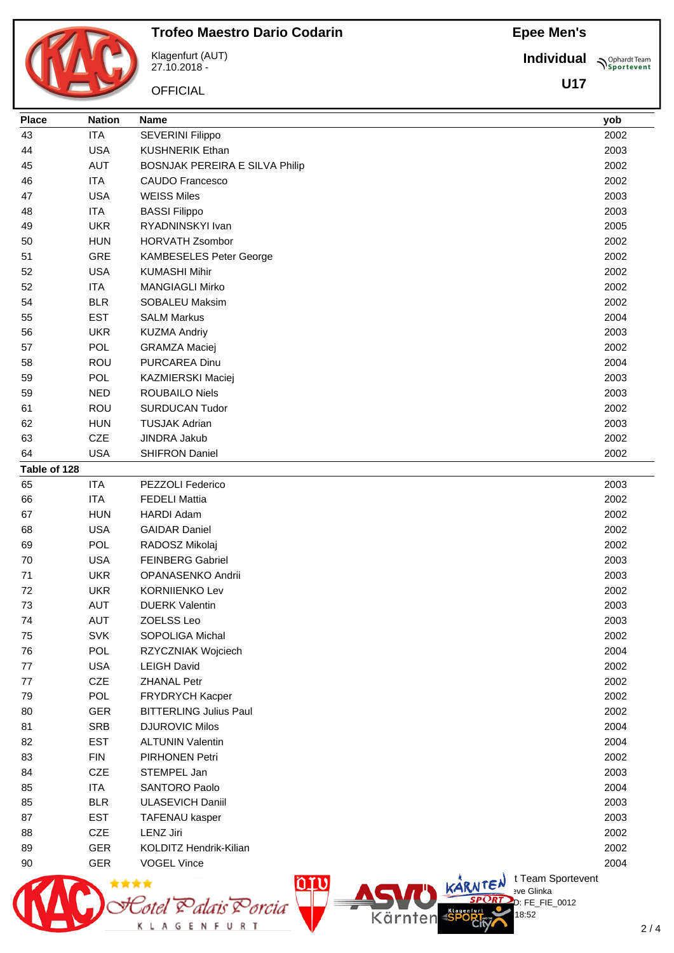**Individual N**Sportevent

|              |               | <b>Trofeo Maestro Dario Codarin</b>   | <b>Epee Men's</b> |                                           |  |
|--------------|---------------|---------------------------------------|-------------------|-------------------------------------------|--|
|              |               | Klagenfurt (AUT)<br>27.10.2018 -      | <b>Individual</b> | $\mathcal{P}_{\text{spor}}^{\text{Opha}}$ |  |
|              |               | <b>OFFICIAL</b>                       | U17               |                                           |  |
| <b>Place</b> | <b>Nation</b> | <b>Name</b>                           |                   | yob                                       |  |
| 43           | <b>ITA</b>    | SEVERINI Filippo                      |                   | 2002                                      |  |
| 44           | <b>USA</b>    | <b>KUSHNERIK Ethan</b>                |                   | 2003                                      |  |
| 45           | <b>AUT</b>    | <b>BOSNJAK PEREIRA E SILVA Philip</b> |                   | 2002                                      |  |
| 46           | <b>ITA</b>    | <b>CAUDO Francesco</b>                |                   | 2002                                      |  |
| 47           | <b>USA</b>    | <b>WEISS Miles</b>                    |                   | 2003                                      |  |
| 48           | <b>ITA</b>    | <b>BASSI Filippo</b>                  |                   | 2003                                      |  |
| 49           | <b>UKR</b>    | RYADNINSKYI Ivan                      |                   | 2005                                      |  |
| 50           | <b>HUN</b>    | <b>HORVATH Zsombor</b>                |                   | 2002                                      |  |
| 51           | GRE           | KAMBESELES Peter George               |                   | 2002                                      |  |
| 52           | <b>USA</b>    | <b>KUMASHI Mihir</b>                  |                   | 2002                                      |  |
| 52           | <b>ITA</b>    | <b>MANGIAGLI Mirko</b>                |                   | 2002                                      |  |
| 54           | <b>BLR</b>    | SOBALEU Maksim                        |                   | 2002                                      |  |
| 55           | <b>EST</b>    | <b>SALM Markus</b>                    |                   | 2004                                      |  |
| 56           | <b>UKR</b>    | <b>KUZMA Andriy</b>                   |                   | 2003                                      |  |
| 57           | <b>POL</b>    | <b>GRAMZA Maciej</b>                  |                   | 2002                                      |  |
| 58           | ROU           | PURCAREA Dinu                         |                   | 2004                                      |  |
| 59           | POL           | KAZMIERSKI Maciej                     |                   | 2003                                      |  |
| 59           | <b>NED</b>    | <b>ROUBAILO Niels</b>                 |                   | 2003                                      |  |
| 61           | ROU           | <b>SURDUCAN Tudor</b>                 |                   | 2002                                      |  |
| 62           | <b>HUN</b>    | <b>TUSJAK Adrian</b>                  |                   | 2003                                      |  |
| 63           | <b>CZE</b>    | JINDRA Jakub                          |                   | 2002                                      |  |
| 64           | <b>USA</b>    | <b>SHIFRON Daniel</b>                 |                   | 2002                                      |  |
| Table of 128 |               |                                       |                   |                                           |  |
| 65           | <b>ITA</b>    | PEZZOLI Federico                      |                   | 2003                                      |  |
| 66           | <b>ITA</b>    | <b>FEDELI Mattia</b>                  |                   | 2002                                      |  |
| 67           | <b>HUN</b>    | <b>HARDI Adam</b>                     |                   | 2002                                      |  |
| 68           | <b>USA</b>    | <b>GAIDAR Daniel</b>                  |                   | 2002                                      |  |
| 69           | POL           | RADOSZ Mikolaj                        |                   | 2002                                      |  |
| 70           | <b>USA</b>    | <b>FEINBERG Gabriel</b>               |                   | 2003                                      |  |
| 71           | <b>UKR</b>    | OPANASENKO Andrii                     |                   | 2003                                      |  |
| 72           | <b>UKR</b>    | <b>KORNIIENKO Lev</b>                 |                   | 2002                                      |  |
| 73           | <b>AUT</b>    | <b>DUERK Valentin</b>                 |                   | 2003                                      |  |
| 74           | <b>AUT</b>    | ZOELSS Leo                            |                   | 2003                                      |  |
| 75           | <b>SVK</b>    | SOPOLIGA Michal                       |                   | 2002                                      |  |
| 76           | POL           | RZYCZNIAK Wojciech                    |                   | 2004                                      |  |
| 77           | <b>USA</b>    | <b>LEIGH David</b>                    |                   | 2002                                      |  |
|              | ∼−−           |                                       |                   | $\sim$                                    |  |

Totel Z

K L A G E N F U R T

tlais Porcia

 ROU SURDUCAN Tudor 2002 HUN TUSJAK Adrian 2003 CZE JINDRA Jakub 2002 USA SHIFRON Daniel 2002 ITA PEZZOLI Federico 2003 ITA FEDELI Mattia 2002 HUN HARDI Adam 2002 USA GAIDAR Daniel 2002 POL RADOSZ Mikolaj 2002 USA FEINBERG Gabriel 2003 UKR OPANASENKO Andrii 2003 UKR KORNIIENKO Lev 2002 AUT DUERK Valentin 2003 AUT ZOELSS Leo 2003 SVK SOPOLIGA Michal 2002 POL RZYCZNIAK Wojciech 2004 USA LEIGH David 2002 CZE ZHANAL Petr 2002 POL FRYDRYCH Kacper 2002 GER BITTERLING Julius Paul 2002 81 SRB DJUROVIC Milos 2004 2004 2004 82 EST ALTUNIN Valentin 2004 2004 2004 83 FIN PIRHONEN Petri 2002 CZE STEMPEL Jan 2003 ITA SANTORO Paolo 2004 85 BLR ULASEVICH Daniil 2003 87 EST TAFENAU kasper 2003 CZE LENZ Jiri 2002 GER KOLDITZ Hendrik-Kilian 2002 er Band GER vog EL Vince 2004 and the United States of the Contract of the 2004 and 2004 and 2004 and 2004 and 2004 and 2004 and 2004 and 2004 and 2004 and 2004 and 2004 and 2004 and 2004 and 2004 and 2004 and 2004 and 200  $\bigcup_{v \in \mathcal{F}} \mathsf{Id}$  t Team Sportevent nru **N'Y'Letter** sve Glinka

Kärnten

 $2/4$ 

D: FE\_FIE\_0012

18:52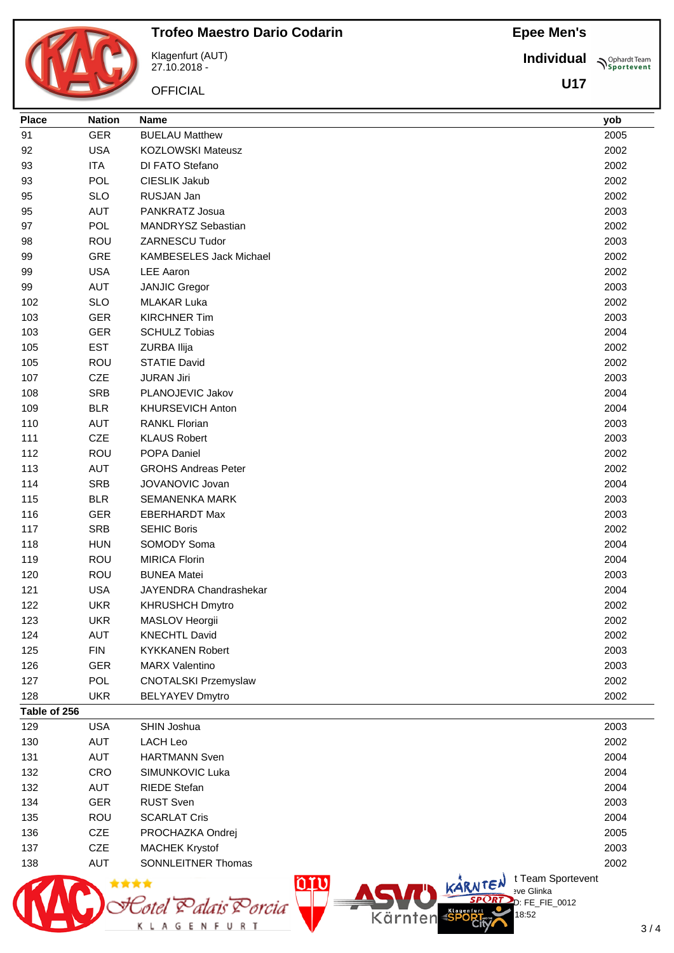**Trofeo Maestro Dario Codarin**

![](_page_45_Picture_2.jpeg)

![](_page_45_Picture_3.jpeg)

Klagenfurt (AUT) 27.10.2018 -

**OFFICIAL** 

Statel Palais Porcia

**Individual Supplemant** Team

**U17**

| <b>Place</b>        | <b>Nation</b> | Name                                                  | yob  |
|---------------------|---------------|-------------------------------------------------------|------|
| 91                  | <b>GER</b>    | <b>BUELAU Matthew</b>                                 | 2005 |
| 92                  | <b>USA</b>    | <b>KOZLOWSKI Mateusz</b>                              | 2002 |
| 93                  | <b>ITA</b>    | DI FATO Stefano                                       | 2002 |
| 93                  | <b>POL</b>    | CIESLIK Jakub                                         | 2002 |
| 95                  | <b>SLO</b>    | RUSJAN Jan                                            | 2002 |
| 95                  | <b>AUT</b>    | PANKRATZ Josua                                        | 2003 |
| 97                  | <b>POL</b>    | MANDRYSZ Sebastian                                    | 2002 |
| 98                  | <b>ROU</b>    | <b>ZARNESCU Tudor</b>                                 | 2003 |
| 99                  | GRE           | <b>KAMBESELES Jack Michael</b>                        | 2002 |
| 99                  | <b>USA</b>    | <b>LEE Aaron</b>                                      | 2002 |
| 99                  | <b>AUT</b>    | <b>JANJIC Gregor</b>                                  | 2003 |
| 102                 | <b>SLO</b>    | <b>MLAKAR Luka</b>                                    | 2002 |
| 103                 | <b>GER</b>    | <b>KIRCHNER Tim</b>                                   | 2003 |
| 103                 | <b>GER</b>    | <b>SCHULZ Tobias</b>                                  | 2004 |
| 105                 | <b>EST</b>    | ZURBA Ilija                                           | 2002 |
| 105                 | <b>ROU</b>    | <b>STATIE David</b>                                   | 2002 |
| 107                 | CZE           | <b>JURAN Jiri</b>                                     | 2003 |
| 108                 | <b>SRB</b>    | PLANOJEVIC Jakov                                      | 2004 |
| 109                 | <b>BLR</b>    | <b>KHURSEVICH Anton</b>                               | 2004 |
| 110                 | <b>AUT</b>    | <b>RANKL Florian</b>                                  | 2003 |
| 111                 | CZE           | <b>KLAUS Robert</b>                                   | 2003 |
| 112                 | ROU           | POPA Daniel                                           | 2002 |
| 113                 | <b>AUT</b>    | <b>GROHS Andreas Peter</b>                            | 2002 |
| 114                 | <b>SRB</b>    | JOVANOVIC Jovan                                       | 2004 |
| 115                 | <b>BLR</b>    | <b>SEMANENKA MARK</b>                                 | 2003 |
| 116                 | <b>GER</b>    | <b>EBERHARDT Max</b>                                  | 2003 |
| 117                 | <b>SRB</b>    | <b>SEHIC Boris</b>                                    | 2002 |
| 118                 | <b>HUN</b>    | SOMODY Soma                                           | 2004 |
| 119                 | <b>ROU</b>    | <b>MIRICA Florin</b>                                  | 2004 |
| 120                 | ROU           | <b>BUNEA Matei</b>                                    | 2003 |
| 121                 | <b>USA</b>    | JAYENDRA Chandrashekar                                | 2004 |
| 122                 | <b>UKR</b>    | <b>KHRUSHCH Dmytro</b>                                | 2002 |
| 123                 | <b>UKR</b>    | MASLOV Heorgii                                        | 2002 |
| 124                 | <b>AUT</b>    | <b>KNECHTL David</b>                                  | 2002 |
| 125                 | <b>FIN</b>    | <b>KYKKANEN Robert</b>                                | 2003 |
| 126                 | <b>GER</b>    | <b>MARX Valentino</b>                                 | 2003 |
| 127                 | POL           | <b>CNOTALSKI Przemyslaw</b>                           | 2002 |
| 128                 | <b>UKR</b>    | <b>BELYAYEV Dmytro</b>                                | 2002 |
| Table of 256<br>129 | <b>USA</b>    | SHIN Joshua                                           | 2003 |
| 130                 | <b>AUT</b>    | <b>LACH Leo</b>                                       | 2002 |
| 131                 | <b>AUT</b>    | <b>HARTMANN Sven</b>                                  | 2004 |
| 132                 | CRO           | SIMUNKOVIC Luka                                       | 2004 |
| 132                 | AUT           | <b>RIEDE Stefan</b>                                   | 2004 |
| 134                 | <b>GER</b>    | <b>RUST Sven</b>                                      | 2003 |
| 135                 | <b>ROU</b>    | <b>SCARLAT Cris</b>                                   | 2004 |
| 136                 | CZE           | PROCHAZKA Ondrej                                      | 2005 |
| 137                 | <b>CZE</b>    | <b>MACHEK Krystof</b>                                 | 2003 |
| 138                 | <b>AUT</b>    | <b>SONNLEITNER Thomas</b>                             | 2002 |
|                     | <b>A</b> **** | <b>ACTIVE KARNTEN I</b> Team Sportevent<br><u>oru</u> |      |
| M                   |               |                                                       |      |

 $D: FE_FIE_0012$ 

18:52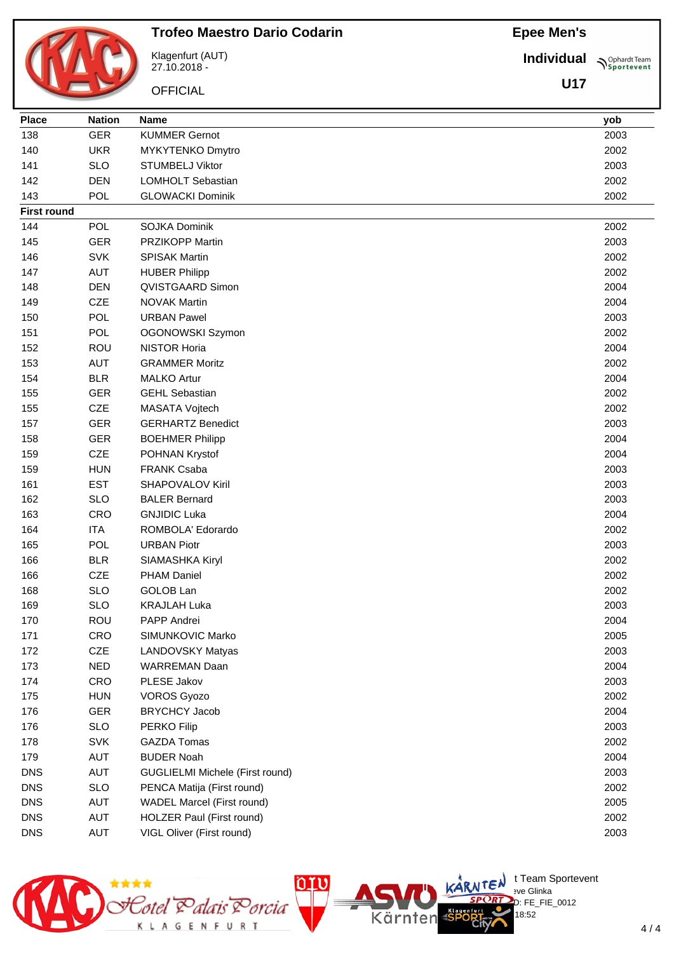![](_page_46_Picture_1.jpeg)

## **Trofeo Maestro Dario Codarin**

Klagenfurt (AUT) 27.10.2018 -

**OFFICIAL** 

**Individual Supplemant** Team

**U17**

| <b>Place</b>       | <b>Nation</b> | <b>Name</b>                            | yob  |
|--------------------|---------------|----------------------------------------|------|
| 138                | <b>GER</b>    | <b>KUMMER Gernot</b>                   | 2003 |
| 140                | <b>UKR</b>    | MYKYTENKO Dmytro                       | 2002 |
| 141                | <b>SLO</b>    | <b>STUMBELJ Viktor</b>                 | 2003 |
| 142                | <b>DEN</b>    | <b>LOMHOLT Sebastian</b>               | 2002 |
| 143                | POL           | <b>GLOWACKI Dominik</b>                | 2002 |
| <b>First round</b> |               |                                        |      |
| 144                | <b>POL</b>    | <b>SOJKA Dominik</b>                   | 2002 |
| 145                | <b>GER</b>    | <b>PRZIKOPP Martin</b>                 | 2003 |
| 146                | <b>SVK</b>    | <b>SPISAK Martin</b>                   | 2002 |
| 147                | <b>AUT</b>    | <b>HUBER Philipp</b>                   | 2002 |
| 148                | <b>DEN</b>    | QVISTGAARD Simon                       | 2004 |
| 149                | CZE           | <b>NOVAK Martin</b>                    | 2004 |
| 150                | <b>POL</b>    | <b>URBAN Pawel</b>                     | 2003 |
| 151                | <b>POL</b>    | OGONOWSKI Szymon                       | 2002 |
| 152                | ROU           | <b>NISTOR Horia</b>                    | 2004 |
| 153                | <b>AUT</b>    | <b>GRAMMER Moritz</b>                  | 2002 |
| 154                | <b>BLR</b>    | <b>MALKO Artur</b>                     | 2004 |
| 155                | <b>GER</b>    | <b>GEHL Sebastian</b>                  | 2002 |
| 155                | CZE           | MASATA Vojtech                         | 2002 |
| 157                | <b>GER</b>    | <b>GERHARTZ Benedict</b>               | 2003 |
| 158                | <b>GER</b>    | <b>BOEHMER Philipp</b>                 | 2004 |
| 159                | CZE           | POHNAN Krystof                         | 2004 |
| 159                | <b>HUN</b>    | <b>FRANK Csaba</b>                     | 2003 |
| 161                | <b>EST</b>    | <b>SHAPOVALOV Kiril</b>                | 2003 |
| 162                | <b>SLO</b>    | <b>BALER Bernard</b>                   | 2003 |
| 163                | CRO           | <b>GNJIDIC Luka</b>                    | 2004 |
| 164                | <b>ITA</b>    | ROMBOLA' Edorardo                      | 2002 |
| 165                | <b>POL</b>    | <b>URBAN Piotr</b>                     | 2003 |
| 166                | <b>BLR</b>    | SIAMASHKA Kiryl                        | 2002 |
| 166                | CZE           | <b>PHAM Daniel</b>                     | 2002 |
| 168                | <b>SLO</b>    | GOLOB Lan                              | 2002 |
| 169                | <b>SLO</b>    | <b>KRAJLAH Luka</b>                    | 2003 |
| 170                | <b>ROU</b>    | PAPP Andrei                            | 2004 |
| 171                | CRO           | SIMUNKOVIC Marko                       | 2005 |
| 172                | CZE           | LANDOVSKY Matyas                       | 2003 |
| 173                | <b>NED</b>    | <b>WARREMAN Daan</b>                   | 2004 |
| 174                | CRO           | PLESE Jakov                            | 2003 |
| 175                | <b>HUN</b>    | <b>VOROS Gyozo</b>                     | 2002 |
| 176                | <b>GER</b>    | <b>BRYCHCY Jacob</b>                   | 2004 |
| 176                | <b>SLO</b>    | PERKO Filip                            | 2003 |
| 178                | <b>SVK</b>    | <b>GAZDA Tomas</b>                     | 2002 |
| 179                | <b>AUT</b>    | <b>BUDER Noah</b>                      | 2004 |
| <b>DNS</b>         | <b>AUT</b>    | <b>GUGLIELMI Michele (First round)</b> | 2003 |
| <b>DNS</b>         | <b>SLO</b>    | PENCA Matija (First round)             | 2002 |
| <b>DNS</b>         | <b>AUT</b>    | WADEL Marcel (First round)             | 2005 |
| <b>DNS</b>         | <b>AUT</b>    | HOLZER Paul (First round)              | 2002 |
| <b>DNS</b>         | AUT           | VIGL Oliver (First round)              | 2003 |

![](_page_46_Picture_8.jpeg)

 $\bigcup_{v \in \mathcal{F}} \mathsf{Id}$  t Team Sportevent

18:52

.<br>D: FE\_FIE\_0012

**N'Y'Letter** sve Glinka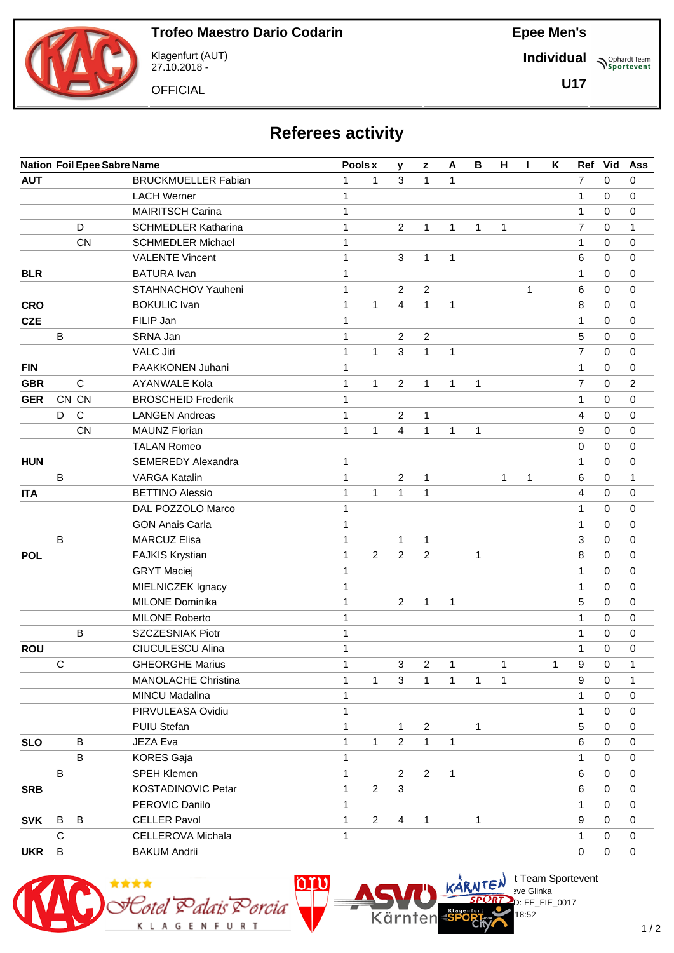![](_page_47_Picture_2.jpeg)

Klagenfurt (AUT) 27.10.2018 -

**OFFICIAL** 

**Individual Supplemant** Team

**U17**

| <b>Referees activity</b> |  |
|--------------------------|--|
|--------------------------|--|

|            |              |              | <b>Nation Foil Epee Sabre Name</b> |              | K<br>Pools x<br>$\, {\bf B}$<br>н<br>A<br>L<br>y<br>$\mathbf{z}$ |                |                  |              |              |              |   | Ref          | Vid            | Ass         |              |
|------------|--------------|--------------|------------------------------------|--------------|------------------------------------------------------------------|----------------|------------------|--------------|--------------|--------------|---|--------------|----------------|-------------|--------------|
| <b>AUT</b> |              |              | <b>BRUCKMUELLER Fabian</b>         | $\mathbf{1}$ | $\mathbf{1}$                                                     | 3              | $\mathbf{1}$     | 1            |              |              |   |              | $\overline{7}$ | $\mathbf 0$ | $\mathbf 0$  |
|            |              |              | <b>LACH Werner</b>                 | $\mathbf{1}$ |                                                                  |                |                  |              |              |              |   |              | 1              | 0           | 0            |
|            |              |              | <b>MAIRITSCH Carina</b>            | $\mathbf{1}$ |                                                                  |                |                  |              |              |              |   |              | 1              | 0           | 0            |
|            |              | D            | <b>SCHMEDLER Katharina</b>         | $\mathbf{1}$ |                                                                  | $\overline{2}$ | $\mathbf{1}$     | $\mathbf{1}$ | $\mathbf{1}$ | $\mathbf{1}$ |   |              | $\overline{7}$ | 0           | 1            |
|            |              | <b>CN</b>    | <b>SCHMEDLER Michael</b>           | $\mathbf{1}$ |                                                                  |                |                  |              |              |              |   |              | $\mathbf{1}$   | $\Omega$    | 0            |
|            |              |              | <b>VALENTE Vincent</b>             | 1            |                                                                  | $\mathbf{3}$   | $\mathbf{1}$     | 1            |              |              |   |              | 6              | 0           | 0            |
| <b>BLR</b> |              |              | <b>BATURA</b> Ivan                 | 1            |                                                                  |                |                  |              |              |              |   |              | $\mathbf{1}$   | 0           | 0            |
|            |              |              | STAHNACHOV Yauheni                 | 1            |                                                                  | $\overline{2}$ | $\sqrt{2}$       |              |              |              | 1 |              | 6              | 0           | 0            |
| <b>CRO</b> |              |              | <b>BOKULIC Ivan</b>                | $\mathbf{1}$ | 1                                                                | 4              | $\mathbf{1}$     | 1            |              |              |   |              | 8              | 0           | 0            |
| <b>CZE</b> |              |              | FILIP Jan                          | $\mathbf{1}$ |                                                                  |                |                  |              |              |              |   |              | 1              | 0           | 0            |
|            | B            |              | SRNA Jan                           | 1            |                                                                  | $\overline{2}$ | $\overline{2}$   |              |              |              |   |              | 5              | 0           | 0            |
|            |              |              | <b>VALC Jiri</b>                   | $\mathbf{1}$ | $\mathbf{1}$                                                     | 3              | $\mathbf{1}$     | $\mathbf{1}$ |              |              |   |              | $\overline{7}$ | 0           | 0            |
| <b>FIN</b> |              |              | PAAKKONEN Juhani                   | 1            |                                                                  |                |                  |              |              |              |   |              | $\mathbf{1}$   | 0           | 0            |
| <b>GBR</b> |              | $\mathsf{C}$ | <b>AYANWALE Kola</b>               | $\mathbf{1}$ | $\mathbf{1}$                                                     | $\overline{2}$ | $\mathbf{1}$     | 1            | 1            |              |   |              | $\overline{7}$ | 0           | 2            |
| <b>GER</b> |              | CN CN        | <b>BROSCHEID Frederik</b>          | $\mathbf{1}$ |                                                                  |                |                  |              |              |              |   |              | 1              | 0           | 0            |
|            | D            | $\mathsf{C}$ | <b>LANGEN Andreas</b>              | $\mathbf{1}$ |                                                                  | $\overline{2}$ | 1                |              |              |              |   |              | 4              | 0           | 0            |
|            |              | <b>CN</b>    | <b>MAUNZ Florian</b>               | $\mathbf{1}$ | $\mathbf{1}$                                                     | 4              | $\mathbf{1}$     | 1            | $\mathbf{1}$ |              |   |              | 9              | 0           | 0            |
|            |              |              | <b>TALAN Romeo</b>                 |              |                                                                  |                |                  |              |              |              |   |              | 0              | 0           | 0            |
| <b>HUN</b> |              |              | <b>SEMEREDY Alexandra</b>          | 1            |                                                                  |                |                  |              |              |              |   |              | $\mathbf{1}$   | 0           | 0            |
|            | B            |              | <b>VARGA Katalin</b>               | 1            |                                                                  | $\overline{2}$ | 1                |              |              | 1            | 1 |              | 6              | 0           | 1            |
| <b>ITA</b> |              |              | <b>BETTINO Alessio</b>             | $\mathbf{1}$ | $\mathbf{1}$                                                     | $\mathbf{1}$   | 1                |              |              |              |   |              | $\overline{4}$ | 0           | 0            |
|            |              |              | DAL POZZOLO Marco                  | $\mathbf{1}$ |                                                                  |                |                  |              |              |              |   |              | 1              | 0           | 0            |
|            |              |              | <b>GON Anais Carla</b>             | 1            |                                                                  |                |                  |              |              |              |   |              | 1              | 0           | 0            |
|            | B            |              | <b>MARCUZ Elisa</b>                | 1            |                                                                  | $\mathbf{1}$   | $\mathbf{1}$     |              |              |              |   |              | 3              | 0           | 0            |
| <b>POL</b> |              |              | <b>FAJKIS Krystian</b>             | $\mathbf{1}$ | $\overline{2}$                                                   | $\overline{c}$ | $\overline{c}$   |              | 1            |              |   |              | 8              | 0           | 0            |
|            |              |              | <b>GRYT Maciej</b>                 | $\mathbf{1}$ |                                                                  |                |                  |              |              |              |   |              | $\mathbf{1}$   | 0           | 0            |
|            |              |              | MIELNICZEK Ignacy                  | $\mathbf{1}$ |                                                                  |                |                  |              |              |              |   |              | $\mathbf{1}$   | 0           | 0            |
|            |              |              | <b>MILONE Dominika</b>             | $\mathbf{1}$ |                                                                  | $\overline{2}$ | $\mathbf{1}$     | 1            |              |              |   |              | 5              | 0           | 0            |
|            |              |              | <b>MILONE Roberto</b>              | $\mathbf 1$  |                                                                  |                |                  |              |              |              |   |              | 1              | 0           | 0            |
|            |              | B            | SZCZESNIAK Piotr                   | 1            |                                                                  |                |                  |              |              |              |   |              | 1              | 0           | 0            |
| <b>ROU</b> |              |              | CIUCULESCU Alina                   | 1            |                                                                  |                |                  |              |              |              |   |              | 1              | 0           | 0            |
|            | С            |              | <b>GHEORGHE Marius</b>             | $\mathbf{1}$ |                                                                  | $\mathbf{3}$   | $\boldsymbol{2}$ | 1            |              | 1            |   | $\mathbf{1}$ | 9              | $\pmb{0}$   | 1            |
|            |              |              | <b>MANOLACHE Christina</b>         | 1            | 1                                                                | 3              | $\mathbf{1}$     | $\mathbf{1}$ | 1            | $\mathbf{1}$ |   |              | 9              | 0           | 1            |
|            |              |              | MINCU Madalina                     | 1            |                                                                  |                |                  |              |              |              |   |              | $\mathbf{1}$   | $\mathbf 0$ | 0            |
|            |              |              | PIRVULEASA Ovidiu                  | 1            |                                                                  |                |                  |              |              |              |   |              | $\mathbf{1}$   | 0           | 0            |
|            |              |              | PUIU Stefan                        | 1            |                                                                  | $\mathbf{1}$   | $\overline{2}$   |              | 1            |              |   |              | 5              | $\mathbf 0$ | $\pmb{0}$    |
| <b>SLO</b> |              | B            | JEZA Eva                           | 1            | $\mathbf{1}$                                                     | $\overline{2}$ | $\mathbf{1}$     | 1            |              |              |   |              | 6              | 0           | 0            |
|            |              | $\sf B$      | <b>KORES Gaja</b>                  | 1            |                                                                  |                |                  |              |              |              |   |              | $\mathbf{1}$   | $\mathbf 0$ | 0            |
|            | $\, {\bf B}$ |              | SPEH Klemen                        | $\mathbf{1}$ |                                                                  | $\overline{2}$ | $\overline{2}$   | $\mathbf{1}$ |              |              |   |              | 6              | $\mathbf 0$ | $\pmb{0}$    |
| <b>SRB</b> |              |              | <b>KOSTADINOVIC Petar</b>          | $\mathbf{1}$ | $\overline{2}$                                                   | 3              |                  |              |              |              |   |              | 6              | 0           | 0            |
|            |              |              | PEROVIC Danilo                     | 1            |                                                                  |                |                  |              |              |              |   |              | $\mathbf{1}$   | 0           | 0            |
| <b>SVK</b> | В            | B            | <b>CELLER Pavol</b>                | $\mathbf{1}$ | $\overline{2}$                                                   | $\overline{4}$ | $\mathbf{1}$     |              | 1            |              |   |              | 9              | $\Omega$    | 0            |
|            | $\mathsf C$  |              | CELLEROVA Michala                  | $\mathbf{1}$ |                                                                  |                |                  |              |              |              |   |              | $\mathbf{1}$   | $\mathbf 0$ | $\pmb{0}$    |
| <b>UKR</b> | B            |              | <b>BAKUM Andrii</b>                |              |                                                                  |                |                  |              |              |              |   |              | $\mathbf 0$    | 0           | $\mathsf{O}$ |

![](_page_47_Picture_10.jpeg)

 $\bigcup_{v \in \mathcal{F}} \mathsf{Id}$  t Team Sportevent

18:52

 $D: FE_FIE_0017$ 

**N'Y'Letter** sve Glinka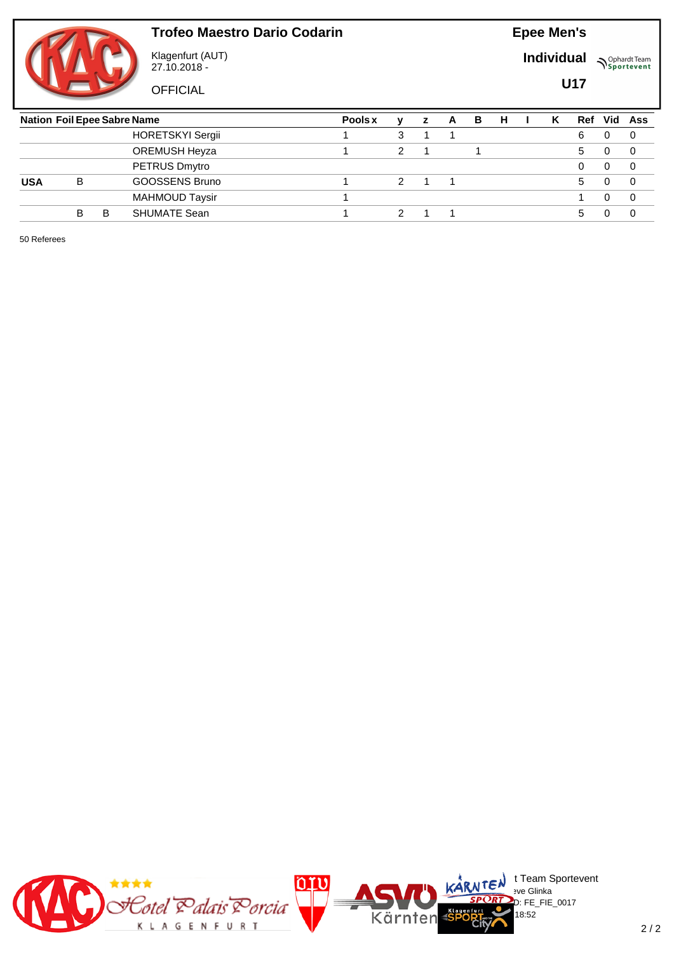![](_page_48_Picture_1.jpeg)

Klagenfurt (AUT) 27.10.2018 -

**OFFICIAL** 

**Epee Men's**

**Individual Supplemant** Team

**U17**

|            | <b>Nation Foil Epee Sabre Name</b> |   |                         |  |   | z | A | в | н | ĸ | Ref          | Vid | Ass      |
|------------|------------------------------------|---|-------------------------|--|---|---|---|---|---|---|--------------|-----|----------|
|            |                                    |   | <b>HORETSKYI Sergii</b> |  | 3 |   |   |   |   |   | 6            |     | 0        |
|            |                                    |   | OREMUSH Heyza           |  | າ |   |   |   |   |   | 5            |     | 0        |
|            |                                    |   | PETRUS Dmytro           |  |   |   |   |   |   |   |              |     | 0        |
| <b>USA</b> | В                                  |   | GOOSSENS Bruno          |  |   |   |   |   |   |   | $\mathbf{b}$ |     | $\Omega$ |
|            |                                    |   | <b>MAHMOUD Taysir</b>   |  |   |   |   |   |   |   |              |     | $\Omega$ |
|            | В                                  | B | <b>SHUMATE Sean</b>     |  |   |   |   |   |   |   | 5            |     |          |
|            |                                    |   |                         |  |   |   |   |   |   |   |              |     |          |

50 Referees

![](_page_48_Picture_9.jpeg)